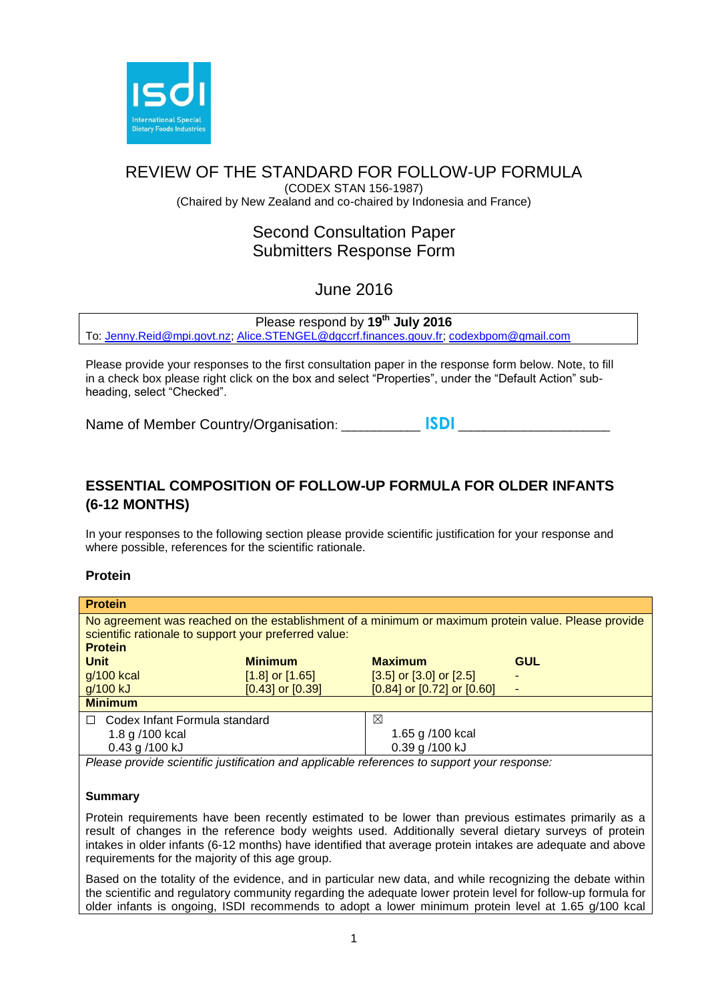

# REVIEW OF THE STANDARD FOR FOLLOW-UP FORMULA

(CODEX STAN 156-1987) (Chaired by New Zealand and co-chaired by Indonesia and France)

# Second Consultation Paper Submitters Response Form

# June 2016

Please respond by **19th July 2016** To: [Jenny.Reid@mpi.govt.nz;](mailto:Jenny.Reid@mpi.govt.nz) [Alice.STENGEL@dgccrf.finances.gouv.fr;](mailto:Alice.STENGEL@dgccrf.finances.gouv.fr) [codexbpom@gmail.com](mailto:codexbpom@gmail.com)

Please provide your responses to the first consultation paper in the response form below. Note, to fill in a check box please right click on the box and select "Properties", under the "Default Action" subheading, select "Checked".

Name of Member Country/Organisation: \_\_\_\_\_\_\_\_\_\_\_ **ISDI** \_\_\_\_\_\_\_\_\_\_\_\_\_\_\_\_\_\_\_\_\_\_\_\_\_

# **ESSENTIAL COMPOSITION OF FOLLOW-UP FORMULA FOR OLDER INFANTS (6-12 MONTHS)**

In your responses to the following section please provide scientific justification for your response and where possible, references for the scientific rationale.

# **Protein**

| <b>Protein</b>                                                                                                                                                                 |                      |                                  |            |  |
|--------------------------------------------------------------------------------------------------------------------------------------------------------------------------------|----------------------|----------------------------------|------------|--|
| No agreement was reached on the establishment of a minimum or maximum protein value. Please provide<br>scientific rationale to support your preferred value:<br><b>Protein</b> |                      |                                  |            |  |
| <b>Unit</b>                                                                                                                                                                    | <b>Minimum</b>       | <b>Maximum</b>                   | <b>GUL</b> |  |
| g/100 kcal                                                                                                                                                                     | $[1.8]$ or $[1.65]$  | $[3.5]$ or $[3.0]$ or $[2.5]$    |            |  |
| g/100 kJ                                                                                                                                                                       | $[0.43]$ or $[0.39]$ | $[0.84]$ or $[0.72]$ or $[0.60]$ |            |  |
| <b>Minimum</b>                                                                                                                                                                 |                      |                                  |            |  |
| Codex Infant Formula standard<br>$\Box$                                                                                                                                        |                      | ⊠                                |            |  |
| 1.8 g /100 kcal                                                                                                                                                                |                      | 1.65 g /100 kcal                 |            |  |
| 0.43 g /100 kJ                                                                                                                                                                 |                      | 0.39 g /100 kJ                   |            |  |

*Please provide scientific justification and applicable references to support your response:*

# **Summary**

Protein requirements have been recently estimated to be lower than previous estimates primarily as a result of changes in the reference body weights used. Additionally several dietary surveys of protein intakes in older infants (6-12 months) have identified that average protein intakes are adequate and above requirements for the majority of this age group.

Based on the totality of the evidence, and in particular new data, and while recognizing the debate within the scientific and regulatory community regarding the adequate lower protein level for follow-up formula for older infants is ongoing, ISDI recommends to adopt a lower minimum protein level at 1.65 g/100 kcal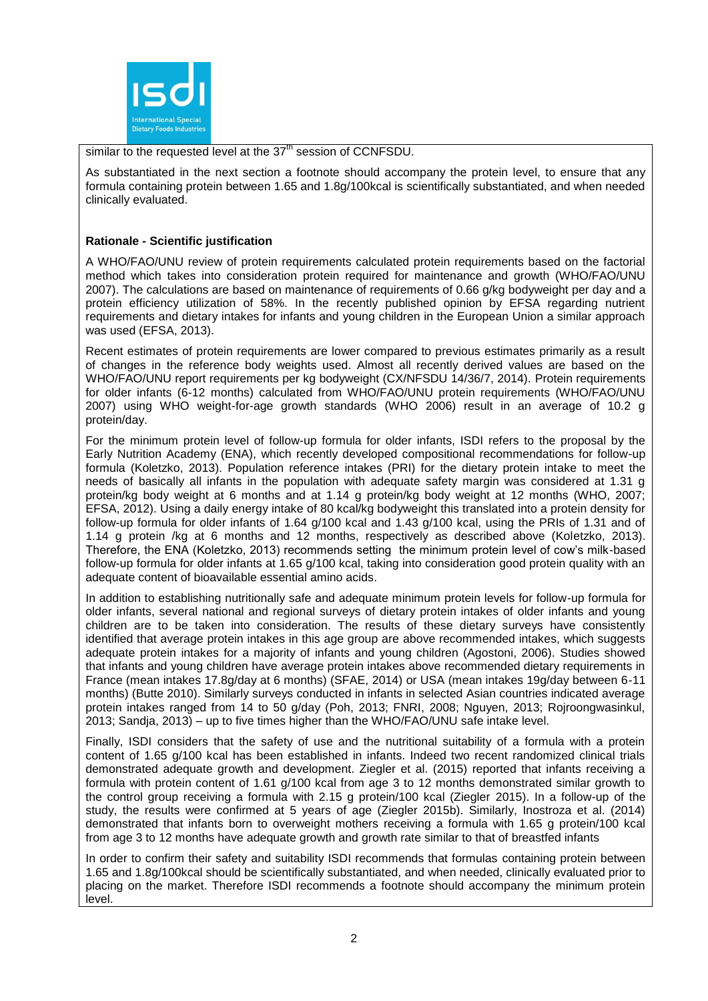

similar to the requested level at the  $37<sup>th</sup>$  session of CCNFSDU.

As substantiated in the next section a footnote should accompany the protein level, to ensure that any formula containing protein between 1.65 and 1.8g/100kcal is scientifically substantiated, and when needed clinically evaluated.

# **Rationale - Scientific justification**

A WHO/FAO/UNU review of protein requirements calculated protein requirements based on the factorial method which takes into consideration protein required for maintenance and growth (WHO/FAO/UNU 2007). The calculations are based on maintenance of requirements of 0.66 g/kg bodyweight per day and a protein efficiency utilization of 58%. In the recently published opinion by EFSA regarding nutrient requirements and dietary intakes for infants and young children in the European Union a similar approach was used (EFSA, 2013).

Recent estimates of protein requirements are lower compared to previous estimates primarily as a result of changes in the reference body weights used. Almost all recently derived values are based on the WHO/FAO/UNU report requirements per kg bodyweight (CX/NFSDU 14/36/7, 2014). Protein requirements for older infants (6-12 months) calculated from WHO/FAO/UNU protein requirements (WHO/FAO/UNU 2007) using WHO weight-for-age growth standards (WHO 2006) result in an average of 10.2 g protein/day.

For the minimum protein level of follow-up formula for older infants, ISDI refers to the proposal by the Early Nutrition Academy (ENA), which recently developed compositional recommendations for follow-up formula (Koletzko, 2013). Population reference intakes (PRI) for the dietary protein intake to meet the needs of basically all infants in the population with adequate safety margin was considered at 1.31 g protein/kg body weight at 6 months and at 1.14 g protein/kg body weight at 12 months (WHO, 2007; EFSA, 2012). Using a daily energy intake of 80 kcal/kg bodyweight this translated into a protein density for follow-up formula for older infants of 1.64 g/100 kcal and 1.43 g/100 kcal, using the PRIs of 1.31 and of 1.14 g protein /kg at 6 months and 12 months, respectively as described above (Koletzko, 2013). Therefore, the ENA (Koletzko, 2013) recommends setting the minimum protein level of cow's milk-based follow-up formula for older infants at 1.65 g/100 kcal, taking into consideration good protein quality with an adequate content of bioavailable essential amino acids.

In addition to establishing nutritionally safe and adequate minimum protein levels for follow-up formula for older infants, several national and regional surveys of dietary protein intakes of older infants and young children are to be taken into consideration. The results of these dietary surveys have consistently identified that average protein intakes in this age group are above recommended intakes, which suggests adequate protein intakes for a majority of infants and young children (Agostoni, 2006). Studies showed that infants and young children have average protein intakes above recommended dietary requirements in France (mean intakes 17.8g/day at 6 months) (SFAE, 2014) or USA (mean intakes 19g/day between 6-11 months) (Butte 2010). Similarly surveys conducted in infants in selected Asian countries indicated average protein intakes ranged from 14 to 50 g/day (Poh, 2013; FNRI, 2008; Nguyen, 2013; Rojroongwasinkul, 2013; Sandja, 2013) – up to five times higher than the WHO/FAO/UNU safe intake level.

Finally, ISDI considers that the safety of use and the nutritional suitability of a formula with a protein content of 1.65 g/100 kcal has been established in infants. Indeed two recent randomized clinical trials demonstrated adequate growth and development. Ziegler et al. (2015) reported that infants receiving a formula with protein content of 1.61 g/100 kcal from age 3 to 12 months demonstrated similar growth to the control group receiving a formula with 2.15 g protein/100 kcal (Ziegler 2015). In a follow-up of the study, the results were confirmed at 5 years of age (Ziegler 2015b). Similarly, Inostroza et al. (2014) demonstrated that infants born to overweight mothers receiving a formula with 1.65 g protein/100 kcal from age 3 to 12 months have adequate growth and growth rate similar to that of breastfed infants

In order to confirm their safety and suitability ISDI recommends that formulas containing protein between 1.65 and 1.8g/100kcal should be scientifically substantiated, and when needed, clinically evaluated prior to placing on the market. Therefore ISDI recommends a footnote should accompany the minimum protein level.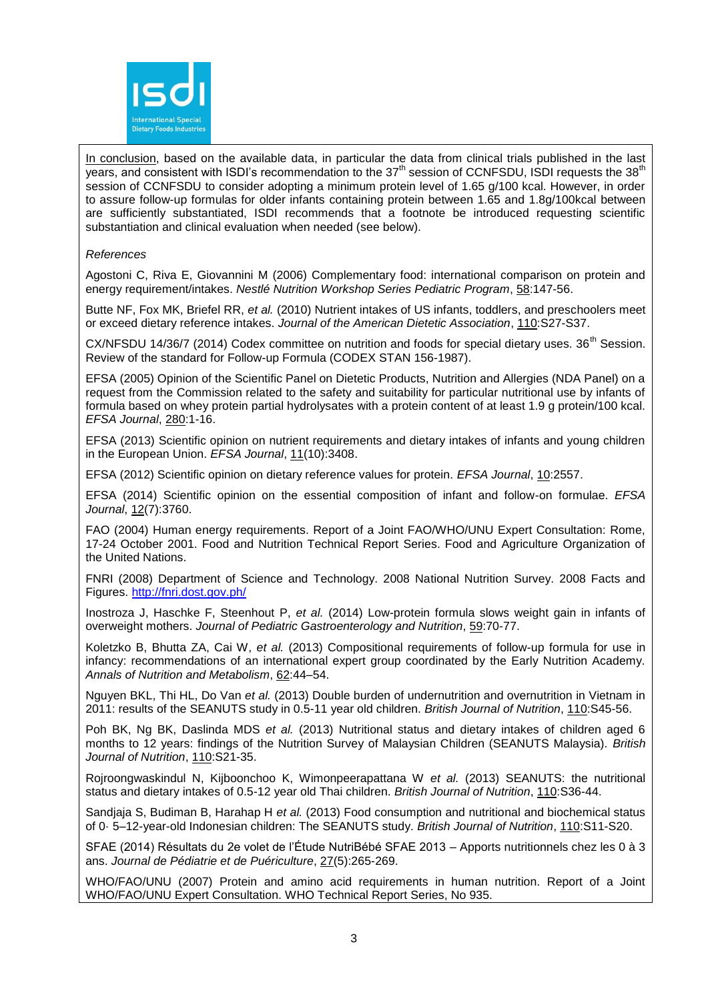

In conclusion, based on the available data, in particular the data from clinical trials published in the last years, and consistent with ISDI's recommendation to the 37<sup>th</sup> session of CCNFSDU, ISDI requests the 38<sup>th</sup> session of CCNFSDU to consider adopting a minimum protein level of 1.65 g/100 kcal. However, in order to assure follow-up formulas for older infants containing protein between 1.65 and 1.8g/100kcal between are sufficiently substantiated, ISDI recommends that a footnote be introduced requesting scientific substantiation and clinical evaluation when needed (see below).

#### *References*

Agostoni C, Riva E, Giovannini M (2006) Complementary food: international comparison on protein and energy requirement/intakes. *Nestlé Nutrition Workshop Series Pediatric Program*, 58:147-56.

Butte NF, Fox MK, Briefel RR, *et al.* (2010) Nutrient intakes of US infants, toddlers, and preschoolers meet or exceed dietary reference intakes. *Journal of the American Dietetic Association*, 110:S27-S37.

CX/NFSDU 14/36/7 (2014) Codex committee on nutrition and foods for special dietary uses. 36<sup>th</sup> Session. Review of the standard for Follow-up Formula (CODEX STAN 156-1987).

EFSA (2005) Opinion of the Scientific Panel on Dietetic Products, Nutrition and Allergies (NDA Panel) on a request from the Commission related to the safety and suitability for particular nutritional use by infants of formula based on whey protein partial hydrolysates with a protein content of at least 1.9 g protein/100 kcal. *EFSA Journal*, 280:1-16.

EFSA (2013) Scientific opinion on nutrient requirements and dietary intakes of infants and young children in the European Union. *EFSA Journal*, 11(10):3408.

EFSA (2012) Scientific opinion on dietary reference values for protein. *EFSA Journal*, 10:2557.

EFSA (2014) Scientific opinion on the essential composition of infant and follow-on formulae. *EFSA Journal*, 12(7):3760.

FAO (2004) Human energy requirements. Report of a Joint FAO/WHO/UNU Expert Consultation: Rome, 17-24 October 2001. Food and Nutrition Technical Report Series. Food and Agriculture Organization of the United Nations.

FNRI (2008) Department of Science and Technology. 2008 National Nutrition Survey. 2008 Facts and Figures.<http://fnri.dost.gov.ph/>

Inostroza J, Haschke F, Steenhout P, *et al.* (2014) Low-protein formula slows weight gain in infants of overweight mothers. *Journal of Pediatric Gastroenterology and Nutrition*, 59:70-77.

Koletzko B, Bhutta ZA, Cai W, *et al.* (2013) Compositional requirements of follow-up formula for use in infancy: recommendations of an international expert group coordinated by the Early Nutrition Academy. *Annals of Nutrition and Metabolism*, 62:44–54.

Nguyen BKL, Thi HL, Do Van *et al.* (2013) Double burden of undernutrition and overnutrition in Vietnam in 2011: results of the SEANUTS study in 0.5-11 year old children. *British Journal of Nutrition*, 110:S45-56.

Poh BK, Ng BK, Daslinda MDS *et al.* (2013) Nutritional status and dietary intakes of children aged 6 months to 12 years: findings of the Nutrition Survey of Malaysian Children (SEANUTS Malaysia). *British Journal of Nutrition*, 110:S21-35.

Rojroongwaskindul N, Kijboonchoo K, Wimonpeerapattana W *et al.* (2013) SEANUTS: the nutritional status and dietary intakes of 0.5-12 year old Thai children. *British Journal of Nutrition*, 110:S36-44.

Sandjaja S, Budiman B, Harahap H *et al.* (2013) Food consumption and nutritional and biochemical status of 0· 5–12-year-old Indonesian children: The SEANUTS study. *British Journal of Nutrition*, 110:S11-S20.

SFAE (2014) Résultats du 2e volet de l'Étude NutriBébé SFAE 2013 – Apports nutritionnels chez les 0 à 3 ans. *Journal de Pédiatrie et de Puériculture*, 27(5):265-269.

WHO/FAO/UNU (2007) Protein and amino acid requirements in human nutrition. Report of a Joint WHO/FAO/UNU Expert Consultation. WHO Technical Report Series, No 935.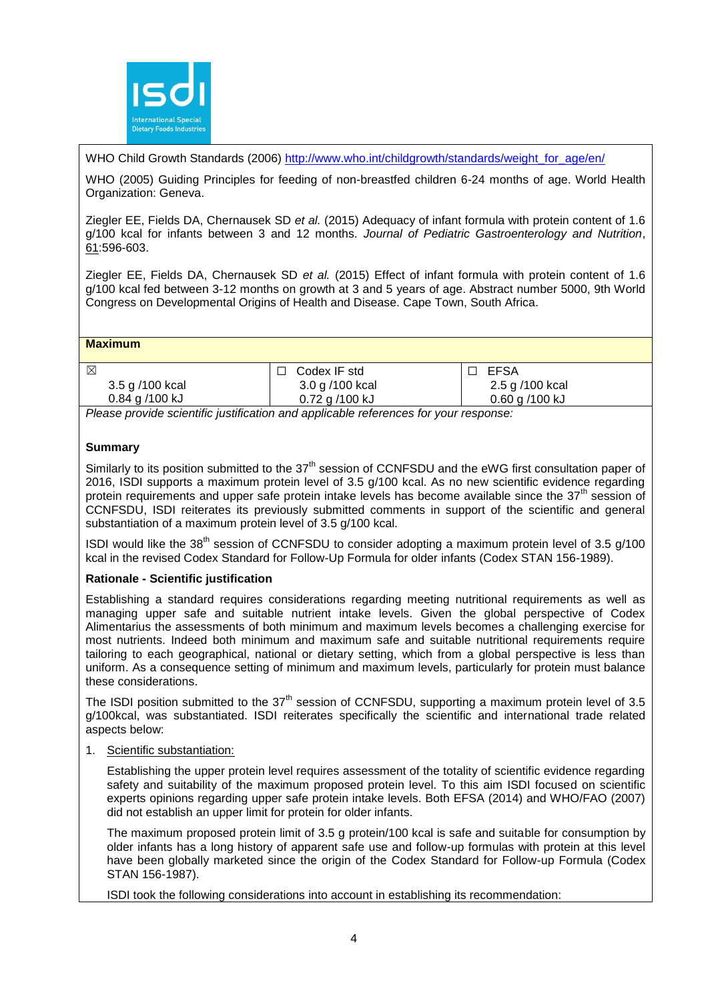

WHO Child Growth Standards (2006) http://www.who.int/childgrowth/standards/weight for age/en/

WHO (2005) Guiding Principles for feeding of non-breastfed children 6-24 months of age. World Health Organization: Geneva.

Ziegler EE, Fields DA, Chernausek SD *et al.* (2015) Adequacy of infant formula with protein content of 1.6 g/100 kcal for infants between 3 and 12 months. *Journal of Pediatric Gastroenterology and Nutrition*, 61:596-603.

Ziegler EE, Fields DA, Chernausek SD *et al.* (2015) Effect of infant formula with protein content of 1.6 g/100 kcal fed between 3-12 months on growth at 3 and 5 years of age. Abstract number 5000, 9th World Congress on Developmental Origins of Health and Disease. Cape Town, South Africa.

# **Maximum**

| ⊠                  | Codex IF std     | EFSA               |
|--------------------|------------------|--------------------|
| 3.5 g /100 kcal    | 3.0 g /100 kcal  | 2.5 g /100 kcal    |
| $0.84$ g $/100$ kJ | $0.72$ g /100 kJ | $0.60$ g $/100$ kJ |
| $ -$               | .                |                    |

*Please provide scientific justification and applicable references for your response:*

# **Summary**

Similarly to its position submitted to the 37<sup>th</sup> session of CCNFSDU and the eWG first consultation paper of 2016, ISDI supports a maximum protein level of 3.5 g/100 kcal. As no new scientific evidence regarding protein requirements and upper safe protein intake levels has become available since the  $37<sup>th</sup>$  session of CCNFSDU, ISDI reiterates its previously submitted comments in support of the scientific and general substantiation of a maximum protein level of 3.5 g/100 kcal.

ISDI would like the 38th session of CCNFSDU to consider adopting a maximum protein level of 3.5 g/100 kcal in the revised Codex Standard for Follow-Up Formula for older infants (Codex STAN 156-1989).

# **Rationale - Scientific justification**

Establishing a standard requires considerations regarding meeting nutritional requirements as well as managing upper safe and suitable nutrient intake levels. Given the global perspective of Codex Alimentarius the assessments of both minimum and maximum levels becomes a challenging exercise for most nutrients. Indeed both minimum and maximum safe and suitable nutritional requirements require tailoring to each geographical, national or dietary setting, which from a global perspective is less than uniform. As a consequence setting of minimum and maximum levels, particularly for protein must balance these considerations.

The ISDI position submitted to the  $37<sup>th</sup>$  session of CCNFSDU, supporting a maximum protein level of 3.5 g/100kcal, was substantiated. ISDI reiterates specifically the scientific and international trade related aspects below:

#### 1. Scientific substantiation:

Establishing the upper protein level requires assessment of the totality of scientific evidence regarding safety and suitability of the maximum proposed protein level. To this aim ISDI focused on scientific experts opinions regarding upper safe protein intake levels. Both EFSA (2014) and WHO/FAO (2007) did not establish an upper limit for protein for older infants.

The maximum proposed protein limit of 3.5 g protein/100 kcal is safe and suitable for consumption by older infants has a long history of apparent safe use and follow-up formulas with protein at this level have been globally marketed since the origin of the Codex Standard for Follow-up Formula (Codex STAN 156-1987).

ISDI took the following considerations into account in establishing its recommendation: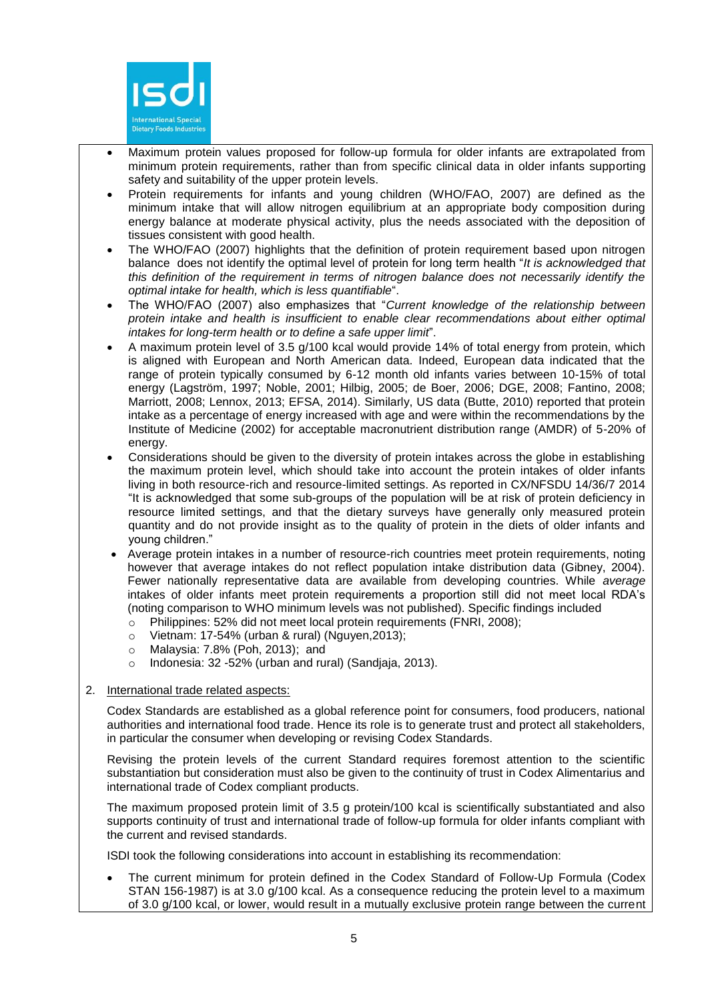

- Maximum protein values proposed for follow-up formula for older infants are extrapolated from minimum protein requirements, rather than from specific clinical data in older infants supporting safety and suitability of the upper protein levels.
- Protein requirements for infants and young children (WHO/FAO, 2007) are defined as the minimum intake that will allow nitrogen equilibrium at an appropriate body composition during energy balance at moderate physical activity, plus the needs associated with the deposition of tissues consistent with good health.
- The WHO/FAO (2007) highlights that the definition of protein requirement based upon nitrogen balance does not identify the optimal level of protein for long term health "*It is acknowledged that this definition of the requirement in terms of nitrogen balance does not necessarily identify the optimal intake for health, which is less quantifiable*".
- The WHO/FAO (2007) also emphasizes that "*Current knowledge of the relationship between protein intake and health is insufficient to enable clear recommendations about either optimal intakes for long-term health or to define a safe upper limit*".
- A maximum protein level of 3.5 g/100 kcal would provide 14% of total energy from protein, which is aligned with European and North American data. Indeed, European data indicated that the range of protein typically consumed by 6-12 month old infants varies between 10-15% of total energy (Lagström, 1997; Noble, 2001; Hilbig, 2005; de Boer, 2006; DGE, 2008; Fantino, 2008; Marriott, 2008; Lennox, 2013; EFSA, 2014). Similarly, US data (Butte, 2010) reported that protein intake as a percentage of energy increased with age and were within the recommendations by the Institute of Medicine (2002) for acceptable macronutrient distribution range (AMDR) of 5-20% of energy.
- Considerations should be given to the diversity of protein intakes across the globe in establishing the maximum protein level, which should take into account the protein intakes of older infants living in both resource-rich and resource-limited settings. As reported in CX/NFSDU 14/36/7 2014 "It is acknowledged that some sub-groups of the population will be at risk of protein deficiency in resource limited settings, and that the dietary surveys have generally only measured protein quantity and do not provide insight as to the quality of protein in the diets of older infants and young children."
- Average protein intakes in a number of resource-rich countries meet protein requirements, noting however that average intakes do not reflect population intake distribution data (Gibney, 2004). Fewer nationally representative data are available from developing countries. While *average* intakes of older infants meet protein requirements a proportion still did not meet local RDA's (noting comparison to WHO minimum levels was not published). Specific findings included
	- o Philippines: 52% did not meet local protein requirements (FNRI, 2008);
	- o Vietnam: 17-54% (urban & rural) (Nguyen,2013);
	- o Malaysia: 7.8% (Poh, 2013); and
	- o Indonesia: 32 -52% (urban and rural) (Sandjaja, 2013).
- 2. International trade related aspects:

Codex Standards are established as a global reference point for consumers, food producers, national authorities and international food trade. Hence its role is to generate trust and protect all stakeholders, in particular the consumer when developing or revising Codex Standards.

Revising the protein levels of the current Standard requires foremost attention to the scientific substantiation but consideration must also be given to the continuity of trust in Codex Alimentarius and international trade of Codex compliant products.

The maximum proposed protein limit of 3.5 g protein/100 kcal is scientifically substantiated and also supports continuity of trust and international trade of follow-up formula for older infants compliant with the current and revised standards.

ISDI took the following considerations into account in establishing its recommendation:

 The current minimum for protein defined in the Codex Standard of Follow-Up Formula (Codex STAN 156-1987) is at 3.0 g/100 kcal. As a consequence reducing the protein level to a maximum of 3.0 g/100 kcal, or lower, would result in a mutually exclusive protein range between the current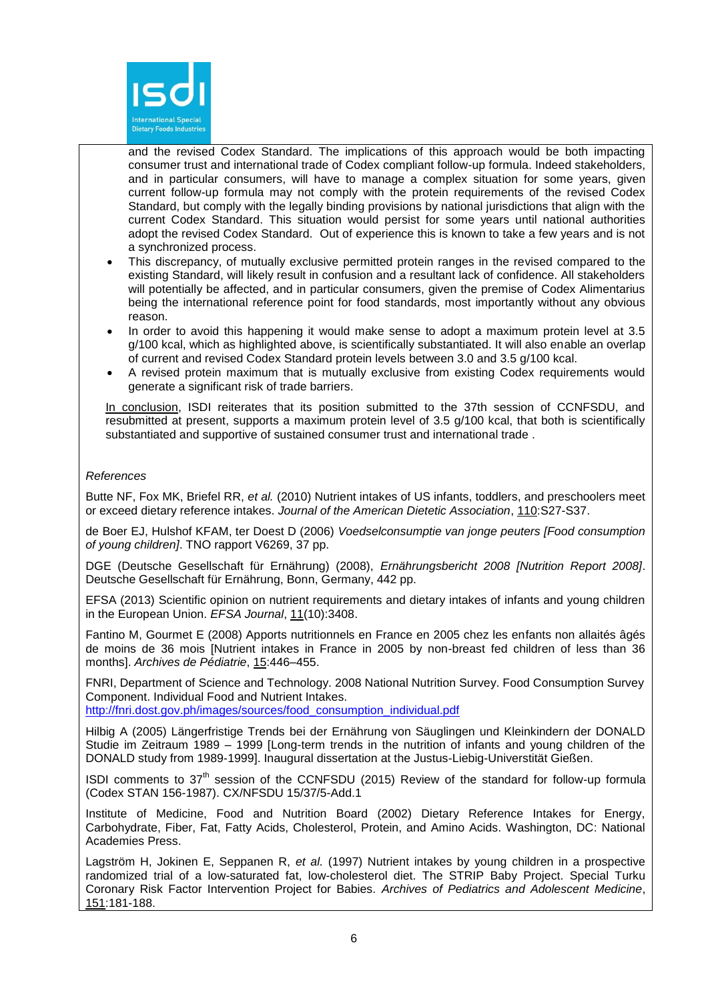

and the revised Codex Standard. The implications of this approach would be both impacting consumer trust and international trade of Codex compliant follow-up formula. Indeed stakeholders, and in particular consumers, will have to manage a complex situation for some years, given current follow-up formula may not comply with the protein requirements of the revised Codex Standard, but comply with the legally binding provisions by national jurisdictions that align with the current Codex Standard. This situation would persist for some years until national authorities adopt the revised Codex Standard. Out of experience this is known to take a few years and is not a synchronized process.

- This discrepancy, of mutually exclusive permitted protein ranges in the revised compared to the existing Standard, will likely result in confusion and a resultant lack of confidence. All stakeholders will potentially be affected, and in particular consumers, given the premise of Codex Alimentarius being the international reference point for food standards, most importantly without any obvious reason.
- In order to avoid this happening it would make sense to adopt a maximum protein level at 3.5 g/100 kcal, which as highlighted above, is scientifically substantiated. It will also enable an overlap of current and revised Codex Standard protein levels between 3.0 and 3.5 g/100 kcal.
- A revised protein maximum that is mutually exclusive from existing Codex requirements would generate a significant risk of trade barriers.

In conclusion, ISDI reiterates that its position submitted to the 37th session of CCNFSDU, and resubmitted at present, supports a maximum protein level of 3.5 g/100 kcal, that both is scientifically substantiated and supportive of sustained consumer trust and international trade .

# *References*

Butte NF, Fox MK, Briefel RR, *et al.* (2010) Nutrient intakes of US infants, toddlers, and preschoolers meet or exceed dietary reference intakes. *Journal of the American Dietetic Association*, 110:S27-S37.

de Boer EJ, Hulshof KFAM, ter Doest D (2006) *Voedselconsumptie van jonge peuters [Food consumption of young children]*. TNO rapport V6269, 37 pp.

DGE (Deutsche Gesellschaft für Ernährung) (2008), *Ernährungsbericht 2008 [Nutrition Report 2008]*. Deutsche Gesellschaft für Ernährung, Bonn, Germany, 442 pp.

EFSA (2013) Scientific opinion on nutrient requirements and dietary intakes of infants and young children in the European Union. *EFSA Journal*, 11(10):3408.

Fantino M, Gourmet E (2008) Apports nutritionnels en France en 2005 chez les enfants non allaités âgés de moins de 36 mois [Nutrient intakes in France in 2005 by non-breast fed children of less than 36 months]. *Archives de Pédiatrie*, 15:446–455.

FNRI, Department of Science and Technology. 2008 National Nutrition Survey. Food Consumption Survey Component. Individual Food and Nutrient Intakes.

[http://fnri.dost.gov.ph/images/sources/food\\_consumption\\_individual.pdf](http://fnri.dost.gov.ph/images/sources/food_consumption_individual.pdf)

Hilbig A (2005) Längerfristige Trends bei der Ernährung von Säuglingen und Kleinkindern der DONALD Studie im Zeitraum 1989 – 1999 [Long-term trends in the nutrition of infants and young children of the DONALD study from 1989-1999]. Inaugural dissertation at the Justus-Liebig-Universtität Gießen.

ISDI comments to 37<sup>th</sup> session of the CCNFSDU (2015) Review of the standard for follow-up formula (Codex STAN 156-1987). CX/NFSDU 15/37/5-Add.1

Institute of Medicine, Food and Nutrition Board (2002) Dietary Reference Intakes for Energy, Carbohydrate, Fiber, Fat, Fatty Acids, Cholesterol, Protein, and Amino Acids. Washington, DC: National Academies Press.

Lagström H, Jokinen E, Seppanen R, *et al.* (1997) Nutrient intakes by young children in a prospective randomized trial of a low-saturated fat, low-cholesterol diet. The STRIP Baby Project. Special Turku Coronary Risk Factor Intervention Project for Babies. *Archives of Pediatrics and Adolescent Medicine*, 151:181-188.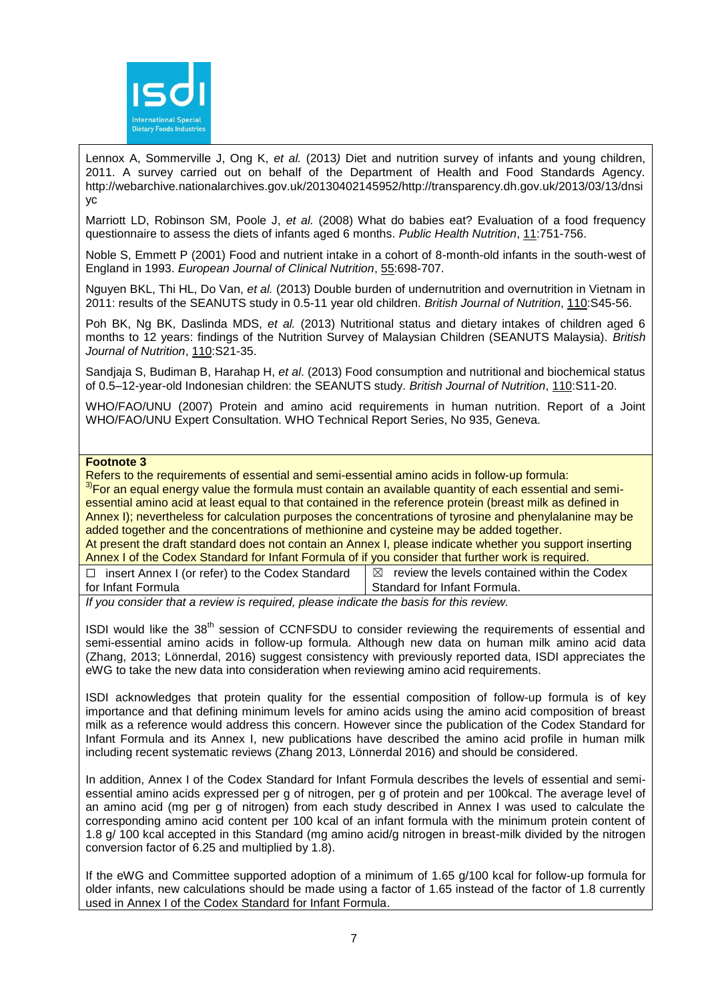

Lennox A, Sommerville J, Ong K, *et al.* (2013*)* Diet and nutrition survey of infants and young children, 2011. A survey carried out on behalf of the Department of Health and Food Standards Agency. http://webarchive.nationalarchives.gov.uk/20130402145952/http://transparency.dh.gov.uk/2013/03/13/dnsi yc

Marriott LD, Robinson SM, Poole J, *et al.* (2008) What do babies eat? Evaluation of a food frequency questionnaire to assess the diets of infants aged 6 months. *Public Health Nutrition*, 11:751-756.

Noble S, Emmett P (2001) Food and nutrient intake in a cohort of 8-month-old infants in the south-west of England in 1993. *European Journal of Clinical Nutrition*, 55:698-707.

Nguyen BKL, Thi HL, Do Van, *et al.* (2013) Double burden of undernutrition and overnutrition in Vietnam in 2011: results of the SEANUTS study in 0.5-11 year old children. *British Journal of Nutrition*, 110:S45-56.

Poh BK, Ng BK, Daslinda MDS, *et al.* (2013) Nutritional status and dietary intakes of children aged 6 months to 12 years: findings of the Nutrition Survey of Malaysian Children (SEANUTS Malaysia). *British Journal of Nutrition*, 110:S21-35.

Sandjaja S, Budiman B, Harahap H, *et al*. (2013) Food consumption and nutritional and biochemical status of 0.5–12-year-old Indonesian children: the SEANUTS study. *British Journal of Nutrition*, 110:S11-20.

WHO/FAO/UNU (2007) Protein and amino acid requirements in human nutrition. Report of a Joint WHO/FAO/UNU Expert Consultation. WHO Technical Report Series, No 935, Geneva.

# **Footnote 3**

Refers to the requirements of essential and semi-essential amino acids in follow-up formula:

<sup>3)</sup>For an equal energy value the formula must contain an available quantity of each essential and semiessential amino acid at least equal to that contained in the reference protein (breast milk as defined in Annex I); nevertheless for calculation purposes the concentrations of tyrosine and phenylalanine may be added together and the concentrations of methionine and cysteine may be added together. At present the draft standard does not contain an Annex I, please indicate whether you support inserting Annex I of the Codex Standard for Infant Formula of if you consider that further work is required.

☐ insert Annex I (or refer) to the Codex Standard for Infant Formula  $\boxtimes$  review the levels contained within the Codex Standard for Infant Formula.

*If you consider that a review is required, please indicate the basis for this review.*

ISDI would like the 38<sup>th</sup> session of CCNFSDU to consider reviewing the requirements of essential and semi-essential amino acids in follow-up formula. Although new data on human milk amino acid data (Zhang, 2013; Lönnerdal, 2016) suggest consistency with previously reported data, ISDI appreciates the eWG to take the new data into consideration when reviewing amino acid requirements.

ISDI acknowledges that protein quality for the essential composition of follow-up formula is of key importance and that defining minimum levels for amino acids using the amino acid composition of breast milk as a reference would address this concern. However since the publication of the Codex Standard for Infant Formula and its Annex I, new publications have described the amino acid profile in human milk including recent systematic reviews (Zhang 2013, Lönnerdal 2016) and should be considered.

In addition, Annex I of the Codex Standard for Infant Formula describes the levels of essential and semiessential amino acids expressed per g of nitrogen, per g of protein and per 100kcal. The average level of an amino acid (mg per g of nitrogen) from each study described in Annex I was used to calculate the corresponding amino acid content per 100 kcal of an infant formula with the minimum protein content of 1.8 g/ 100 kcal accepted in this Standard (mg amino acid/g nitrogen in breast-milk divided by the nitrogen conversion factor of 6.25 and multiplied by 1.8).

If the eWG and Committee supported adoption of a minimum of 1.65 g/100 kcal for follow-up formula for older infants, new calculations should be made using a factor of 1.65 instead of the factor of 1.8 currently used in Annex I of the Codex Standard for Infant Formula.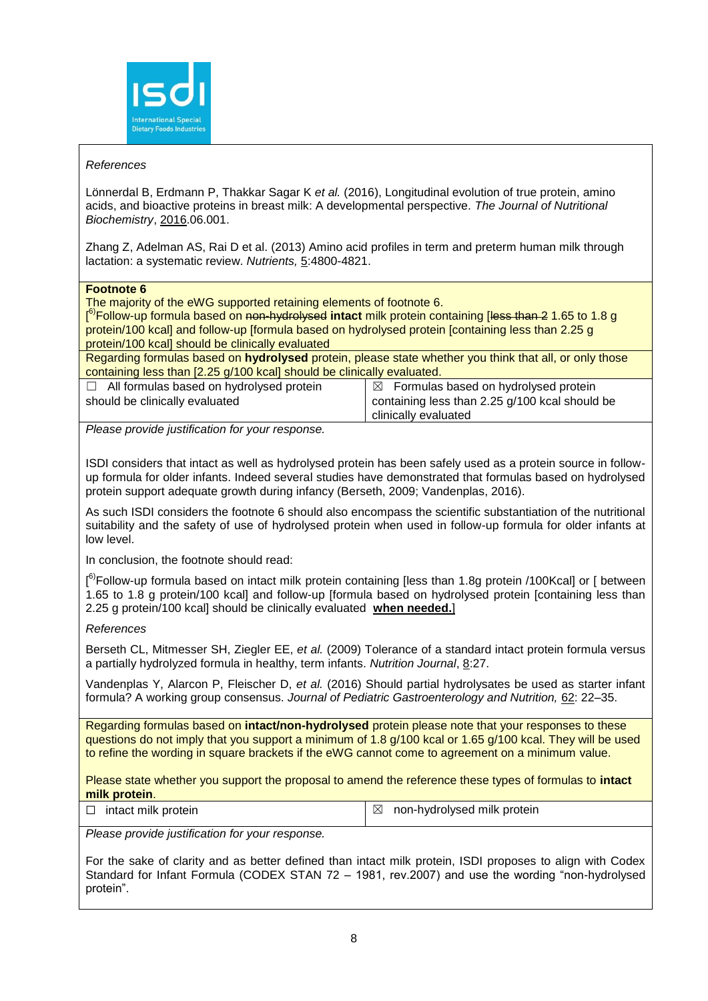

# *References*

Lönnerdal B, Erdmann P, Thakkar Sagar K *et al.* (2016), Longitudinal evolution of true protein, amino acids, and bioactive proteins in breast milk: A developmental perspective. *The Journal of Nutritional Biochemistry*, 2016.06.001.

Zhang Z, Adelman AS, Rai D et al. (2013) Amino acid profiles in term and preterm human milk through lactation: a systematic review. *Nutrients,* 5:4800-4821.

**Footnote 6**

The majority of the eWG supported retaining elements of footnote 6.

[ 6)Follow-up formula based on non-hydrolysed **intact** milk protein containing [less than 2 1.65 to 1.8 g protein/100 kcal] and follow-up [formula based on hydrolysed protein [containing less than 2.25 g protein/100 kcal] should be clinically evaluated

Regarding formulas based on **hydrolysed** protein, please state whether you think that all, or only those containing less than [2.25 g/100 kcal] should be clinically evaluated.

☐ All formulas based on hydrolysed protein should be clinically evaluated

 $\boxtimes$  Formulas based on hydrolysed protein containing less than 2.25 g/100 kcal should be clinically evaluated

*Please provide justification for your response.*

ISDI considers that intact as well as hydrolysed protein has been safely used as a protein source in followup formula for older infants. Indeed several studies have demonstrated that formulas based on hydrolysed protein support adequate growth during infancy (Berseth, 2009; Vandenplas, 2016).

As such ISDI considers the footnote 6 should also encompass the scientific substantiation of the nutritional suitability and the safety of use of hydrolysed protein when used in follow-up formula for older infants at low level.

In conclusion, the footnote should read:

[<sup>6)</sup>Follow-up formula based on intact milk protein containing [less than 1.8g protein /100Kcal] or [ between 1.65 to 1.8 g protein/100 kcal] and follow-up [formula based on hydrolysed protein [containing less than 2.25 g protein/100 kcal] should be clinically evaluated **when needed.**]

*References*

Berseth CL, Mitmesser SH, Ziegler EE, *et al.* (2009) Tolerance of a standard intact protein formula versus a partially hydrolyzed formula in healthy, term infants. *Nutrition Journal*, 8:27.

Vandenplas Y, Alarcon P, Fleischer D, *et al.* (2016) Should partial hydrolysates be used as starter infant formula? A working group consensus. *Journal of Pediatric Gastroenterology and Nutrition,* 62: 22–35.

Regarding formulas based on **intact/non-hydrolysed** protein please note that your responses to these questions do not imply that you support a minimum of 1.8 g/100 kcal or 1.65 g/100 kcal. They will be used to refine the wording in square brackets if the eWG cannot come to agreement on a minimum value.

Please state whether you support the proposal to amend the reference these types of formulas to **intact milk protein**.

| $\Box$ intact milk protein | $\boxtimes$ non-hydrolysed milk protein |
|----------------------------|-----------------------------------------|
|                            |                                         |

*Please provide justification for your response.*

For the sake of clarity and as better defined than intact milk protein, ISDI proposes to align with Codex Standard for Infant Formula (CODEX STAN 72 – 1981, rev.2007) and use the wording "non-hydrolysed protein".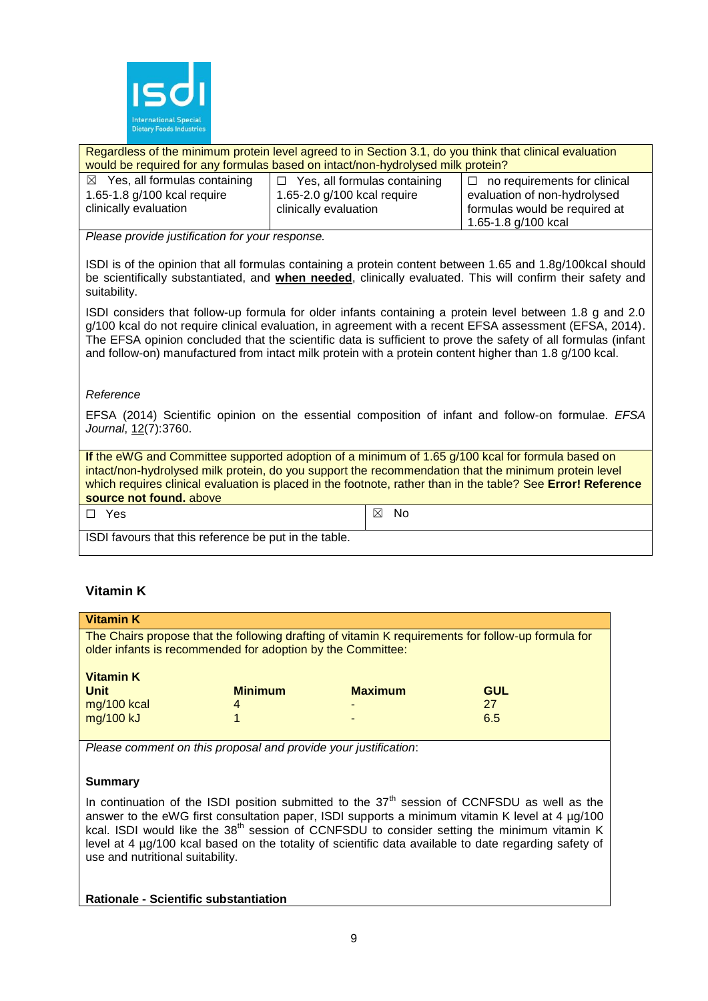

Regardless of the minimum protein level agreed to in Section 3.1, do you think that clinical evaluation would be required for any formulas based on intact/non-hydrolysed milk protein?

| $\boxtimes$ Yes, all formulas containing | $\Box$ Yes, all formulas containing | $\Box$ no requirements for clinical |
|------------------------------------------|-------------------------------------|-------------------------------------|
| 1.65-1.8 g/100 kcal require              | 1.65-2.0 g/100 kcal require         | evaluation of non-hydrolysed        |
| clinically evaluation                    | clinically evaluation               | formulas would be required at       |
|                                          |                                     | 1.65-1.8 g/100 kcal                 |

*Please provide justification for your response.*

ISDI is of the opinion that all formulas containing a protein content between 1.65 and 1.8g/100kcal should be scientifically substantiated, and **when needed**, clinically evaluated. This will confirm their safety and suitability.

ISDI considers that follow-up formula for older infants containing a protein level between 1.8 g and 2.0 g/100 kcal do not require clinical evaluation, in agreement with a recent EFSA assessment (EFSA, 2014). The EFSA opinion concluded that the scientific data is sufficient to prove the safety of all formulas (infant and follow-on) manufactured from intact milk protein with a protein content higher than 1.8 g/100 kcal.

# *Reference*

EFSA (2014) Scientific opinion on the essential composition of infant and follow-on formulae. *EFSA Journal*, 12(7):3760.

**If** the eWG and Committee supported adoption of a minimum of 1.65 g/100 kcal for formula based on intact/non-hydrolysed milk protein, do you support the recommendation that the minimum protein level which requires clinical evaluation is placed in the footnote, rather than in the table? See **Error! Reference source not found.** above

 $\square$  Yes  $\square$  Yes

ISDI favours that this reference be put in the table.

# **Vitamin K**

| <b>Vitamin K</b>                                                                                                                                                  |                |                |            |
|-------------------------------------------------------------------------------------------------------------------------------------------------------------------|----------------|----------------|------------|
| The Chairs propose that the following drafting of vitamin K requirements for follow-up formula for<br>older infants is recommended for adoption by the Committee: |                |                |            |
| <b>Vitamin K</b><br><b>Unit</b>                                                                                                                                   | <b>Minimum</b> | <b>Maximum</b> | <b>GUL</b> |
| mg/100 kcal                                                                                                                                                       | 4              | -              | 27         |
| mg/100 kJ                                                                                                                                                         |                | -              | 6.5        |

*Please comment on this proposal and provide your justification*:

# **Summary**

In continuation of the ISDI position submitted to the  $37<sup>th</sup>$  session of CCNFSDU as well as the answer to the eWG first consultation paper, ISDI supports a minimum vitamin K level at 4 µg/100 kcal. ISDI would like the 38<sup>th</sup> session of CCNFSDU to consider setting the minimum vitamin K level at 4 µg/100 kcal based on the totality of scientific data available to date regarding safety of use and nutritional suitability.

**Rationale - Scientific substantiation**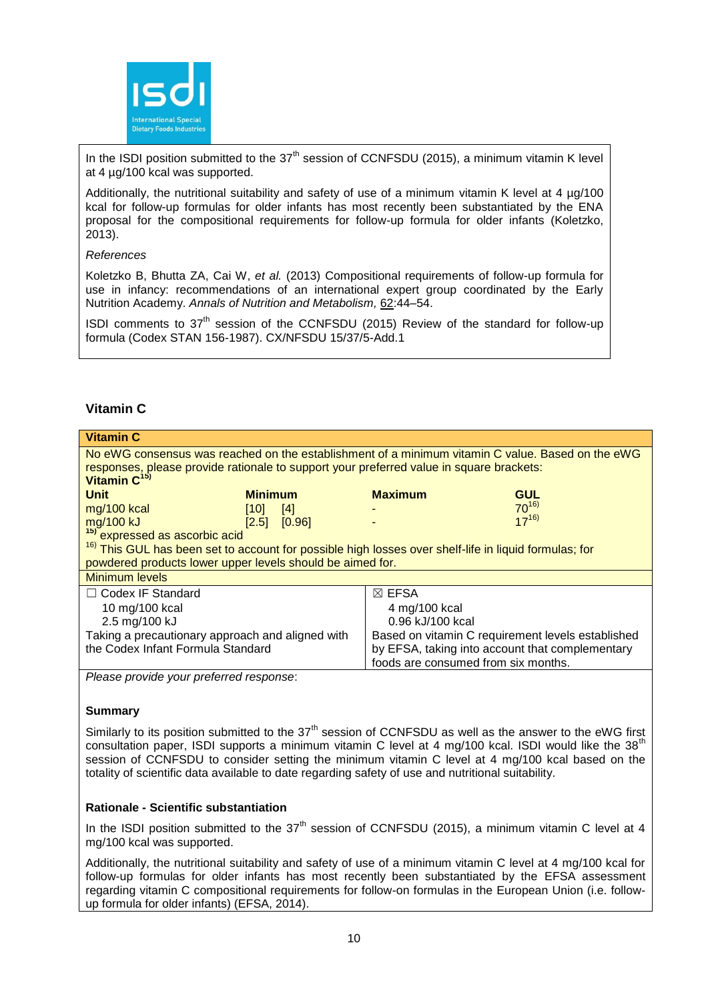

In the ISDI position submitted to the  $37<sup>th</sup>$  session of CCNFSDU (2015), a minimum vitamin K level at 4 µg/100 kcal was supported.

Additionally, the nutritional suitability and safety of use of a minimum vitamin K level at 4 ug/100 kcal for follow-up formulas for older infants has most recently been substantiated by the ENA proposal for the compositional requirements for follow-up formula for older infants (Koletzko, 2013).

# *References*

Koletzko B, Bhutta ZA, Cai W, *et al.* (2013) Compositional requirements of follow-up formula for use in infancy: recommendations of an international expert group coordinated by the Early Nutrition Academy. *Annals of Nutrition and Metabolism,* 62:44–54.

ISDI comments to  $37<sup>th</sup>$  session of the CCNFSDU (2015) Review of the standard for follow-up formula (Codex STAN 156-1987). CX/NFSDU 15/37/5-Add.1

# **Vitamin C**

| <b>Vitamin C</b>                                                                                                                                                                                                        |                |                                                   |                                     |            |
|-------------------------------------------------------------------------------------------------------------------------------------------------------------------------------------------------------------------------|----------------|---------------------------------------------------|-------------------------------------|------------|
| No eWG consensus was reached on the establishment of a minimum vitamin C value. Based on the eWG<br>responses, please provide rationale to support your preferred value in square brackets:<br>Vitamin C <sup>15)</sup> |                |                                                   |                                     |            |
| <b>Unit</b>                                                                                                                                                                                                             | <b>Minimum</b> |                                                   | <b>Maximum</b>                      | <b>GUL</b> |
| mg/100 kcal                                                                                                                                                                                                             | [10]           | [4]                                               |                                     | $70^{16}$  |
| mg/100 kJ                                                                                                                                                                                                               | [2.5]          | [0.96]                                            |                                     | $17^{16}$  |
| <sup>15)</sup> expressed as ascorbic acid                                                                                                                                                                               |                |                                                   |                                     |            |
| <sup>16)</sup> This GUL has been set to account for possible high losses over shelf-life in liquid formulas; for                                                                                                        |                |                                                   |                                     |            |
| powdered products lower upper levels should be aimed for.                                                                                                                                                               |                |                                                   |                                     |            |
| Minimum levels                                                                                                                                                                                                          |                |                                                   |                                     |            |
| $\Box$ Codex IF Standard                                                                                                                                                                                                |                |                                                   | $\boxtimes$ EFSA                    |            |
| 10 mg/100 kcal                                                                                                                                                                                                          |                | 4 mg/100 kcal                                     |                                     |            |
| 2.5 mg/100 kJ                                                                                                                                                                                                           |                | 0.96 kJ/100 kcal                                  |                                     |            |
| Taking a precautionary approach and aligned with                                                                                                                                                                        |                | Based on vitamin C requirement levels established |                                     |            |
| the Codex Infant Formula Standard                                                                                                                                                                                       |                | by EFSA, taking into account that complementary   |                                     |            |
|                                                                                                                                                                                                                         |                |                                                   | foods are consumed from six months. |            |

*Please provide your preferred response*:

# **Summary**

Similarly to its position submitted to the  $37<sup>th</sup>$  session of CCNFSDU as well as the answer to the eWG first consultation paper, ISDI supports a minimum vitamin C level at 4 mg/100 kcal. ISDI would like the 38<sup>th</sup> session of CCNFSDU to consider setting the minimum vitamin C level at 4 mg/100 kcal based on the totality of scientific data available to date regarding safety of use and nutritional suitability.

# **Rationale - Scientific substantiation**

In the ISDI position submitted to the  $37<sup>th</sup>$  session of CCNFSDU (2015), a minimum vitamin C level at 4 mg/100 kcal was supported.

Additionally, the nutritional suitability and safety of use of a minimum vitamin C level at 4 mg/100 kcal for follow-up formulas for older infants has most recently been substantiated by the EFSA assessment regarding vitamin C compositional requirements for follow-on formulas in the European Union (i.e. followup formula for older infants) (EFSA, 2014).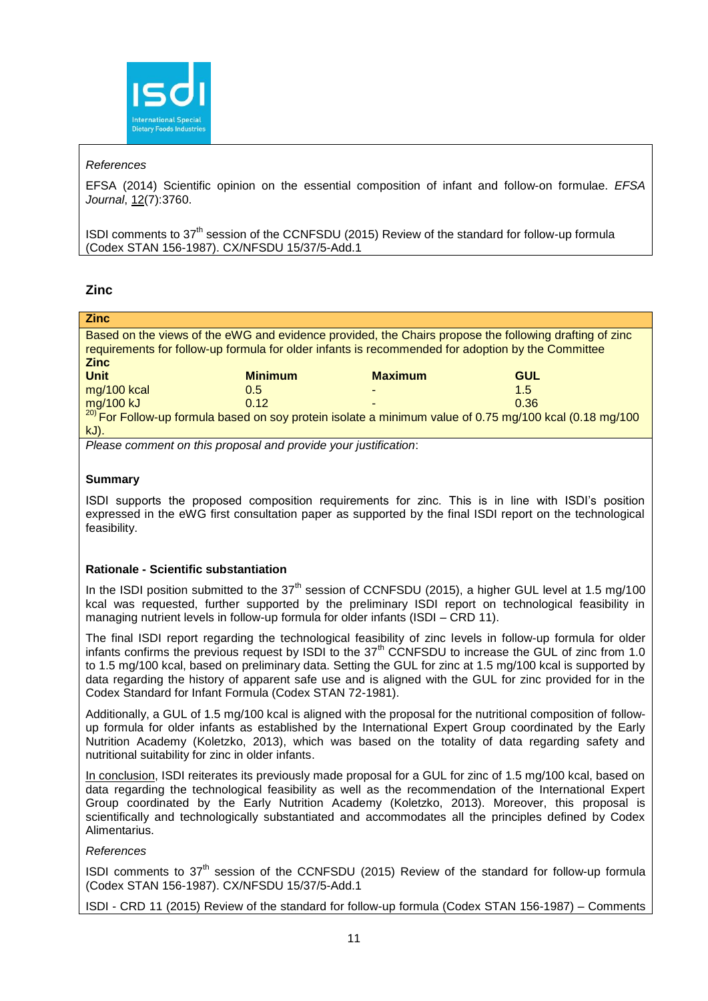

# *References*

EFSA (2014) Scientific opinion on the essential composition of infant and follow-on formulae. *EFSA Journal*, 12(7):3760.

ISDI comments to 37th session of the CCNFSDU (2015) Review of the standard for follow-up formula (Codex STAN 156-1987). CX/NFSDU 15/37/5-Add.1

# **Zinc**

| Based on the views of the eWG and evidence provided, the Chairs propose the following drafting of zinc<br>requirements for follow-up formula for older infants is recommended for adoption by the Committee<br><b>Zinc</b> |  |  |  |
|----------------------------------------------------------------------------------------------------------------------------------------------------------------------------------------------------------------------------|--|--|--|
|                                                                                                                                                                                                                            |  |  |  |
|                                                                                                                                                                                                                            |  |  |  |
|                                                                                                                                                                                                                            |  |  |  |
| $\frac{mg}{100}$ kJ $\frac{0.12}{20}$ b $\frac{12}{20}$ For Follow-up formula based on soy protein isolate a minimum value of 0.75 mg/100 kcal (0.18 mg/100                                                                |  |  |  |
|                                                                                                                                                                                                                            |  |  |  |
|                                                                                                                                                                                                                            |  |  |  |
|                                                                                                                                                                                                                            |  |  |  |

*Please comment on this proposal and provide your justification*:

# **Summary**

ISDI supports the proposed composition requirements for zinc. This is in line with ISDI's position expressed in the eWG first consultation paper as supported by the final ISDI report on the technological feasibility.

# **Rationale - Scientific substantiation**

In the ISDI position submitted to the  $37<sup>th</sup>$  session of CCNFSDU (2015), a higher GUL level at 1.5 mg/100 kcal was requested, further supported by the preliminary ISDI report on technological feasibility in managing nutrient levels in follow-up formula for older infants (ISDI – CRD 11).

The final ISDI report regarding the technological feasibility of zinc levels in follow-up formula for older infants confirms the previous request by ISDI to the 37<sup>th</sup> CCNFSDU to increase the GUL of zinc from 1.0 to 1.5 mg/100 kcal, based on preliminary data. Setting the GUL for zinc at 1.5 mg/100 kcal is supported by data regarding the history of apparent safe use and is aligned with the GUL for zinc provided for in the Codex Standard for Infant Formula (Codex STAN 72-1981).

Additionally, a GUL of 1.5 mg/100 kcal is aligned with the proposal for the nutritional composition of followup formula for older infants as established by the International Expert Group coordinated by the Early Nutrition Academy (Koletzko, 2013), which was based on the totality of data regarding safety and nutritional suitability for zinc in older infants.

In conclusion, ISDI reiterates its previously made proposal for a GUL for zinc of 1.5 mg/100 kcal, based on data regarding the technological feasibility as well as the recommendation of the International Expert Group coordinated by the Early Nutrition Academy (Koletzko, 2013). Moreover, this proposal is scientifically and technologically substantiated and accommodates all the principles defined by Codex Alimentarius.

# *References*

ISDI comments to  $37<sup>th</sup>$  session of the CCNFSDU (2015) Review of the standard for follow-up formula (Codex STAN 156-1987). CX/NFSDU 15/37/5-Add.1

ISDI - CRD 11 (2015) Review of the standard for follow-up formula (Codex STAN 156-1987) – Comments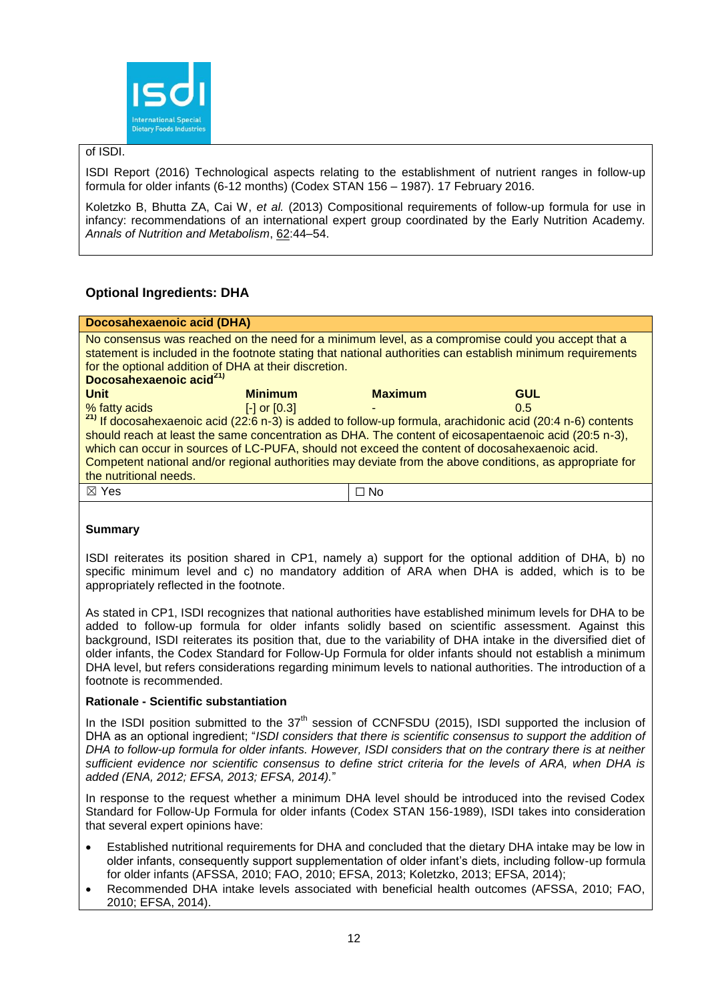

# of ISDI.

ISDI Report (2016) Technological aspects relating to the establishment of nutrient ranges in follow-up formula for older infants (6-12 months) (Codex STAN 156 – 1987). 17 February 2016.

Koletzko B, Bhutta ZA, Cai W, *et al.* (2013) Compositional requirements of follow-up formula for use in infancy: recommendations of an international expert group coordinated by the Early Nutrition Academy. *Annals of Nutrition and Metabolism*, 62:44–54.

# **Optional Ingredients: DHA**

| <b>Docosahexaenoic acid (DHA)</b>                                                                                                                                                                                                                                                                               |                  |                |                                                                                                                                                                                                                                                                                                                                                                                                                                                    |
|-----------------------------------------------------------------------------------------------------------------------------------------------------------------------------------------------------------------------------------------------------------------------------------------------------------------|------------------|----------------|----------------------------------------------------------------------------------------------------------------------------------------------------------------------------------------------------------------------------------------------------------------------------------------------------------------------------------------------------------------------------------------------------------------------------------------------------|
| No consensus was reached on the need for a minimum level, as a compromise could you accept that a<br>statement is included in the footnote stating that national authorities can establish minimum requirements<br>for the optional addition of DHA at their discretion.<br>Docosahexaenoic acid <sup>21)</sup> |                  |                |                                                                                                                                                                                                                                                                                                                                                                                                                                                    |
| <b>Unit</b>                                                                                                                                                                                                                                                                                                     | <b>Minimum</b>   | <b>Maximum</b> | <b>GUL</b>                                                                                                                                                                                                                                                                                                                                                                                                                                         |
| % fatty acids<br>the nutritional needs.                                                                                                                                                                                                                                                                         | $[-]$ or $[0.3]$ |                | 0.5<br><sup>21)</sup> If docosahexaenoic acid (22:6 n-3) is added to follow-up formula, arachidonic acid (20:4 n-6) contents<br>should reach at least the same concentration as DHA. The content of eicosapentaenoic acid (20:5 n-3),<br>which can occur in sources of LC-PUFA, should not exceed the content of docosahexaenoic acid.<br>Competent national and/or regional authorities may deviate from the above conditions, as appropriate for |
| $\boxtimes$ Yes                                                                                                                                                                                                                                                                                                 |                  | $\Box$ No      |                                                                                                                                                                                                                                                                                                                                                                                                                                                    |

# **Summary**

ISDI reiterates its position shared in CP1, namely a) support for the optional addition of DHA, b) no specific minimum level and c) no mandatory addition of ARA when DHA is added, which is to be appropriately reflected in the footnote.

As stated in CP1, ISDI recognizes that national authorities have established minimum levels for DHA to be added to follow-up formula for older infants solidly based on scientific assessment. Against this background, ISDI reiterates its position that, due to the variability of DHA intake in the diversified diet of older infants, the Codex Standard for Follow-Up Formula for older infants should not establish a minimum DHA level, but refers considerations regarding minimum levels to national authorities. The introduction of a footnote is recommended.

# **Rationale - Scientific substantiation**

In the ISDI position submitted to the  $37<sup>th</sup>$  session of CCNFSDU (2015), ISDI supported the inclusion of DHA as an optional ingredient; "*ISDI considers that there is scientific consensus to support the addition of DHA to follow-up formula for older infants. However, ISDI considers that on the contrary there is at neither sufficient evidence nor scientific consensus to define strict criteria for the levels of ARA, when DHA is added (ENA, 2012; EFSA, 2013; EFSA, 2014).*"

In response to the request whether a minimum DHA level should be introduced into the revised Codex Standard for Follow-Up Formula for older infants (Codex STAN 156-1989), ISDI takes into consideration that several expert opinions have:

- Established nutritional requirements for DHA and concluded that the dietary DHA intake may be low in older infants, consequently support supplementation of older infant's diets, including follow-up formula for older infants (AFSSA, 2010; FAO, 2010; EFSA, 2013; Koletzko, 2013; EFSA, 2014);
- Recommended DHA intake levels associated with beneficial health outcomes (AFSSA, 2010; FAO, 2010; EFSA, 2014).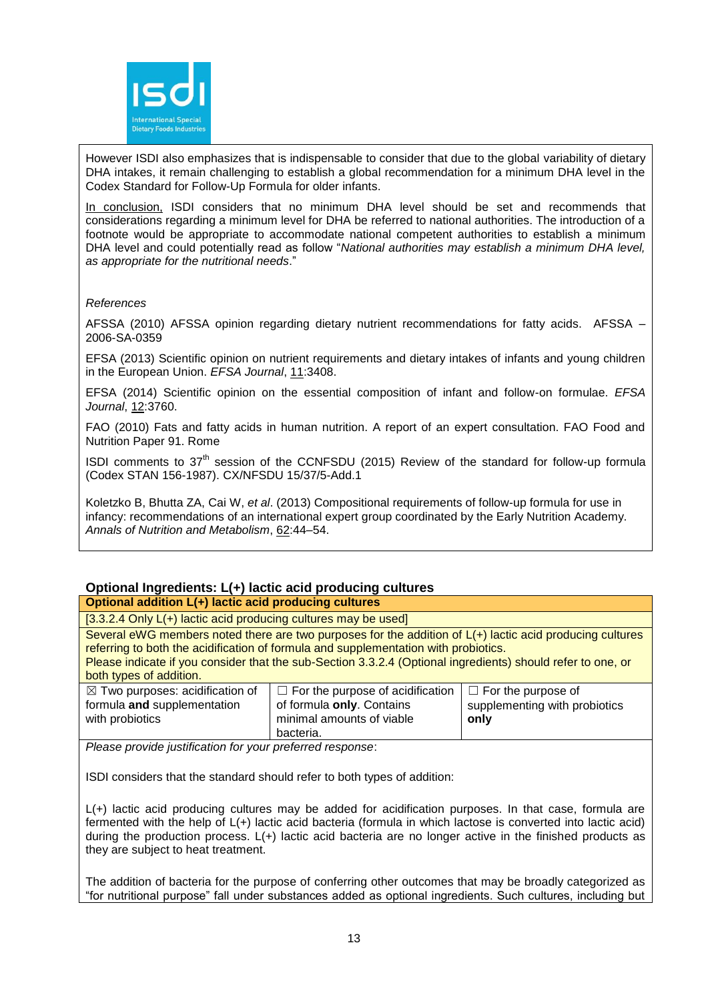

However ISDI also emphasizes that is indispensable to consider that due to the global variability of dietary DHA intakes, it remain challenging to establish a global recommendation for a minimum DHA level in the Codex Standard for Follow-Up Formula for older infants.

In conclusion, ISDI considers that no minimum DHA level should be set and recommends that considerations regarding a minimum level for DHA be referred to national authorities. The introduction of a footnote would be appropriate to accommodate national competent authorities to establish a minimum DHA level and could potentially read as follow "*National authorities may establish a minimum DHA level, as appropriate for the nutritional needs*."

#### *References*

AFSSA (2010) AFSSA opinion regarding dietary nutrient recommendations for fatty acids. AFSSA -2006-SA-0359

EFSA (2013) Scientific opinion on nutrient requirements and dietary intakes of infants and young children in the European Union. *EFSA Journal*, 11:3408.

EFSA (2014) Scientific opinion on the essential composition of infant and follow-on formulae. *EFSA Journal*, 12:3760.

FAO (2010) Fats and fatty acids in human nutrition. A report of an expert consultation. FAO Food and Nutrition Paper 91. Rome

ISDI comments to  $37<sup>th</sup>$  session of the CCNFSDU (2015) Review of the standard for follow-up formula (Codex STAN 156-1987). CX/NFSDU 15/37/5-Add.1

Koletzko B, Bhutta ZA, Cai W, *et al*. (2013) Compositional requirements of follow-up formula for use in infancy: recommendations of an international expert group coordinated by the Early Nutrition Academy. *Annals of Nutrition and Metabolism*, 62:44–54.

# **Optional Ingredients: L(+) lactic acid producing cultures**

# **Optional addition L(+) lactic acid producing cultures**

[3.3.2.4 Only L(+) lactic acid producing cultures may be used]

Several eWG members noted there are two purposes for the addition of L(+) lactic acid producing cultures referring to both the acidification of formula and supplementation with probiotics.

Please indicate if you consider that the sub-Section 3.3.2.4 (Optional ingredients) should refer to one, or both types of addition.

| $\boxtimes$ Two purposes: acidification of | $\Box$ For the purpose of acidification | $\Box$ For the purpose of     |
|--------------------------------------------|-----------------------------------------|-------------------------------|
| formula and supplementation                | of formula only. Contains               | supplementing with probiotics |
| with probiotics                            | minimal amounts of viable               | only                          |
|                                            | bacteria.                               |                               |

*Please provide justification for your preferred response*:

ISDI considers that the standard should refer to both types of addition:

L(+) lactic acid producing cultures may be added for acidification purposes. In that case, formula are fermented with the help of L(+) lactic acid bacteria (formula in which lactose is converted into lactic acid) during the production process. L(+) lactic acid bacteria are no longer active in the finished products as they are subject to heat treatment.

The addition of bacteria for the purpose of conferring other outcomes that may be broadly categorized as "for nutritional purpose" fall under substances added as optional ingredients. Such cultures, including but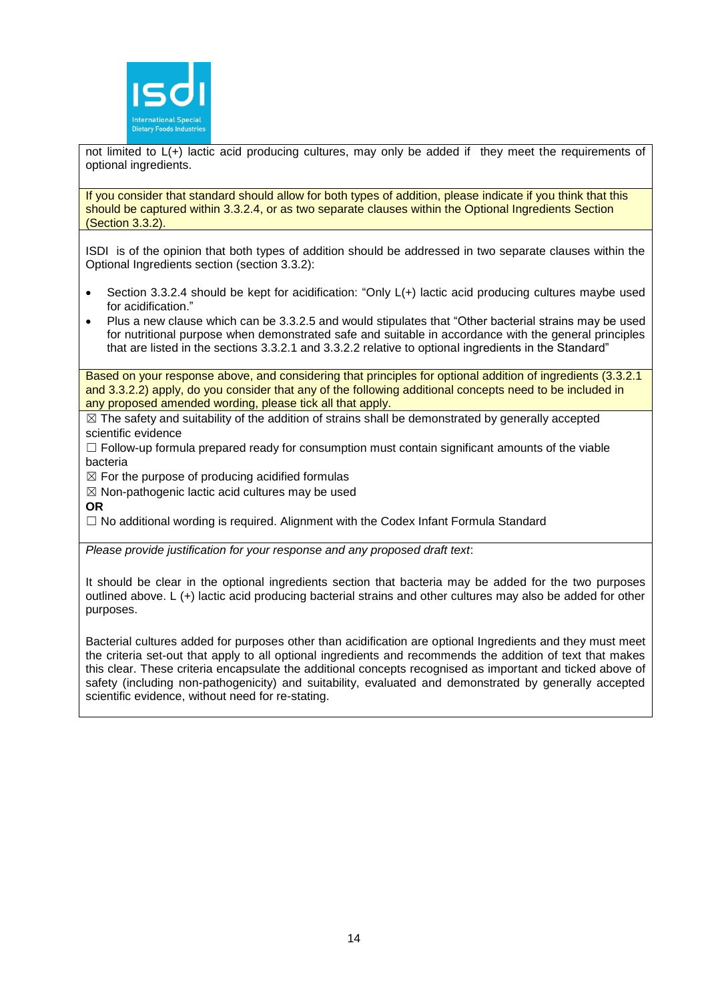

not limited to L(+) lactic acid producing cultures, may only be added if they meet the requirements of optional ingredients.

If you consider that standard should allow for both types of addition, please indicate if you think that this should be captured within 3.3.2.4, or as two separate clauses within the Optional Ingredients Section (Section 3.3.2).

ISDI is of the opinion that both types of addition should be addressed in two separate clauses within the Optional Ingredients section (section 3.3.2):

- Section 3.3.2.4 should be kept for acidification: "Only L(+) lactic acid producing cultures maybe used for acidification."
- Plus a new clause which can be 3.3.2.5 and would stipulates that "Other bacterial strains may be used for nutritional purpose when demonstrated safe and suitable in accordance with the general principles that are listed in the sections 3.3.2.1 and 3.3.2.2 relative to optional ingredients in the Standard"

Based on your response above, and considering that principles for optional addition of ingredients (3.3.2.1 and 3.3.2.2) apply, do you consider that any of the following additional concepts need to be included in any proposed amended wording, please tick all that apply.

 $\boxtimes$  The safety and suitability of the addition of strains shall be demonstrated by generally accepted scientific evidence

 $\Box$  Follow-up formula prepared ready for consumption must contain significant amounts of the viable bacteria

 $\boxtimes$  For the purpose of producing acidified formulas

 $\boxtimes$  Non-pathogenic lactic acid cultures may be used

**OR**

 $\Box$  No additional wording is required. Alignment with the Codex Infant Formula Standard

*Please provide justification for your response and any proposed draft text*:

It should be clear in the optional ingredients section that bacteria may be added for the two purposes outlined above. L (+) lactic acid producing bacterial strains and other cultures may also be added for other purposes.

Bacterial cultures added for purposes other than acidification are optional Ingredients and they must meet the criteria set-out that apply to all optional ingredients and recommends the addition of text that makes this clear. These criteria encapsulate the additional concepts recognised as important and ticked above of safety (including non-pathogenicity) and suitability, evaluated and demonstrated by generally accepted scientific evidence, without need for re-stating.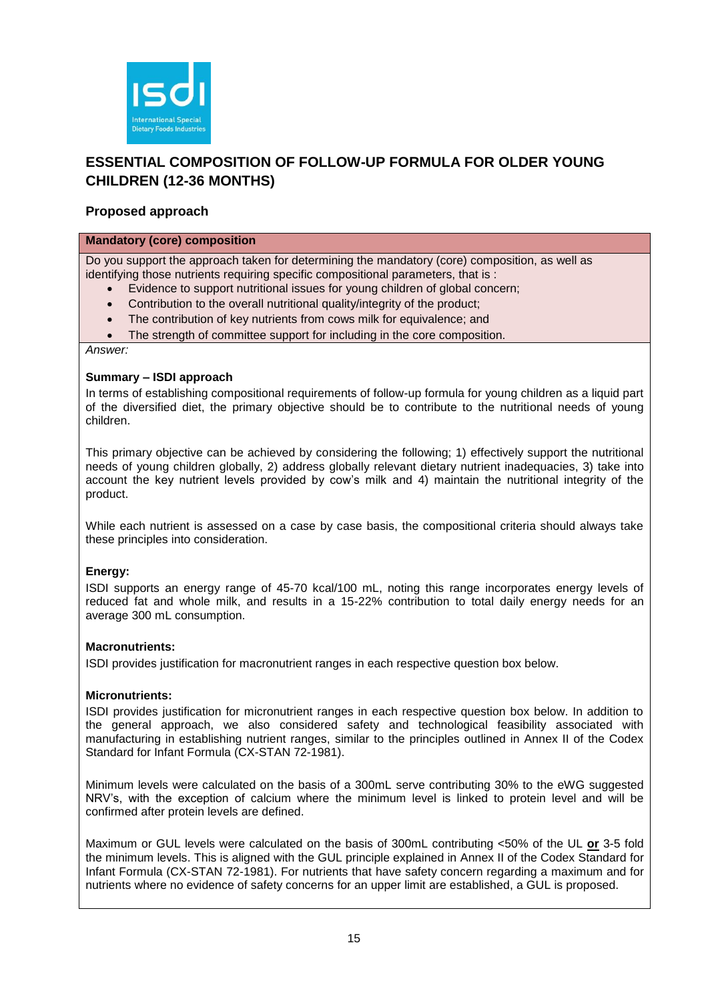

# **ESSENTIAL COMPOSITION OF FOLLOW-UP FORMULA FOR OLDER YOUNG CHILDREN (12-36 MONTHS)**

# **Proposed approach**

# **Mandatory (core) composition**

Do you support the approach taken for determining the mandatory (core) composition, as well as identifying those nutrients requiring specific compositional parameters, that is :

- Evidence to support nutritional issues for young children of global concern;
- Contribution to the overall nutritional quality/integrity of the product;
- The contribution of key nutrients from cows milk for equivalence; and
- The strength of committee support for including in the core composition.

*Answer:*

#### **Summary – ISDI approach**

In terms of establishing compositional requirements of follow-up formula for young children as a liquid part of the diversified diet, the primary objective should be to contribute to the nutritional needs of young children.

This primary objective can be achieved by considering the following; 1) effectively support the nutritional needs of young children globally, 2) address globally relevant dietary nutrient inadequacies, 3) take into account the key nutrient levels provided by cow's milk and 4) maintain the nutritional integrity of the product.

While each nutrient is assessed on a case by case basis, the compositional criteria should always take these principles into consideration.

# **Energy:**

ISDI supports an energy range of 45-70 kcal/100 mL, noting this range incorporates energy levels of reduced fat and whole milk, and results in a 15-22% contribution to total daily energy needs for an average 300 mL consumption.

# **Macronutrients:**

ISDI provides justification for macronutrient ranges in each respective question box below.

# **Micronutrients:**

ISDI provides justification for micronutrient ranges in each respective question box below. In addition to the general approach, we also considered safety and technological feasibility associated with manufacturing in establishing nutrient ranges, similar to the principles outlined in Annex II of the Codex Standard for Infant Formula (CX-STAN 72-1981).

Minimum levels were calculated on the basis of a 300mL serve contributing 30% to the eWG suggested NRV's, with the exception of calcium where the minimum level is linked to protein level and will be confirmed after protein levels are defined.

Maximum or GUL levels were calculated on the basis of 300mL contributing <50% of the UL **or** 3-5 fold the minimum levels. This is aligned with the GUL principle explained in Annex II of the Codex Standard for Infant Formula (CX-STAN 72-1981). For nutrients that have safety concern regarding a maximum and for nutrients where no evidence of safety concerns for an upper limit are established, a GUL is proposed.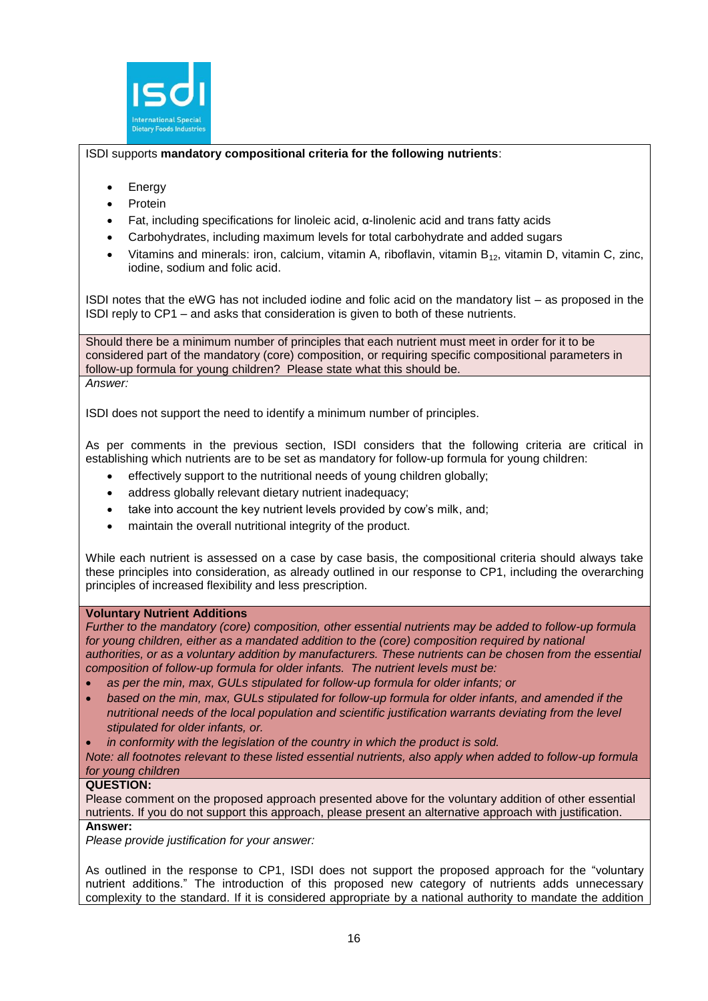

# ISDI supports **mandatory compositional criteria for the following nutrients**:

- **Energy**
- Protein
- Fat, including specifications for linoleic acid, α-linolenic acid and trans fatty acids
- Carbohydrates, including maximum levels for total carbohydrate and added sugars
- Vitamins and minerals: iron, calcium, vitamin A, riboflavin, vitamin  $B_{12}$ , vitamin D, vitamin C, zinc, iodine, sodium and folic acid.

ISDI notes that the eWG has not included iodine and folic acid on the mandatory list – as proposed in the ISDI reply to CP1 – and asks that consideration is given to both of these nutrients.

Should there be a minimum number of principles that each nutrient must meet in order for it to be considered part of the mandatory (core) composition, or requiring specific compositional parameters in follow-up formula for young children? Please state what this should be. *Answer:*

ISDI does not support the need to identify a minimum number of principles.

As per comments in the previous section, ISDI considers that the following criteria are critical in establishing which nutrients are to be set as mandatory for follow-up formula for young children:

- effectively support to the nutritional needs of young children globally;
- address globally relevant dietary nutrient inadequacy:
- take into account the key nutrient levels provided by cow's milk, and;
- maintain the overall nutritional integrity of the product.

While each nutrient is assessed on a case by case basis, the compositional criteria should always take these principles into consideration, as already outlined in our response to CP1, including the overarching principles of increased flexibility and less prescription.

# **Voluntary Nutrient Additions**

*Further to the mandatory (core) composition, other essential nutrients may be added to follow-up formula*  for young children, either as a mandated addition to the *(core)* composition required by national *authorities, or as a voluntary addition by manufacturers. These nutrients can be chosen from the essential composition of follow-up formula for older infants. The nutrient levels must be:*

- *as per the min, max, GULs stipulated for follow-up formula for older infants; or*
- *based on the min, max, GULs stipulated for follow-up formula for older infants, and amended if the nutritional needs of the local population and scientific justification warrants deviating from the level stipulated for older infants, or.*
- *in conformity with the legislation of the country in which the product is sold.*
- *Note: all footnotes relevant to these listed essential nutrients, also apply when added to follow-up formula for young children*

# **QUESTION:**

Please comment on the proposed approach presented above for the voluntary addition of other essential nutrients. If you do not support this approach, please present an alternative approach with justification. **Answer:**

*Please provide justification for your answer:*

As outlined in the response to CP1, ISDI does not support the proposed approach for the "voluntary nutrient additions." The introduction of this proposed new category of nutrients adds unnecessary complexity to the standard. If it is considered appropriate by a national authority to mandate the addition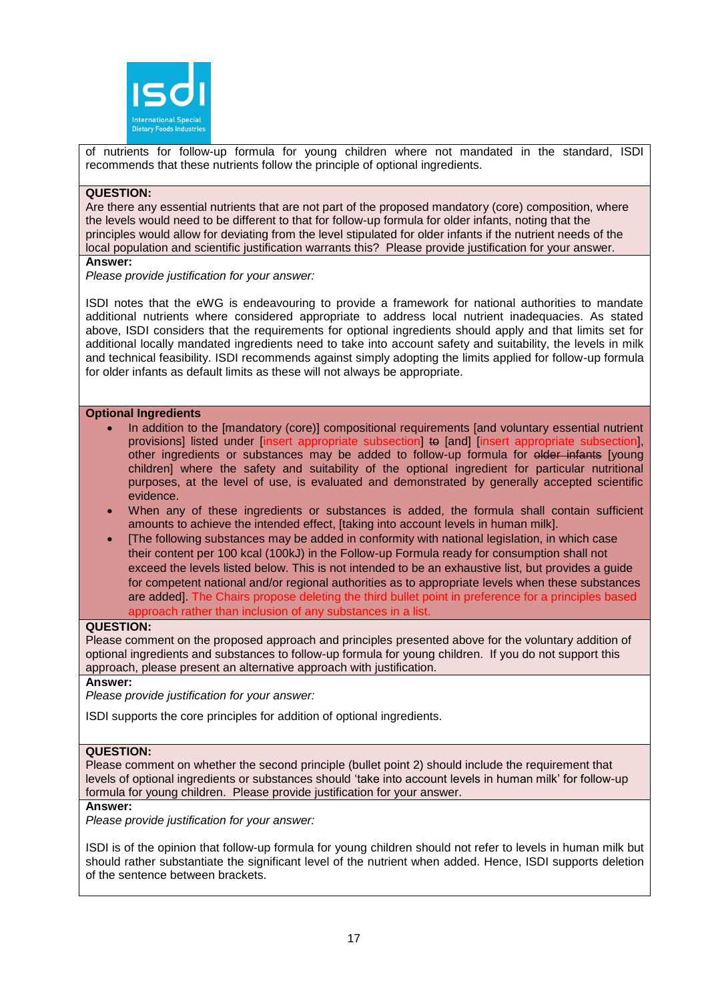

of nutrients for follow-up formula for young children where not mandated in the standard, ISDI recommends that these nutrients follow the principle of optional ingredients.

# **QUESTION:**

Are there any essential nutrients that are not part of the proposed mandatory (core) composition, where the levels would need to be different to that for follow-up formula for older infants, noting that the principles would allow for deviating from the level stipulated for older infants if the nutrient needs of the local population and scientific justification warrants this? Please provide justification for your answer.

#### **Answer:**

*Please provide justification for your answer:*

ISDI notes that the eWG is endeavouring to provide a framework for national authorities to mandate additional nutrients where considered appropriate to address local nutrient inadequacies. As stated above, ISDI considers that the requirements for optional ingredients should apply and that limits set for additional locally mandated ingredients need to take into account safety and suitability, the levels in milk and technical feasibility. ISDI recommends against simply adopting the limits applied for follow-up formula for older infants as default limits as these will not always be appropriate.

#### **Optional Ingredients**

- In addition to the Imandatory (core)] compositional requirements [and voluntary essential nutrient provisions] listed under [insert appropriate subsection] to [and] [insert appropriate subsection], other ingredients or substances may be added to follow-up formula for older infants [young children] where the safety and suitability of the optional ingredient for particular nutritional purposes, at the level of use, is evaluated and demonstrated by generally accepted scientific evidence.
- When any of these ingredients or substances is added, the formula shall contain sufficient amounts to achieve the intended effect, [taking into account levels in human milk].
- [The following substances may be added in conformity with national legislation, in which case their content per 100 kcal (100kJ) in the Follow-up Formula ready for consumption shall not exceed the levels listed below. This is not intended to be an exhaustive list, but provides a guide for competent national and/or regional authorities as to appropriate levels when these substances are added]. The Chairs propose deleting the third bullet point in preference for a principles based approach rather than inclusion of any substances in a list.

#### **QUESTION:**

Please comment on the proposed approach and principles presented above for the voluntary addition of optional ingredients and substances to follow-up formula for young children. If you do not support this approach, please present an alternative approach with justification.

# **Answer:**

*Please provide justification for your answer:*

ISDI supports the core principles for addition of optional ingredients.

#### **QUESTION:**

Please comment on whether the second principle (bullet point 2) should include the requirement that levels of optional ingredients or substances should 'take into account levels in human milk' for follow-up formula for young children. Please provide justification for your answer.

#### **Answer:**

*Please provide justification for your answer:*

ISDI is of the opinion that follow-up formula for young children should not refer to levels in human milk but should rather substantiate the significant level of the nutrient when added. Hence, ISDI supports deletion of the sentence between brackets.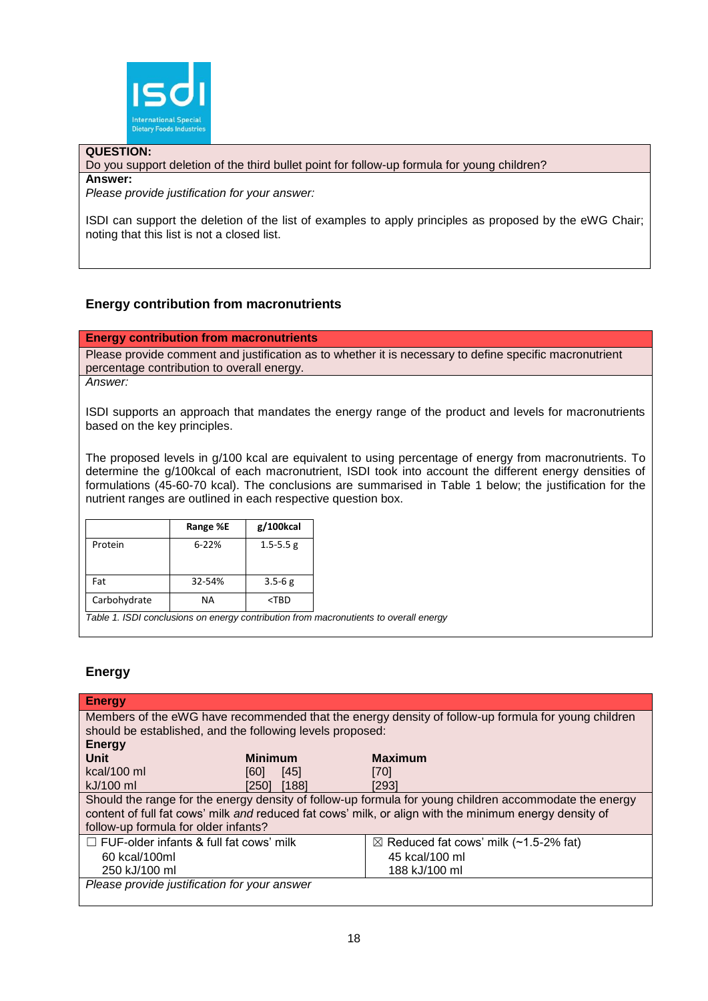

# **QUESTION:**

Do you support deletion of the third bullet point for follow-up formula for young children?

#### **Answer:**

*Please provide justification for your answer:*

ISDI can support the deletion of the list of examples to apply principles as proposed by the eWG Chair; noting that this list is not a closed list.

# **Energy contribution from macronutrients**

#### **Energy contribution from macronutrients**

Please provide comment and justification as to whether it is necessary to define specific macronutrient percentage contribution to overall energy.

*Answer:*

ISDI supports an approach that mandates the energy range of the product and levels for macronutrients based on the key principles.

The proposed levels in g/100 kcal are equivalent to using percentage of energy from macronutrients. To determine the g/100kcal of each macronutrient, ISDI took into account the different energy densities of formulations (45-60-70 kcal). The conclusions are summarised in Table 1 below; the justification for the nutrient ranges are outlined in each respective question box.

|              | Range %E  | g/100kcal     |
|--------------|-----------|---------------|
| Protein      | $6 - 22%$ | $1.5 - 5.5$ g |
| Fat          | 32-54%    | $3.5 - 6g$    |
| Carbohydrate | <b>NA</b> | $<$ TBD       |

*Table 1. ISDI conclusions on energy contribution from macronutients to overall energy*

# **Energy**

| <b>Energy</b>                                                                                                                                                                                                                                            |                |                                                                                                     |  |
|----------------------------------------------------------------------------------------------------------------------------------------------------------------------------------------------------------------------------------------------------------|----------------|-----------------------------------------------------------------------------------------------------|--|
|                                                                                                                                                                                                                                                          |                | Members of the eWG have recommended that the energy density of follow-up formula for young children |  |
| should be established, and the following levels proposed:                                                                                                                                                                                                |                |                                                                                                     |  |
| <b>Energy</b>                                                                                                                                                                                                                                            |                |                                                                                                     |  |
| Unit                                                                                                                                                                                                                                                     | <b>Minimum</b> | <b>Maximum</b>                                                                                      |  |
| kcal/100 ml                                                                                                                                                                                                                                              | [45]<br>[60]   | [70]                                                                                                |  |
| kJ/100 ml                                                                                                                                                                                                                                                | [188]<br>[250] | [293]                                                                                               |  |
| Should the range for the energy density of follow-up formula for young children accommodate the energy<br>content of full fat cows' milk and reduced fat cows' milk, or align with the minimum energy density of<br>follow-up formula for older infants? |                |                                                                                                     |  |
| $\Box$ FUF-older infants & full fat cows' milk                                                                                                                                                                                                           |                | $\boxtimes$ Reduced fat cows' milk (~1.5-2% fat)                                                    |  |
| 60 kcal/100ml                                                                                                                                                                                                                                            |                | 45 kcal/100 ml                                                                                      |  |
| 250 kJ/100 ml                                                                                                                                                                                                                                            |                | 188 kJ/100 ml                                                                                       |  |
| Please provide justification for your answer                                                                                                                                                                                                             |                |                                                                                                     |  |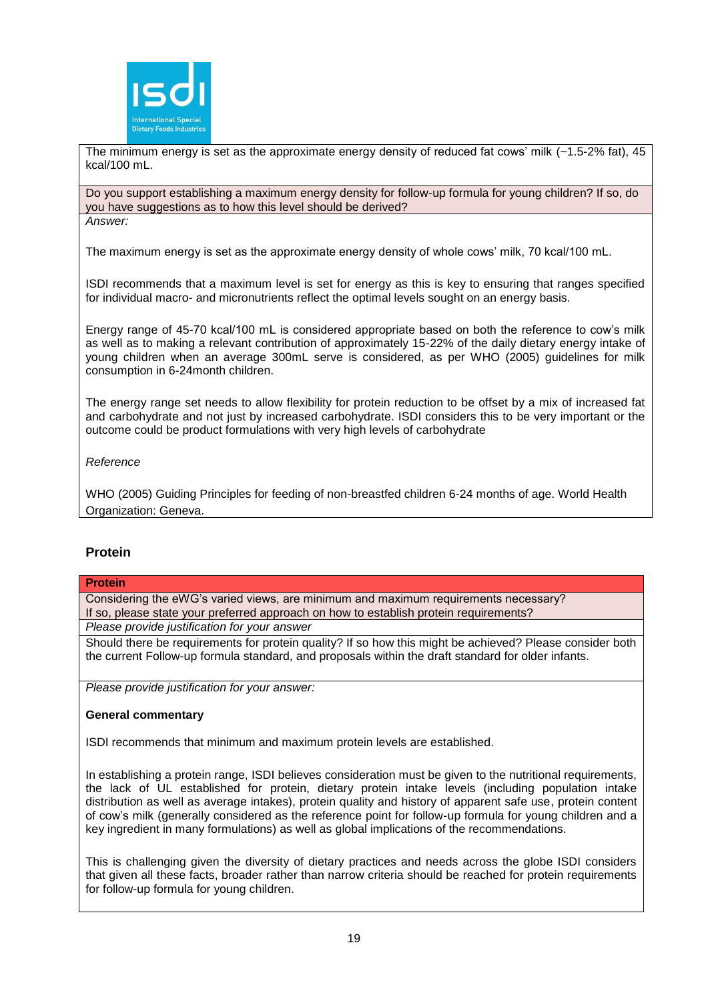

The minimum energy is set as the approximate energy density of reduced fat cows' milk (~1.5-2% fat), 45 kcal/100 mL.

Do you support establishing a maximum energy density for follow-up formula for young children? If so, do you have suggestions as to how this level should be derived? *Answer:*

The maximum energy is set as the approximate energy density of whole cows' milk, 70 kcal/100 mL.

ISDI recommends that a maximum level is set for energy as this is key to ensuring that ranges specified for individual macro- and micronutrients reflect the optimal levels sought on an energy basis.

Energy range of 45-70 kcal/100 mL is considered appropriate based on both the reference to cow's milk as well as to making a relevant contribution of approximately 15-22% of the daily dietary energy intake of young children when an average 300mL serve is considered, as per WHO (2005) guidelines for milk consumption in 6-24month children.

The energy range set needs to allow flexibility for protein reduction to be offset by a mix of increased fat and carbohydrate and not just by increased carbohydrate. ISDI considers this to be very important or the outcome could be product formulations with very high levels of carbohydrate

# *Reference*

WHO (2005) Guiding Principles for feeding of non-breastfed children 6-24 months of age. World Health Organization: Geneva.

# **Protein**

# **Protein**

Considering the eWG's varied views, are minimum and maximum requirements necessary? If so, please state your preferred approach on how to establish protein requirements?

*Please provide justification for your answer*

Should there be requirements for protein quality? If so how this might be achieved? Please consider both the current Follow-up formula standard, and proposals within the draft standard for older infants.

*Please provide justification for your answer:*

#### **General commentary**

ISDI recommends that minimum and maximum protein levels are established.

In establishing a protein range, ISDI believes consideration must be given to the nutritional requirements, the lack of UL established for protein, dietary protein intake levels (including population intake distribution as well as average intakes), protein quality and history of apparent safe use, protein content of cow's milk (generally considered as the reference point for follow-up formula for young children and a key ingredient in many formulations) as well as global implications of the recommendations.

This is challenging given the diversity of dietary practices and needs across the globe ISDI considers that given all these facts, broader rather than narrow criteria should be reached for protein requirements for follow-up formula for young children.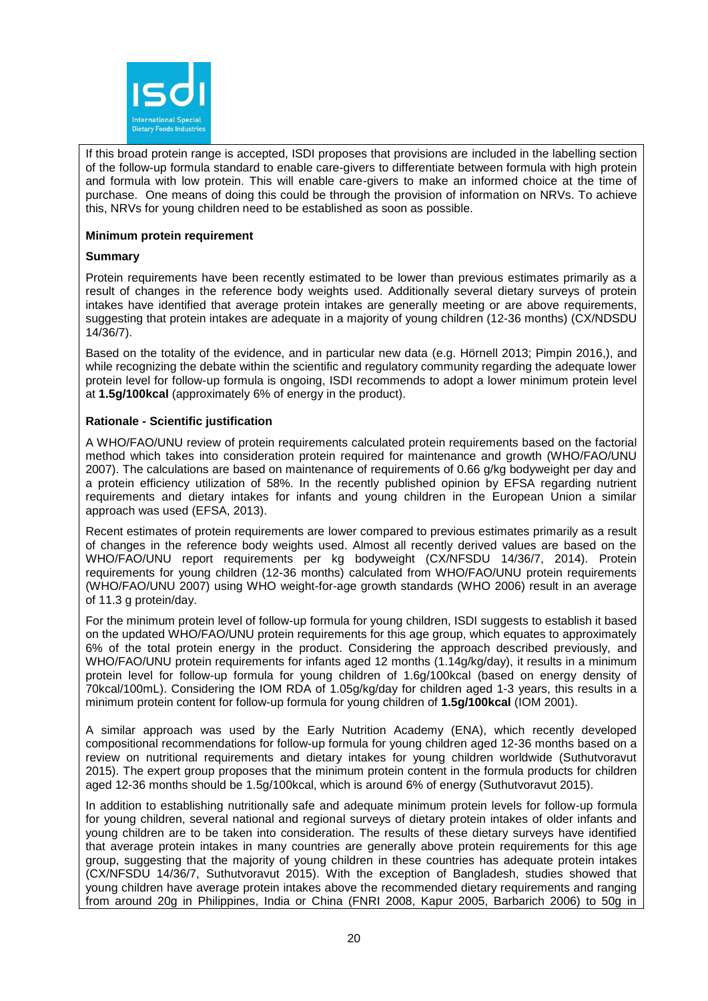

If this broad protein range is accepted, ISDI proposes that provisions are included in the labelling section of the follow-up formula standard to enable care-givers to differentiate between formula with high protein and formula with low protein. This will enable care-givers to make an informed choice at the time of purchase. One means of doing this could be through the provision of information on NRVs. To achieve this, NRVs for young children need to be established as soon as possible.

### **Minimum protein requirement**

#### **Summary**

Protein requirements have been recently estimated to be lower than previous estimates primarily as a result of changes in the reference body weights used. Additionally several dietary surveys of protein intakes have identified that average protein intakes are generally meeting or are above requirements, suggesting that protein intakes are adequate in a majority of young children (12-36 months) (CX/NDSDU 14/36/7).

Based on the totality of the evidence, and in particular new data (e.g. Hörnell 2013; Pimpin 2016,), and while recognizing the debate within the scientific and regulatory community regarding the adequate lower protein level for follow-up formula is ongoing, ISDI recommends to adopt a lower minimum protein level at **1.5g/100kcal** (approximately 6% of energy in the product).

#### **Rationale - Scientific justification**

A WHO/FAO/UNU review of protein requirements calculated protein requirements based on the factorial method which takes into consideration protein required for maintenance and growth (WHO/FAO/UNU 2007). The calculations are based on maintenance of requirements of 0.66 g/kg bodyweight per day and a protein efficiency utilization of 58%. In the recently published opinion by EFSA regarding nutrient requirements and dietary intakes for infants and young children in the European Union a similar approach was used (EFSA, 2013).

Recent estimates of protein requirements are lower compared to previous estimates primarily as a result of changes in the reference body weights used. Almost all recently derived values are based on the WHO/FAO/UNU report requirements per kg bodyweight (CX/NFSDU 14/36/7, 2014). Protein requirements for young children (12-36 months) calculated from WHO/FAO/UNU protein requirements (WHO/FAO/UNU 2007) using WHO weight-for-age growth standards (WHO 2006) result in an average of 11.3 g protein/day.

For the minimum protein level of follow-up formula for young children, ISDI suggests to establish it based on the updated WHO/FAO/UNU protein requirements for this age group, which equates to approximately 6% of the total protein energy in the product. Considering the approach described previously, and WHO/FAO/UNU protein requirements for infants aged 12 months (1.14g/kg/day), it results in a minimum protein level for follow-up formula for young children of 1.6g/100kcal (based on energy density of 70kcal/100mL). Considering the IOM RDA of 1.05g/kg/day for children aged 1-3 years, this results in a minimum protein content for follow-up formula for young children of **1.5g/100kcal** (IOM 2001).

A similar approach was used by the Early Nutrition Academy (ENA), which recently developed compositional recommendations for follow-up formula for young children aged 12-36 months based on a review on nutritional requirements and dietary intakes for young children worldwide (Suthutvoravut 2015). The expert group proposes that the minimum protein content in the formula products for children aged 12-36 months should be 1.5g/100kcal, which is around 6% of energy (Suthutvoravut 2015).

In addition to establishing nutritionally safe and adequate minimum protein levels for follow-up formula for young children, several national and regional surveys of dietary protein intakes of older infants and young children are to be taken into consideration. The results of these dietary surveys have identified that average protein intakes in many countries are generally above protein requirements for this age group, suggesting that the majority of young children in these countries has adequate protein intakes (CX/NFSDU 14/36/7, Suthutvoravut 2015). With the exception of Bangladesh, studies showed that young children have average protein intakes above the recommended dietary requirements and ranging from around 20g in Philippines, India or China (FNRI 2008, Kapur 2005, Barbarich 2006) to 50g in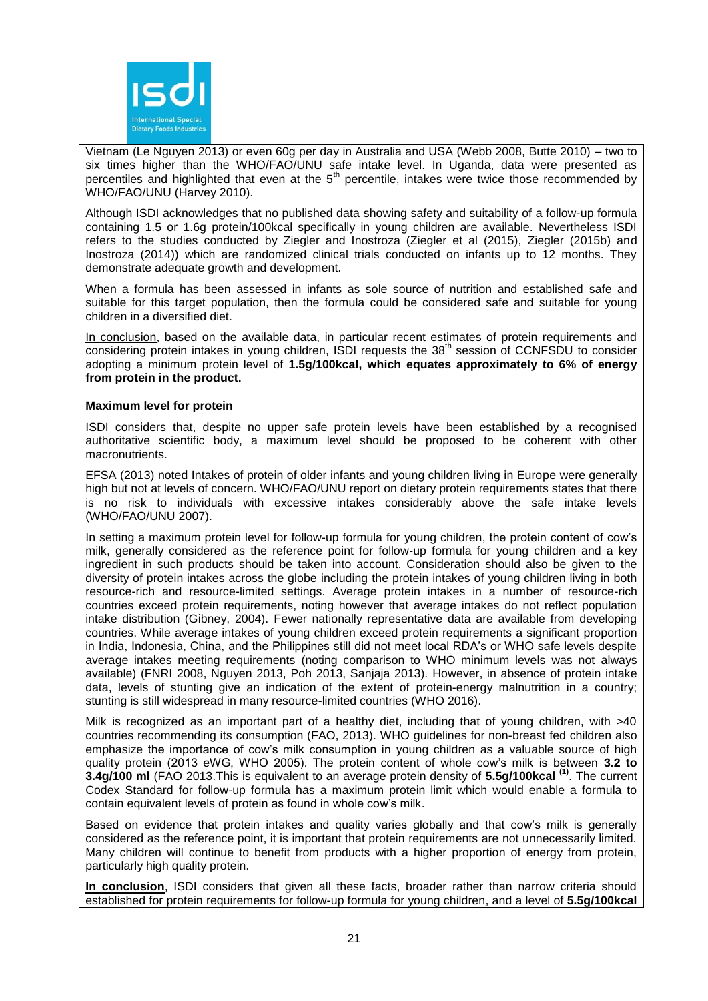

Vietnam (Le Nguyen 2013) or even 60g per day in Australia and USA (Webb 2008, Butte 2010) – two to six times higher than the WHO/FAO/UNU safe intake level. In Uganda, data were presented as percentiles and highlighted that even at the 5<sup>th</sup> percentile, intakes were twice those recommended by WHO/FAO/UNU (Harvey 2010).

Although ISDI acknowledges that no published data showing safety and suitability of a follow-up formula containing 1.5 or 1.6g protein/100kcal specifically in young children are available. Nevertheless ISDI refers to the studies conducted by Ziegler and Inostroza (Ziegler et al (2015), Ziegler (2015b) and Inostroza (2014)) which are randomized clinical trials conducted on infants up to 12 months. They demonstrate adequate growth and development.

When a formula has been assessed in infants as sole source of nutrition and established safe and suitable for this target population, then the formula could be considered safe and suitable for young children in a diversified diet.

In conclusion, based on the available data, in particular recent estimates of protein requirements and considering protein intakes in young children, ISDI requests the 38<sup>th</sup> session of CCNFSDU to consider adopting a minimum protein level of **1.5g/100kcal, which equates approximately to 6% of energy from protein in the product.** 

#### **Maximum level for protein**

ISDI considers that, despite no upper safe protein levels have been established by a recognised authoritative scientific body, a maximum level should be proposed to be coherent with other macronutrients.

EFSA (2013) noted Intakes of protein of older infants and young children living in Europe were generally high but not at levels of concern. WHO/FAO/UNU report on dietary protein requirements states that there is no risk to individuals with excessive intakes considerably above the safe intake levels (WHO/FAO/UNU 2007).

In setting a maximum protein level for follow-up formula for young children, the protein content of cow's milk, generally considered as the reference point for follow-up formula for young children and a key ingredient in such products should be taken into account. Consideration should also be given to the diversity of protein intakes across the globe including the protein intakes of young children living in both resource-rich and resource-limited settings. Average protein intakes in a number of resource-rich countries exceed protein requirements, noting however that average intakes do not reflect population intake distribution (Gibney, 2004). Fewer nationally representative data are available from developing countries. While average intakes of young children exceed protein requirements a significant proportion in India, Indonesia, China, and the Philippines still did not meet local RDA's or WHO safe levels despite average intakes meeting requirements (noting comparison to WHO minimum levels was not always available) (FNRI 2008, Nguyen 2013, Poh 2013, Sanjaja 2013). However, in absence of protein intake data, levels of stunting give an indication of the extent of protein-energy malnutrition in a country; stunting is still widespread in many resource-limited countries (WHO 2016).

Milk is recognized as an important part of a healthy diet, including that of young children, with >40 countries recommending its consumption (FAO, 2013). WHO guidelines for non-breast fed children also emphasize the importance of cow's milk consumption in young children as a valuable source of high quality protein (2013 eWG, WHO 2005). The protein content of whole cow's milk is between **3.2 to 3.4g/100 ml** (FAO 2013.This is equivalent to an average protein density of **5.5g/100kcal (1)** . The current Codex Standard for follow-up formula has a maximum protein limit which would enable a formula to contain equivalent levels of protein as found in whole cow's milk.

Based on evidence that protein intakes and quality varies globally and that cow's milk is generally considered as the reference point, it is important that protein requirements are not unnecessarily limited. Many children will continue to benefit from products with a higher proportion of energy from protein, particularly high quality protein.

**In conclusion**, ISDI considers that given all these facts, broader rather than narrow criteria should established for protein requirements for follow-up formula for young children, and a level of **5.5g/100kcal**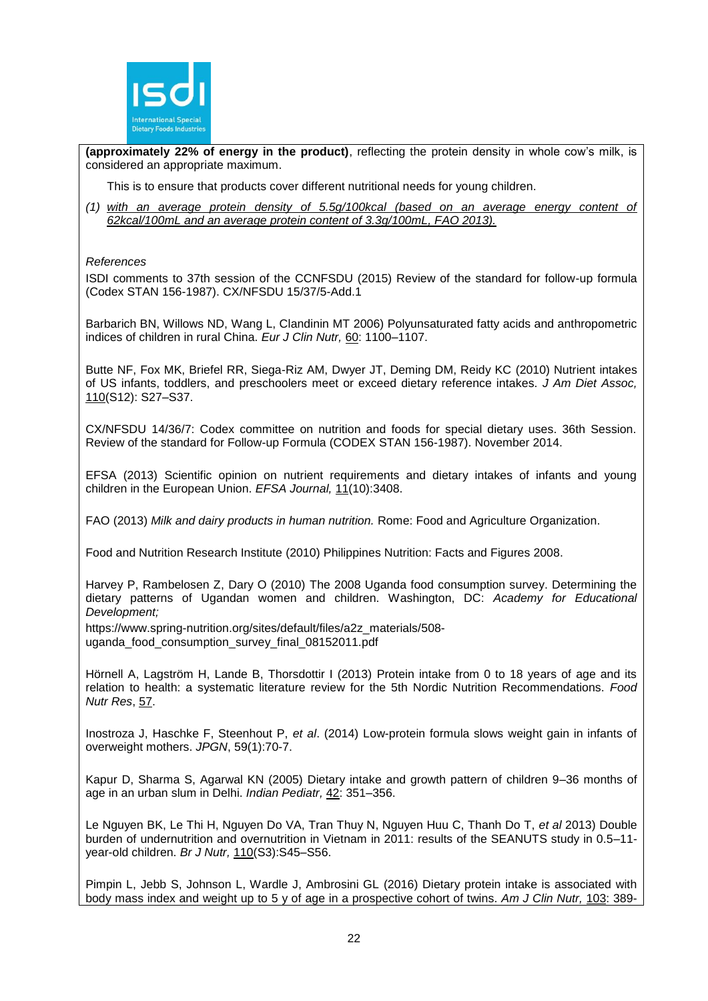

**(approximately 22% of energy in the product)**, reflecting the protein density in whole cow's milk, is considered an appropriate maximum.

This is to ensure that products cover different nutritional needs for young children.

*(1) with an average protein density of 5.5g/100kcal (based on an average energy content of 62kcal/100mL and an average protein content of 3.3g/100mL, FAO 2013).*

#### *References*

ISDI comments to 37th session of the CCNFSDU (2015) Review of the standard for follow-up formula (Codex STAN 156-1987). CX/NFSDU 15/37/5-Add.1

Barbarich BN, Willows ND, Wang L, Clandinin MT 2006) Polyunsaturated fatty acids and anthropometric indices of children in rural China. *Eur J Clin Nutr,* 60: 1100–1107.

Butte NF, Fox MK, Briefel RR, Siega-Riz AM, Dwyer JT, Deming DM, Reidy KC (2010) Nutrient intakes of US infants, toddlers, and preschoolers meet or exceed dietary reference intakes. *J Am Diet Assoc,* 110(S12): S27–S37.

CX/NFSDU 14/36/7: Codex committee on nutrition and foods for special dietary uses. 36th Session. Review of the standard for Follow-up Formula (CODEX STAN 156-1987). November 2014.

EFSA (2013) Scientific opinion on nutrient requirements and dietary intakes of infants and young children in the European Union. *EFSA Journal,* 11(10):3408.

FAO (2013) *Milk and dairy products in human nutrition.* Rome: Food and Agriculture Organization.

Food and Nutrition Research Institute (2010) Philippines Nutrition: Facts and Figures 2008.

Harvey P, Rambelosen Z, Dary O (2010) The 2008 Uganda food consumption survey. Determining the dietary patterns of Ugandan women and children. Washington, DC: *Academy for Educational Development;*

[https://www.spring-nutrition.org/sites/default/files/a2z\\_materials/508](https://www.spring-nutrition.org/sites/default/files/a2z_materials/508-uganda_food_consumption_survey_final_08152011.pdf) [uganda\\_food\\_consumption\\_survey\\_final\\_08152011.pdf](https://www.spring-nutrition.org/sites/default/files/a2z_materials/508-uganda_food_consumption_survey_final_08152011.pdf)

Hörnell A, Lagström H, Lande B, Thorsdottir I (2013) [Protein intake from 0 to 18 years of age and its](http://www.ncbi.nlm.nih.gov/pubmed/23717219)  [relation to health: a systematic literature review for the 5th Nordic Nutrition Recommendations.](http://www.ncbi.nlm.nih.gov/pubmed/23717219) *Food Nutr Res*, 57.

Inostroza J, Haschke F, Steenhout P, *et al*. (2014) Low-protein formula slows weight gain in infants of overweight mothers. *JPGN*, 59(1):70-7.

Kapur D, Sharma S, Agarwal KN (2005) Dietary intake and growth pattern of children 9–36 months of age in an urban slum in Delhi. *Indian Pediatr,* 42: 351–356.

Le Nguyen BK, Le Thi H, Nguyen Do VA, Tran Thuy N, Nguyen Huu C, Thanh Do T, *et al* 2013) Double burden of undernutrition and overnutrition in Vietnam in 2011: results of the SEANUTS study in 0.5–11 year-old children. *Br J Nutr,* 110(S3):S45–S56.

Pimpin L, Jebb S, Johnson L, Wardle J, Ambrosini GL (2016) Dietary protein intake is associated with body mass index and weight up to 5 y of age in a prospective cohort of twins. *Am J Clin Nutr,* 103: 389-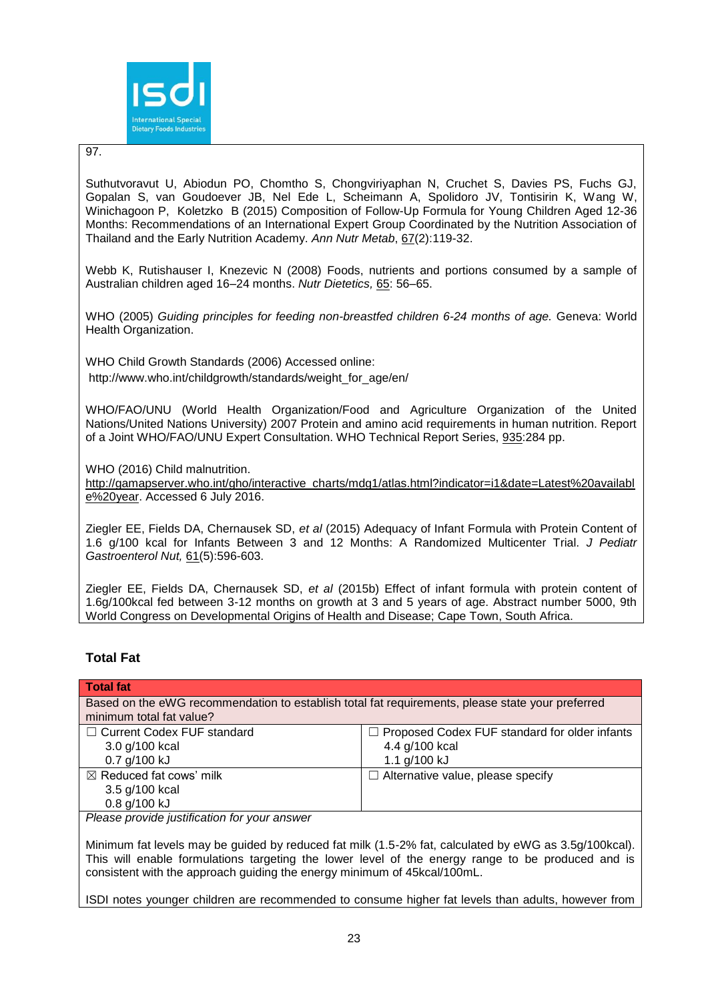

# 97.

Suthutvoravut U, Abiodun PO, Chomtho S, Chongviriyaphan N, Cruchet S, Davies PS, Fuchs GJ, Gopalan S, van Goudoever JB, Nel Ede L, Scheimann A, Spolidoro JV, Tontisirin K, Wang W, Winichagoon P, Koletzko B (2015) [Composition of Follow-Up Formula for Young Children Aged 12-36](http://www.ncbi.nlm.nih.gov/pubmed/26360877)  [Months: Recommendations of an International Expert Group Coordinated by the Nutrition Association of](http://www.ncbi.nlm.nih.gov/pubmed/26360877)  [Thailand and the Early Nutrition Academy.](http://www.ncbi.nlm.nih.gov/pubmed/26360877) *Ann Nutr Metab*, 67(2):119-32.

Webb K, Rutishauser I, Knezevic N (2008) Foods, nutrients and portions consumed by a sample of Australian children aged 16–24 months. *Nutr Dietetics,* 65: 56–65.

WHO (2005) *Guiding principles for feeding non-breastfed children 6-24 months of age.* Geneva: World Health Organization.

WHO Child Growth Standards (2006) Accessed online: [http://www.who.int/childgrowth/standards/weight\\_for\\_age/en/](http://www.who.int/childgrowth/standards/weight_for_age/en/)

WHO/FAO/UNU (World Health Organization/Food and Agriculture Organization of the United Nations/United Nations University) 2007 Protein and amino acid requirements in human nutrition. Report of a Joint WHO/FAO/UNU Expert Consultation. WHO Technical Report Series, 935:284 pp.

WHO (2016) Child malnutrition.

[http://gamapserver.who.int/gho/interactive\\_charts/mdg1/atlas.html?indicator=i1&date=Latest%20availabl](http://gamapserver.who.int/gho/interactive_charts/mdg1/atlas.html?indicator=i1&date=Latest%20available%20year) [e%20year.](http://gamapserver.who.int/gho/interactive_charts/mdg1/atlas.html?indicator=i1&date=Latest%20available%20year) Accessed 6 July 2016.

Ziegler EE, Fields DA, Chernausek SD, *et al* (2015) Adequacy of Infant Formula with Protein Content of 1.6 g/100 kcal for Infants Between 3 and 12 Months: A Randomized Multicenter Trial. *[J Pediatr](http://www.ncbi.nlm.nih.gov/pubmed/26154030)  [Gastroenterol Nut,](http://www.ncbi.nlm.nih.gov/pubmed/26154030)* 61(5):596-603.

Ziegler EE, Fields DA, Chernausek SD, *et al* (2015b) Effect of infant formula with protein content of 1.6g/100kcal fed between 3-12 months on growth at 3 and 5 years of age. Abstract number 5000, 9th World Congress on Developmental Origins of Health and Disease; Cape Town, South Africa.

# **Total Fat**

| Total fat                                                                                                                    |                                                                                        |
|------------------------------------------------------------------------------------------------------------------------------|----------------------------------------------------------------------------------------|
| Based on the eWG recommendation to establish total fat requirements, please state your preferred<br>minimum total fat value? |                                                                                        |
| $\Box$ Current Codex FUF standard<br>3.0 g/100 kcal<br>0.7 g/100 kJ                                                          | $\Box$ Proposed Codex FUF standard for older infants<br>4.4 g/100 kcal<br>1.1 g/100 kJ |
| $\boxtimes$ Reduced fat cows' milk<br>3.5 g/100 kcal<br>0.8 g/100 kJ                                                         | $\Box$ Alternative value, please specify                                               |
| Dlogge provide instituction for varm approved                                                                                |                                                                                        |

*Please provide justification for your answer*

Minimum fat levels may be guided by reduced fat milk (1.5-2% fat, calculated by eWG as 3.5g/100kcal). This will enable formulations targeting the lower level of the energy range to be produced and is consistent with the approach guiding the energy minimum of 45kcal/100mL.

ISDI notes younger children are recommended to consume higher fat levels than adults, however from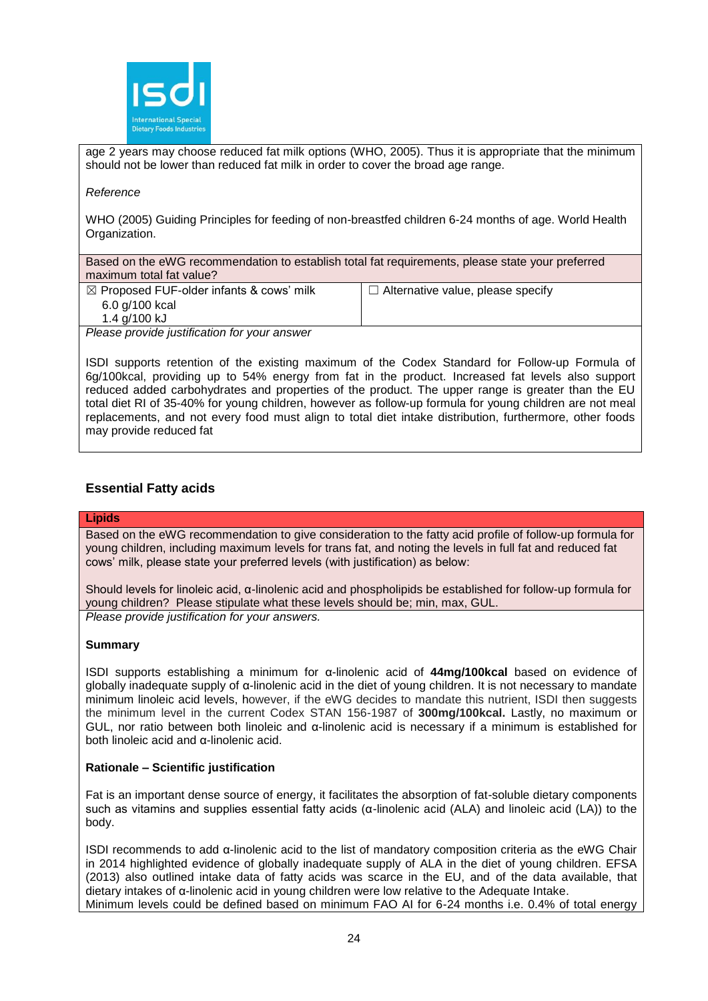

age 2 years may choose reduced fat milk options (WHO, 2005). Thus it is appropriate that the minimum should not be lower than reduced fat milk in order to cover the broad age range.

#### *Reference*

WHO (2005) Guiding Principles for feeding of non-breastfed children 6-24 months of age. World Health Organization.

Based on the eWG recommendation to establish total fat requirements, please state your preferred maximum total fat value?

| $\boxtimes$ Proposed FUF-older infants & cows' milk                                                            | $\Box$ Alternative value, please specify |
|----------------------------------------------------------------------------------------------------------------|------------------------------------------|
| 6.0 g/100 kcal                                                                                                 |                                          |
| 1.4 g/100 kJ                                                                                                   |                                          |
| not a communicated to the contract of the communication of the contract of the contract of the contract of the |                                          |

*Please provide justification for your answer*

ISDI supports retention of the existing maximum of the Codex Standard for Follow-up Formula of 6g/100kcal, providing up to 54% energy from fat in the product. Increased fat levels also support reduced added carbohydrates and properties of the product. The upper range is greater than the EU total diet RI of 35-40% for young children, however as follow-up formula for young children are not meal replacements, and not every food must align to total diet intake distribution, furthermore, other foods may provide reduced fat

# **Essential Fatty acids**

# **Lipids**

Based on the eWG recommendation to give consideration to the fatty acid profile of follow-up formula for young children, including maximum levels for trans fat, and noting the levels in full fat and reduced fat cows' milk, please state your preferred levels (with justification) as below:

Should levels for linoleic acid, α-linolenic acid and phospholipids be established for follow-up formula for young children? Please stipulate what these levels should be; min, max, GUL. *Please provide justification for your answers.*

#### **Summary**

ISDI supports establishing a minimum for α-linolenic acid of **44mg/100kcal** based on evidence of globally inadequate supply of α-linolenic acid in the diet of young children. It is not necessary to mandate minimum linoleic acid levels, however, if the eWG decides to mandate this nutrient, ISDI then suggests the minimum level in the current Codex STAN 156-1987 of **300mg/100kcal.** Lastly, no maximum or GUL, nor ratio between both linoleic and α-linolenic acid is necessary if a minimum is established for both linoleic acid and α-linolenic acid.

#### **Rationale – Scientific justification**

Fat is an important dense source of energy, it facilitates the absorption of fat-soluble dietary components such as vitamins and supplies essential fatty acids (α-linolenic acid (ALA) and linoleic acid (LA)) to the body.

ISDI recommends to add α-linolenic acid to the list of mandatory composition criteria as the eWG Chair in 2014 highlighted evidence of globally inadequate supply of ALA in the diet of young children. EFSA (2013) also outlined intake data of fatty acids was scarce in the EU, and of the data available, that dietary intakes of α-linolenic acid in young children were low relative to the Adequate Intake. Minimum levels could be defined based on minimum FAO AI for 6-24 months i.e. 0.4% of total energy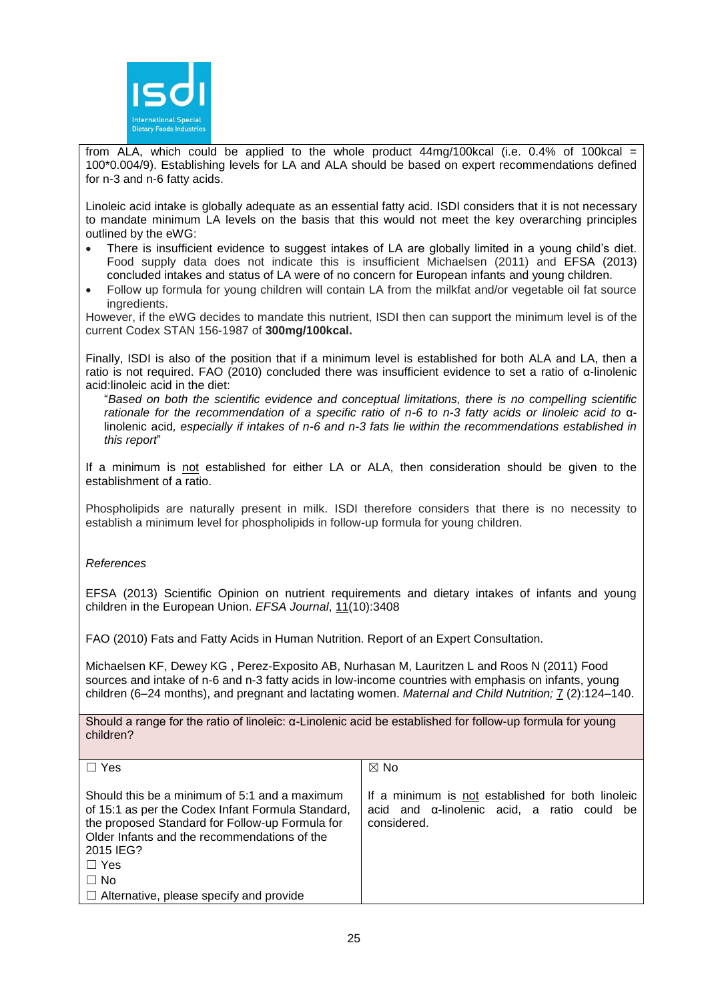

from ALA, which could be applied to the whole product  $44mg/100kcal$  (i.e. 0.4% of 100kcal = 100\*0.004/9). Establishing levels for LA and ALA should be based on expert recommendations defined for n-3 and n-6 fatty acids.

Linoleic acid intake is globally adequate as an essential fatty acid. ISDI considers that it is not necessary to mandate minimum LA levels on the basis that this would not meet the key overarching principles outlined by the eWG:

- There is insufficient evidence to suggest intakes of LA are globally limited in a young child's diet. Food supply data does not indicate this is insufficient Michaelsen (2011) and EFSA (2013) concluded intakes and status of LA were of no concern for European infants and young children.
- Follow up formula for young children will contain LA from the milkfat and/or vegetable oil fat source ingredients.

However, if the eWG decides to mandate this nutrient, ISDI then can support the minimum level is of the current Codex STAN 156-1987 of **300mg/100kcal.**

Finally, ISDI is also of the position that if a minimum level is established for both ALA and LA, then a ratio is not required. FAO (2010) concluded there was insufficient evidence to set a ratio of α-linolenic acid:linoleic acid in the diet:

"*Based on both the scientific evidence and conceptual limitations, there is no compelling scientific rationale for the recommendation of a specific ratio of n-6 to n-3 fatty acids or linoleic acid to* αlinolenic acid*, especially if intakes of n-6 and n-3 fats lie within the recommendations established in this report*"

If a minimum is not established for either LA or ALA, then consideration should be given to the establishment of a ratio.

Phospholipids are naturally present in milk. ISDI therefore considers that there is no necessity to establish a minimum level for phospholipids in follow-up formula for young children.

# *References*

EFSA (2013) Scientific Opinion on nutrient requirements and dietary intakes of infants and young children in the European Union. *EFSA Journal*, 11(10):3408

FAO (2010) Fats and Fatty Acids in Human Nutrition. Report of an Expert Consultation.

Michaelsen KF, Dewey KG , Perez-Exposito AB, Nurhasan M, Lauritzen L and Roos N (2011) Food sources and intake of n-6 and n-3 fatty acids in low-income countries with emphasis on infants, young children (6–24 months), and pregnant and lactating women. *Maternal and Child Nutrition;* 7 (2):124–140.

Should a range for the ratio of linoleic: α-Linolenic acid be established for follow-up formula for young children?

| $\Box$ Yes                                                                                                                                                                                                                                                                                      | $\boxtimes$ No                                                                                                  |
|-------------------------------------------------------------------------------------------------------------------------------------------------------------------------------------------------------------------------------------------------------------------------------------------------|-----------------------------------------------------------------------------------------------------------------|
| Should this be a minimum of 5:1 and a maximum<br>of 15:1 as per the Codex Infant Formula Standard,<br>the proposed Standard for Follow-up Formula for<br>Older Infants and the recommendations of the<br>2015 IEG?<br>$\Box$ Yes<br>$\Box$ No<br>$\Box$ Alternative, please specify and provide | If a minimum is not established for both linoleic<br>acid and a-linolenic acid, a ratio could be<br>considered. |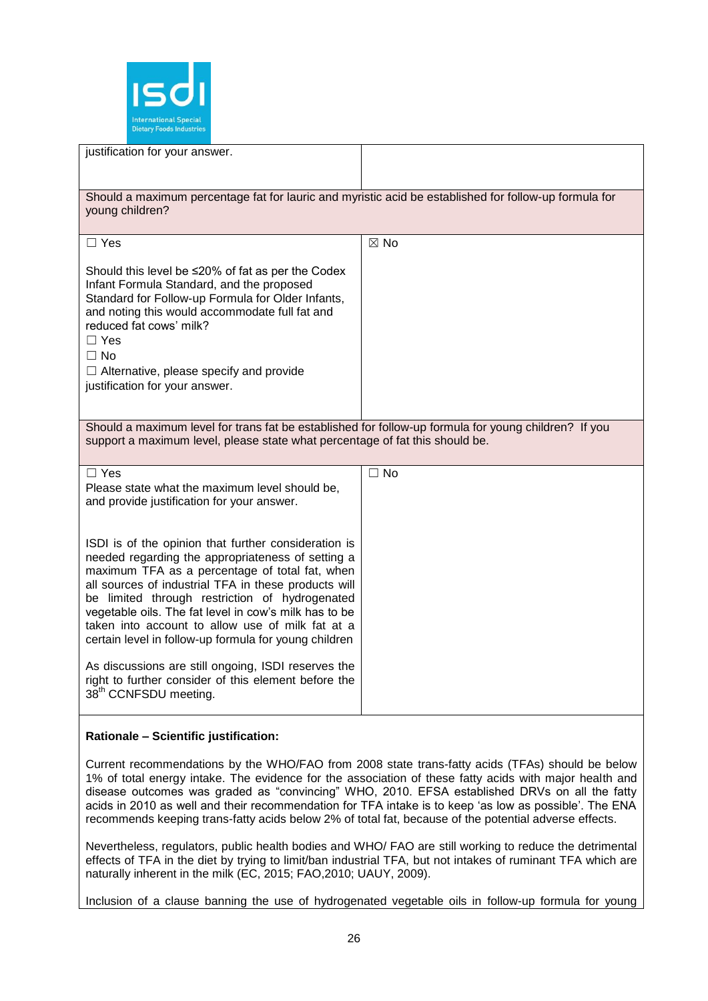

| justification for your answer.                                                                                                                                                                                                                                                                                                                                                                                                              |                |
|---------------------------------------------------------------------------------------------------------------------------------------------------------------------------------------------------------------------------------------------------------------------------------------------------------------------------------------------------------------------------------------------------------------------------------------------|----------------|
| Should a maximum percentage fat for lauric and myristic acid be established for follow-up formula for<br>young children?                                                                                                                                                                                                                                                                                                                    |                |
| $\Box$ Yes                                                                                                                                                                                                                                                                                                                                                                                                                                  | $\boxtimes$ No |
| Should this level be $\leq$ 20% of fat as per the Codex<br>Infant Formula Standard, and the proposed<br>Standard for Follow-up Formula for Older Infants,<br>and noting this would accommodate full fat and<br>reduced fat cows' milk?<br>$\Box$ Yes<br>$\Box$ No<br>$\Box$ Alternative, please specify and provide<br>justification for your answer.                                                                                       |                |
| Should a maximum level for trans fat be established for follow-up formula for young children? If you<br>support a maximum level, please state what percentage of fat this should be.                                                                                                                                                                                                                                                        |                |
| $\Box$ Yes<br>Please state what the maximum level should be,<br>and provide justification for your answer.                                                                                                                                                                                                                                                                                                                                  | $\square$ No   |
| ISDI is of the opinion that further consideration is<br>needed regarding the appropriateness of setting a<br>maximum TFA as a percentage of total fat, when<br>all sources of industrial TFA in these products will<br>be limited through restriction of hydrogenated<br>vegetable oils. The fat level in cow's milk has to be<br>taken into account to allow use of milk fat at a<br>certain level in follow-up formula for young children |                |
| As discussions are still ongoing, ISDI reserves the<br>right to further consider of this element before the<br>38 <sup>th</sup> CCNFSDU meeting.                                                                                                                                                                                                                                                                                            |                |
| Rationale - Scientific justification:                                                                                                                                                                                                                                                                                                                                                                                                       |                |

Current recommendations by the WHO/FAO from 2008 state trans-fatty acids (TFAs) should be below 1% of total energy intake. The evidence for the association of these fatty acids with major health and disease outcomes was graded as "convincing" WHO, 2010. EFSA established DRVs on all the fatty acids in 2010 as well and their recommendation for TFA intake is to keep 'as low as possible'. The ENA recommends keeping trans-fatty acids below 2% of total fat, because of the potential adverse effects.

Nevertheless, regulators, public health bodies and WHO/ FAO are still working to reduce the detrimental effects of TFA in the diet by trying to limit/ban industrial TFA, but not intakes of ruminant TFA which are naturally inherent in the milk (EC, 2015; FAO,2010; UAUY, 2009).

Inclusion of a clause banning the use of hydrogenated vegetable oils in follow-up formula for young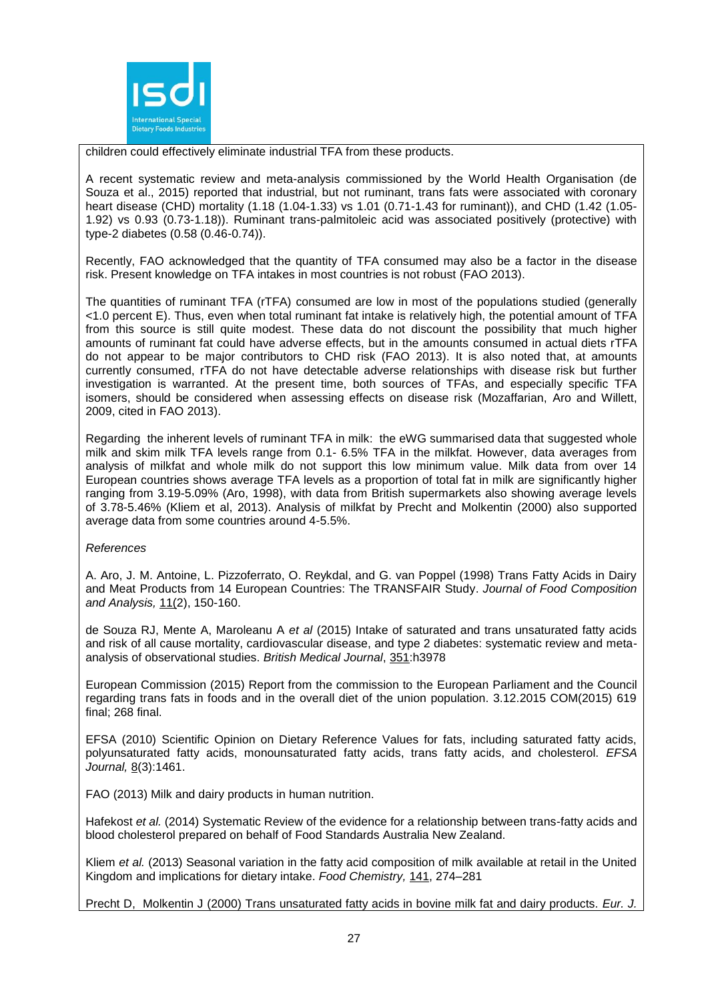

children could effectively eliminate industrial TFA from these products.

A recent systematic review and meta-analysis commissioned by the World Health Organisation (de Souza et al., 2015) reported that industrial, but not ruminant, trans fats were associated with coronary heart disease (CHD) mortality (1.18 (1.04-1.33) vs 1.01 (0.71-1.43 for ruminant)), and CHD (1.42 (1.05- 1.92) vs 0.93 (0.73-1.18)). Ruminant trans-palmitoleic acid was associated positively (protective) with type-2 diabetes (0.58 (0.46-0.74)).

Recently, FAO acknowledged that the quantity of TFA consumed may also be a factor in the disease risk. Present knowledge on TFA intakes in most countries is not robust (FAO 2013).

The quantities of ruminant TFA (rTFA) consumed are low in most of the populations studied (generally <1.0 percent E). Thus, even when total ruminant fat intake is relatively high, the potential amount of TFA from this source is still quite modest. These data do not discount the possibility that much higher amounts of ruminant fat could have adverse effects, but in the amounts consumed in actual diets rTFA do not appear to be major contributors to CHD risk (FAO 2013). It is also noted that, at amounts currently consumed, rTFA do not have detectable adverse relationships with disease risk but further investigation is warranted. At the present time, both sources of TFAs, and especially specific TFA isomers, should be considered when assessing effects on disease risk (Mozaffarian, Aro and Willett, 2009, cited in FAO 2013).

Regarding the inherent levels of ruminant TFA in milk: the eWG summarised data that suggested whole milk and skim milk TFA levels range from 0.1- 6.5% TFA in the milkfat. However, data averages from analysis of milkfat and whole milk do not support this low minimum value. Milk data from over 14 European countries shows average TFA levels as a proportion of total fat in milk are significantly higher ranging from 3.19-5.09% (Aro, 1998), with data from British supermarkets also showing average levels of 3.78-5.46% (Kliem et al, 2013). Analysis of milkfat by Precht and Molkentin (2000) also supported average data from some countries around 4-5.5%.

*References*

A. Aro, J. M. Antoine, L. Pizzoferrato, O. Reykdal, and G. van Poppel (1998) Trans Fatty Acids in Dairy and Meat Products from 14 European Countries: The TRANSFAIR Study. *Journal of Food Composition and Analysis,* 11(2), 150-160.

de Souza RJ, Mente A, Maroleanu A *et al* (2015) Intake of saturated and trans unsaturated fatty acids and risk of all cause mortality, cardiovascular disease, and type 2 diabetes: systematic review and metaanalysis of observational studies. *British Medical Journal*, 351:h3978

European Commission (2015) Report from the commission to the European Parliament and the Council regarding trans fats in foods and in the overall diet of the union population. 3.12.2015 COM(2015) 619 final; 268 final.

EFSA (2010) Scientific Opinion on Dietary Reference Values for fats, including saturated fatty acids, polyunsaturated fatty acids, monounsaturated fatty acids, trans fatty acids, and cholesterol. *EFSA Journal,* 8(3):1461.

FAO (2013) Milk and dairy products in human nutrition.

Hafekost *et al.* (2014) Systematic Review of the evidence for a relationship between trans-fatty acids and blood cholesterol prepared on behalf of Food Standards Australia New Zealand.

Kliem *et al.* (2013) Seasonal variation in the fatty acid composition of milk available at retail in the United Kingdom and implications for dietary intake. *Food Chemistry,* 141, 274–281

Precht D, Molkentin J (2000) Trans unsaturated fatty acids in bovine milk fat and dairy products. *Eur. J.*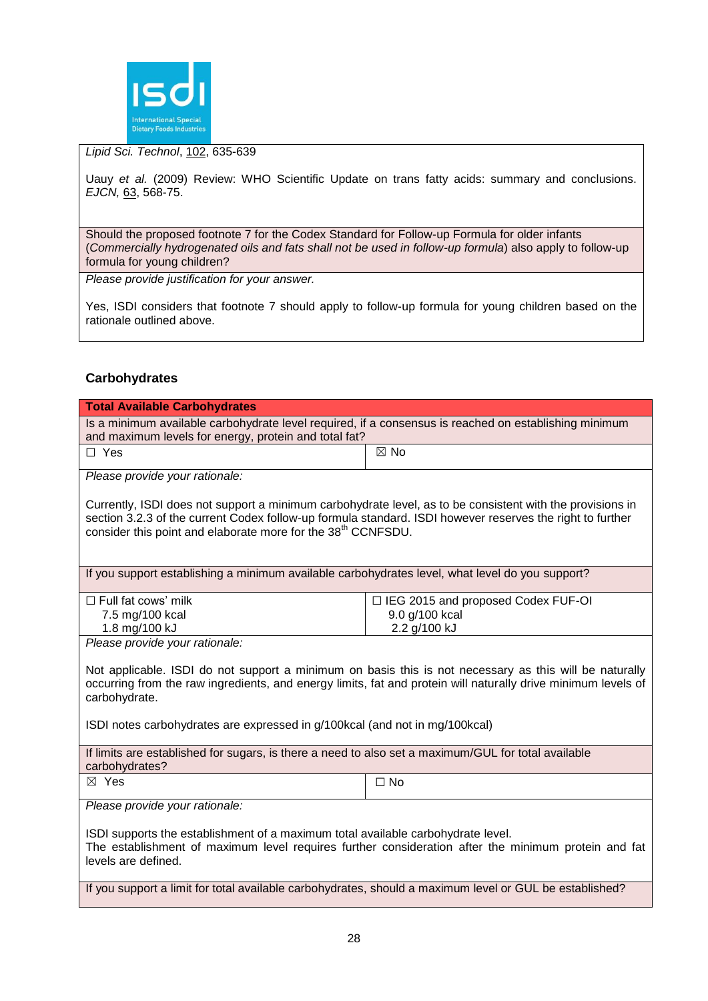

# *Lipid Sci. Technol*, 102, 635-639

Uauy *et al.* (2009) Review: WHO Scientific Update on trans fatty acids: summary and conclusions. *EJCN,* 63, 568-75.

Should the proposed footnote 7 for the Codex Standard for Follow-up Formula for older infants (*Commercially hydrogenated oils and fats shall not be used in follow-up formula*) also apply to follow-up formula for young children?

*Please provide justification for your answer.*

Yes, ISDI considers that footnote 7 should apply to follow-up formula for young children based on the rationale outlined above.

# **Carbohydrates**

| <b>Total Available Carbohydrates</b>                                                                                                                                                                                                                                                                                    |                                      |  |  |  |
|-------------------------------------------------------------------------------------------------------------------------------------------------------------------------------------------------------------------------------------------------------------------------------------------------------------------------|--------------------------------------|--|--|--|
| Is a minimum available carbohydrate level required, if a consensus is reached on establishing minimum<br>and maximum levels for energy, protein and total fat?                                                                                                                                                          |                                      |  |  |  |
| $\Box$ Yes                                                                                                                                                                                                                                                                                                              | $\boxtimes$ No                       |  |  |  |
| Please provide your rationale:                                                                                                                                                                                                                                                                                          |                                      |  |  |  |
| Currently, ISDI does not support a minimum carbohydrate level, as to be consistent with the provisions in<br>section 3.2.3 of the current Codex follow-up formula standard. ISDI however reserves the right to further<br>consider this point and elaborate more for the 38 <sup>th</sup> CCNFSDU.                      |                                      |  |  |  |
| If you support establishing a minimum available carbohydrates level, what level do you support?                                                                                                                                                                                                                         |                                      |  |  |  |
| $\Box$ Full fat cows' milk                                                                                                                                                                                                                                                                                              | □ IEG 2015 and proposed Codex FUF-OI |  |  |  |
| 7.5 mg/100 kcal                                                                                                                                                                                                                                                                                                         | 9.0 g/100 kcal                       |  |  |  |
| 1.8 mg/100 kJ<br>Please provide your rationale:                                                                                                                                                                                                                                                                         | 2.2 g/100 kJ                         |  |  |  |
| Not applicable. ISDI do not support a minimum on basis this is not necessary as this will be naturally<br>occurring from the raw ingredients, and energy limits, fat and protein will naturally drive minimum levels of<br>carbohydrate.<br>ISDI notes carbohydrates are expressed in g/100kcal (and not in mg/100kcal) |                                      |  |  |  |
| If limits are established for sugars, is there a need to also set a maximum/GUL for total available<br>carbohydrates?                                                                                                                                                                                                   |                                      |  |  |  |
| ⊠ Yes                                                                                                                                                                                                                                                                                                                   | $\square$ No                         |  |  |  |
| Please provide your rationale:                                                                                                                                                                                                                                                                                          |                                      |  |  |  |
| ISDI supports the establishment of a maximum total available carbohydrate level.<br>The establishment of maximum level requires further consideration after the minimum protein and fat<br>levels are defined.                                                                                                          |                                      |  |  |  |
| If you support a limit for total available carbohydrates, should a maximum level or GUL be established?                                                                                                                                                                                                                 |                                      |  |  |  |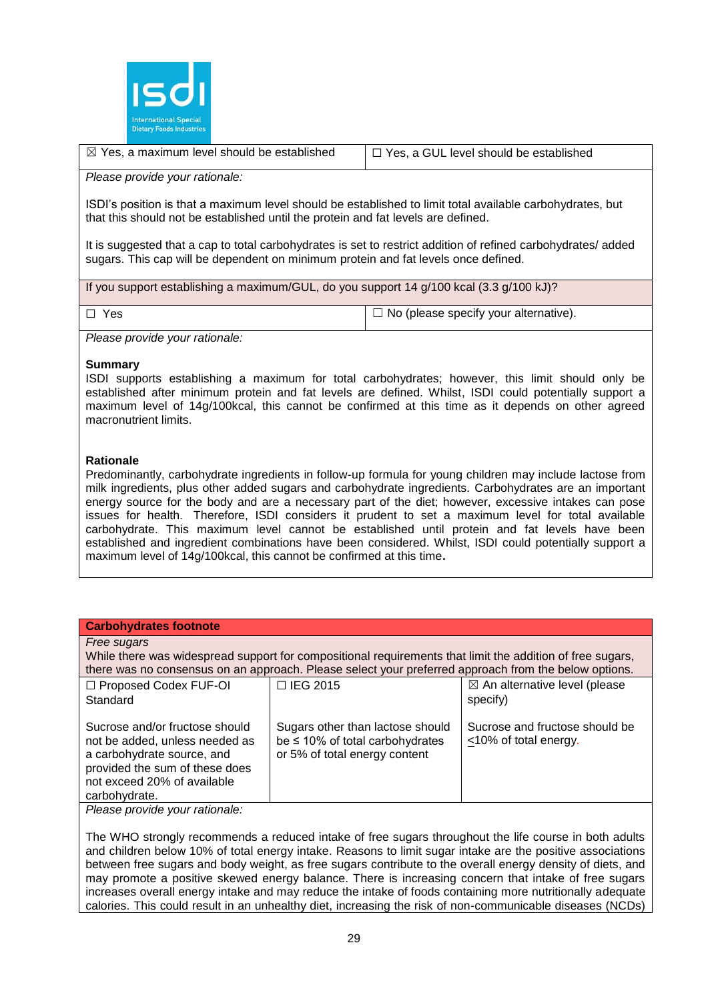

| $\boxtimes$ Yes, a maximum level should be established | $\Box$ Yes, a GUL level should be established |
|--------------------------------------------------------|-----------------------------------------------|
|--------------------------------------------------------|-----------------------------------------------|

#### *Please provide your rationale:*

ISDI's position is that a maximum level should be established to limit total available carbohydrates, but that this should not be established until the protein and fat levels are defined.

It is suggested that a cap to total carbohydrates is set to restrict addition of refined carbohydrates/ added sugars. This cap will be dependent on minimum protein and fat levels once defined.

If you support establishing a maximum/GUL, do you support 14 g/100 kcal (3.3 g/100 kJ)?

 $\Box$  Yes  $\Box$  Yes  $\Box$  Yes  $\Box$  No (please specify your alternative).

*Please provide your rationale:*

#### **Summary**

ISDI supports establishing a maximum for total carbohydrates; however, this limit should only be established after minimum protein and fat levels are defined. Whilst, ISDI could potentially support a maximum level of 14g/100kcal, this cannot be confirmed at this time as it depends on other agreed macronutrient limits.

# **Rationale**

Predominantly, carbohydrate ingredients in follow-up formula for young children may include lactose from milk ingredients, plus other added sugars and carbohydrate ingredients. Carbohydrates are an important energy source for the body and are a necessary part of the diet; however, excessive intakes can pose issues for health. Therefore, ISDI considers it prudent to set a maximum level for total available carbohydrate. This maximum level cannot be established until protein and fat levels have been established and ingredient combinations have been considered. Whilst, ISDI could potentially support a maximum level of 14g/100kcal, this cannot be confirmed at this time**.** 

| <b>Carbohydrates footnote</b>                                                                                                                                                                                                                                                                                                                            |                                                                                                      |                                                      |  |  |
|----------------------------------------------------------------------------------------------------------------------------------------------------------------------------------------------------------------------------------------------------------------------------------------------------------------------------------------------------------|------------------------------------------------------------------------------------------------------|------------------------------------------------------|--|--|
| Free sugars<br>While there was widespread support for compositional requirements that limit the addition of free sugars,                                                                                                                                                                                                                                 |                                                                                                      |                                                      |  |  |
|                                                                                                                                                                                                                                                                                                                                                          | there was no consensus on an approach. Please select your preferred approach from the below options. |                                                      |  |  |
| $\Box$ Proposed Codex FUF-OI<br>Standard                                                                                                                                                                                                                                                                                                                 | $\Box$ IEG 2015                                                                                      | $\boxtimes$ An alternative level (please<br>specify) |  |  |
| Sucrose and fructose should be<br>Sucrose and/or fructose should<br>Sugars other than lactose should<br>be $\leq$ 10% of total carbohydrates<br><10% of total energy.<br>not be added, unless needed as<br>or 5% of total energy content<br>a carbohydrate source, and<br>provided the sum of these does<br>not exceed 20% of available<br>carbohydrate. |                                                                                                      |                                                      |  |  |
| Please provide your rationale:                                                                                                                                                                                                                                                                                                                           |                                                                                                      |                                                      |  |  |

The WHO strongly recommends a reduced intake of free sugars throughout the life course in both adults and children below 10% of total energy intake. Reasons to limit sugar intake are the positive associations between free sugars and body weight, as free sugars contribute to the overall energy density of diets, and may promote a positive skewed energy balance. There is increasing concern that intake of free sugars increases overall energy intake and may reduce the intake of foods containing more nutritionally adequate calories. This could result in an unhealthy diet, increasing the risk of non-communicable diseases (NCDs)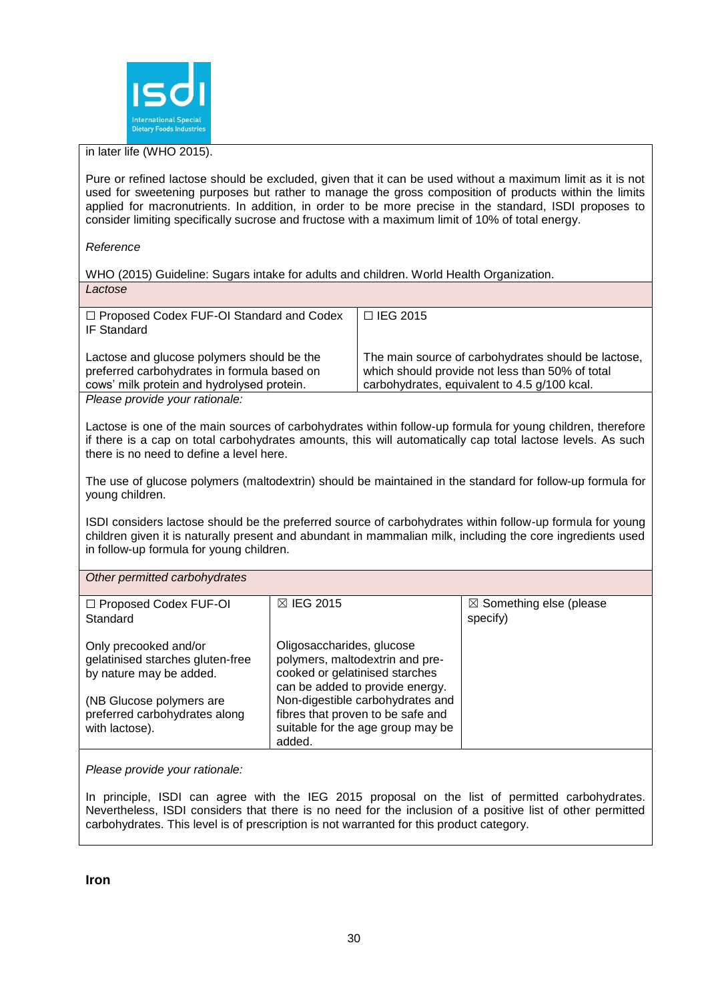

in later life (WHO 2015).

Pure or refined lactose should be excluded, given that it can be used without a maximum limit as it is not used for sweetening purposes but rather to manage the gross composition of products within the limits applied for macronutrients. In addition, in order to be more precise in the standard, ISDI proposes to consider limiting specifically sucrose and fructose with a maximum limit of 10% of total energy.

#### *Reference*

WHO (2015) Guideline: Sugars intake for adults and children. World Health Organization. *Lactose*

| □ Proposed Codex FUF-OI Standard and Codex<br><b>IF Standard</b>                                                                                                                                                                                                      |                                                                                  | □ IEG 2015                                                                                                                                             |                                                |
|-----------------------------------------------------------------------------------------------------------------------------------------------------------------------------------------------------------------------------------------------------------------------|----------------------------------------------------------------------------------|--------------------------------------------------------------------------------------------------------------------------------------------------------|------------------------------------------------|
| Lactose and glucose polymers should be the<br>preferred carbohydrates in formula based on<br>cows' milk protein and hydrolysed protein.                                                                                                                               |                                                                                  | The main source of carbohydrates should be lactose,<br>which should provide not less than 50% of total<br>carbohydrates, equivalent to 4.5 g/100 kcal. |                                                |
| Please provide your rationale:                                                                                                                                                                                                                                        |                                                                                  |                                                                                                                                                        |                                                |
| Lactose is one of the main sources of carbohydrates within follow-up formula for young children, therefore<br>if there is a cap on total carbohydrates amounts, this will automatically cap total lactose levels. As such<br>there is no need to define a level here. |                                                                                  |                                                                                                                                                        |                                                |
| The use of glucose polymers (maltodextrin) should be maintained in the standard for follow-up formula for<br>young children.                                                                                                                                          |                                                                                  |                                                                                                                                                        |                                                |
| ISDI considers lactose should be the preferred source of carbohydrates within follow-up formula for young<br>children given it is naturally present and abundant in mammalian milk, including the core ingredients used<br>in follow-up formula for young children.   |                                                                                  |                                                                                                                                                        |                                                |
| Other permitted carbohydrates                                                                                                                                                                                                                                         |                                                                                  |                                                                                                                                                        |                                                |
| □ Proposed Codex FUF-OI<br>Standard                                                                                                                                                                                                                                   | ⊠ IEG 2015                                                                       |                                                                                                                                                        | $\boxtimes$ Something else (please<br>specify) |
| Oligosaccharides, glucose<br>Only precooked and/or<br>polymers, maltodextrin and pre-<br>gelatinised starches gluten-free<br>cooked or gelatinised starches<br>by nature may be added.<br>can be added to provide energy.                                             |                                                                                  |                                                                                                                                                        |                                                |
| (NB Glucose polymers are                                                                                                                                                                                                                                              | Non-digestible carbohydrates and                                                 |                                                                                                                                                        |                                                |
| preferred carbohydrates along<br>with lactose).                                                                                                                                                                                                                       | fibres that proven to be safe and<br>suitable for the age group may be<br>added. |                                                                                                                                                        |                                                |
|                                                                                                                                                                                                                                                                       |                                                                                  |                                                                                                                                                        |                                                |

*Please provide your rationale:*

In principle, ISDI can agree with the IEG 2015 proposal on the list of permitted carbohydrates. Nevertheless, ISDI considers that there is no need for the inclusion of a positive list of other permitted carbohydrates. This level is of prescription is not warranted for this product category.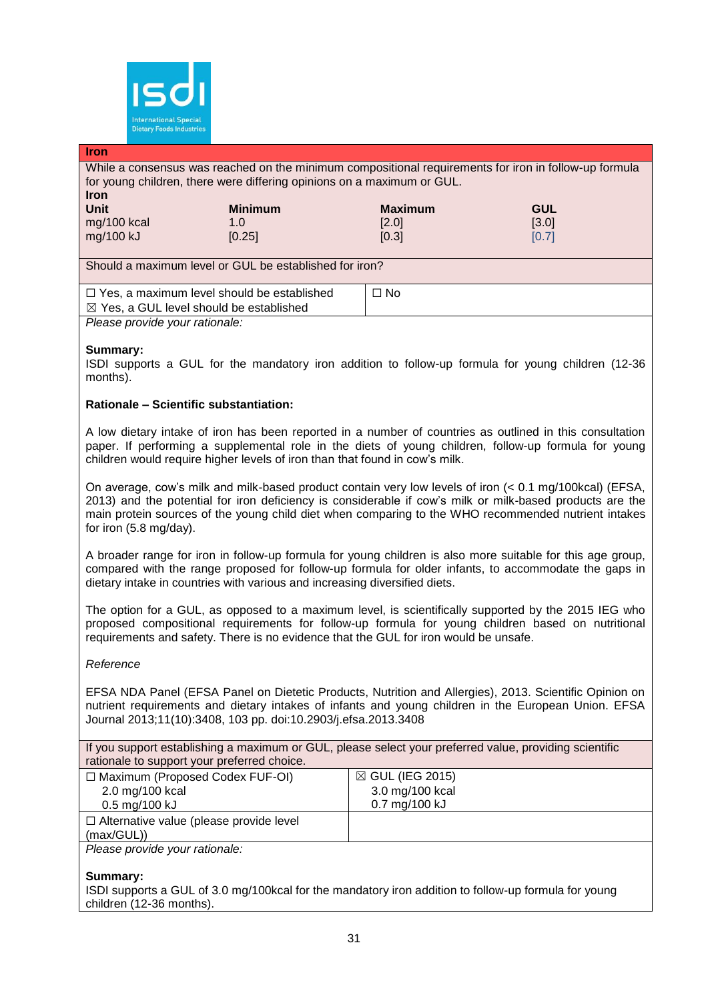

### **Iron**

While a consensus was reached on the minimum compositional requirements for iron in follow-up formula for young children, there were differing opinions on a maximum or GUL.

| <b>Iron</b> |                |                |            |
|-------------|----------------|----------------|------------|
| Unit        | <b>Minimum</b> | <b>Maximum</b> | <b>GUL</b> |
| mg/100 kcal | 1.0            | [2.0]          | [3.0]      |
| mg/100 kJ   | [0.25]         | [0.3]          | [0.7]      |
|             |                |                |            |

Should a maximum level or GUL be established for iron?

| $\Box$ Yes, a maximum level should be established  | ∩ No |
|----------------------------------------------------|------|
| $\boxtimes$ Yes, a GUL level should be established |      |
| Please provide your rationale:                     |      |

# **Summary:**

ISDI supports a GUL for the mandatory iron addition to follow-up formula for young children (12-36 months).

# **Rationale – Scientific substantiation:**

A low dietary intake of iron has been reported in a number of countries as outlined in this consultation paper. If performing a supplemental role in the diets of young children, follow-up formula for young children would require higher levels of iron than that found in cow's milk.

On average, cow's milk and milk-based product contain very low levels of iron (< 0.1 mg/100kcal) (EFSA, 2013) and the potential for iron deficiency is considerable if cow's milk or milk-based products are the main protein sources of the young child diet when comparing to the WHO recommended nutrient intakes for iron (5.8 mg/day).

A broader range for iron in follow-up formula for young children is also more suitable for this age group, compared with the range proposed for follow-up formula for older infants, to accommodate the gaps in dietary intake in countries with various and increasing diversified diets.

The option for a GUL, as opposed to a maximum level, is scientifically supported by the 2015 IEG who proposed compositional requirements for follow-up formula for young children based on nutritional requirements and safety. There is no evidence that the GUL for iron would be unsafe.

#### *Reference*

EFSA NDA Panel (EFSA Panel on Dietetic Products, Nutrition and Allergies), 2013. Scientific Opinion on nutrient requirements and dietary intakes of infants and young children in the European Union. EFSA Journal 2013;11(10):3408, 103 pp. doi:10.2903/j.efsa.2013.3408

If you support establishing a maximum or GUL, please select your preferred value, providing scientific rationale to support your preferred choice.

| $\Box$ Maximum (Proposed Codex FUF-OI)         | $\boxtimes$ GUL (IEG 2015) |
|------------------------------------------------|----------------------------|
| 2.0 mg/100 kcal                                | 3.0 mg/100 kcal            |
| $0.5 \,\mathrm{mg}/100 \,\mathrm{kJ}$          | 0.7 mg/100 kJ              |
| $\Box$ Alternative value (please provide level |                            |
| (max/GUL))                                     |                            |

*Please provide your rationale:*

**Summary:**

ISDI supports a GUL of 3.0 mg/100kcal for the mandatory iron addition to follow-up formula for young children (12-36 months).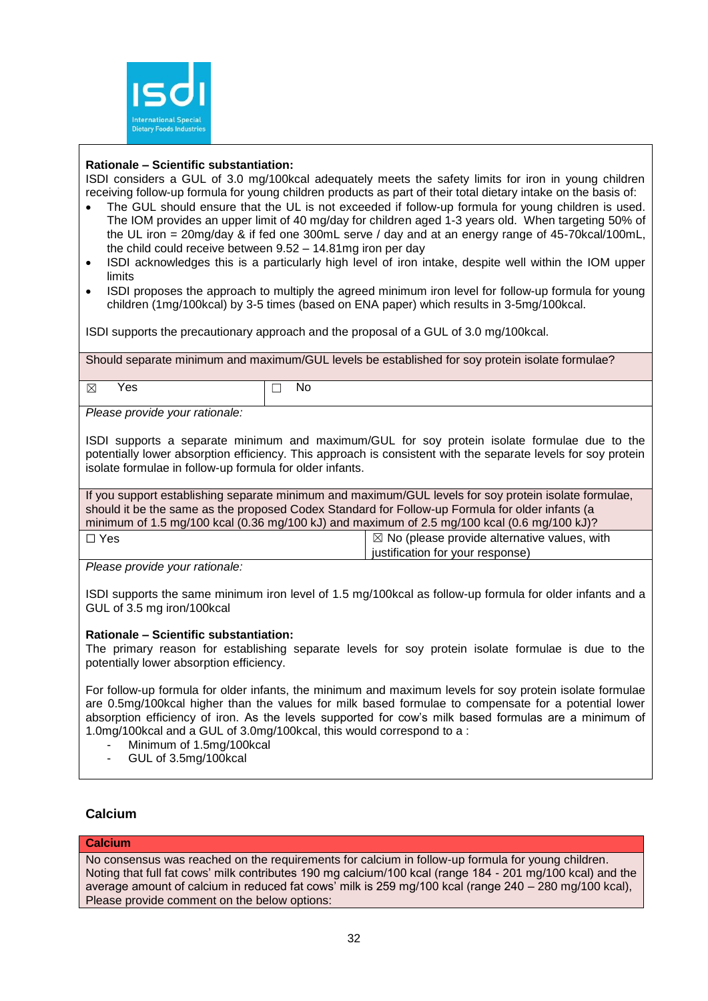

# **Rationale – Scientific substantiation:**

ISDI considers a GUL of 3.0 mg/100kcal adequately meets the safety limits for iron in young children receiving follow-up formula for young children products as part of their total dietary intake on the basis of:

- The GUL should ensure that the UL is not exceeded if follow-up formula for young children is used. The IOM provides an upper limit of 40 mg/day for children aged 1-3 years old. When targeting 50% of the UL iron = 20mg/day & if fed one 300mL serve / day and at an energy range of 45-70kcal/100mL, the child could receive between 9.52 – 14.81mg iron per day
- ISDI acknowledges this is a particularly high level of iron intake, despite well within the IOM upper limits
- ISDI proposes the approach to multiply the agreed minimum iron level for follow-up formula for young children (1mg/100kcal) by 3-5 times (based on ENA paper) which results in 3-5mg/100kcal.

ISDI supports the precautionary approach and the proposal of a GUL of 3.0 mg/100kcal.

Should separate minimum and maximum/GUL levels be established for soy protein isolate formulae?

 $\boxtimes$  Yes  $\Box$  No

*Please provide your rationale:*

ISDI supports a separate minimum and maximum/GUL for soy protein isolate formulae due to the potentially lower absorption efficiency. This approach is consistent with the separate levels for soy protein isolate formulae in follow-up formula for older infants.

If you support establishing separate minimum and maximum/GUL levels for soy protein isolate formulae, should it be the same as the proposed Codex Standard for Follow-up Formula for older infants (a minimum of 1.5 mg/100 kcal (0.36 mg/100 kJ) and maximum of 2.5 mg/100 kcal (0.6 mg/100 kJ)?

| $\Box$ Yes | $\boxtimes$ No (please provide alternative values, with |
|------------|---------------------------------------------------------|
|            | justification for your response)                        |
|            |                                                         |

*Please provide your rationale:*

ISDI supports the same minimum iron level of 1.5 mg/100kcal as follow-up formula for older infants and a GUL of 3.5 mg iron/100kcal

# **Rationale – Scientific substantiation:**

The primary reason for establishing separate levels for soy protein isolate formulae is due to the potentially lower absorption efficiency.

For follow-up formula for older infants, the minimum and maximum levels for soy protein isolate formulae are 0.5mg/100kcal higher than the values for milk based formulae to compensate for a potential lower absorption efficiency of iron. As the levels supported for cow's milk based formulas are a minimum of 1.0mg/100kcal and a GUL of 3.0mg/100kcal, this would correspond to a :

- Minimum of 1.5mg/100kcal
- GUL of 3.5mg/100kcal

# **Calcium**

#### **Calcium**

No consensus was reached on the requirements for calcium in follow-up formula for young children. Noting that full fat cows' milk contributes 190 mg calcium/100 kcal (range 184 - 201 mg/100 kcal) and the average amount of calcium in reduced fat cows' milk is 259 mg/100 kcal (range 240 – 280 mg/100 kcal), Please provide comment on the below options: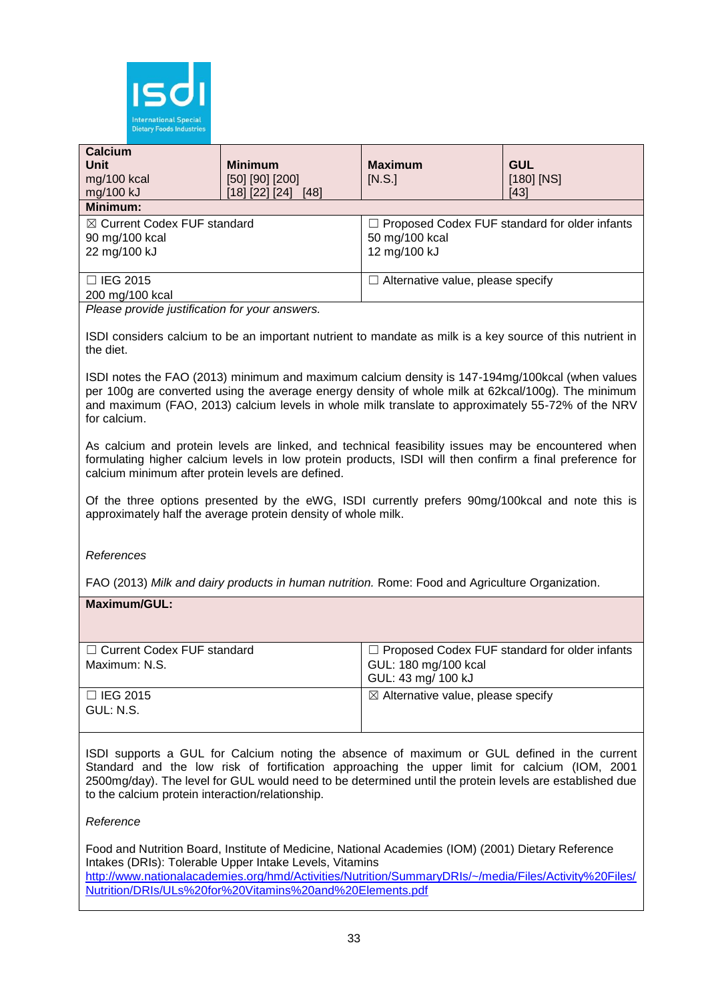

| <b>Calcium</b><br>Unit<br>mg/100 kcal<br>mg/100 kJ                                | <b>Minimum</b><br>$[50]$ $[90]$ $[200]$<br>$[18]$ [22] [24] [48] | <b>Maximum</b><br>[N.S.]                                                               | <b>GUL</b><br>$[180]$ [NS]<br>$[43]$ |
|-----------------------------------------------------------------------------------|------------------------------------------------------------------|----------------------------------------------------------------------------------------|--------------------------------------|
| <b>Minimum:</b><br>⊠ Current Codex FUF standard<br>90 mg/100 kcal<br>22 mg/100 kJ |                                                                  | $\Box$ Proposed Codex FUF standard for older infants<br>50 mg/100 kcal<br>12 mg/100 kJ |                                      |
| $\Box$ IEG 2015<br>200 mg/100 kcal                                                |                                                                  | $\Box$ Alternative value, please specify                                               |                                      |

*Please provide justification for your answers.*

ISDI considers calcium to be an important nutrient to mandate as milk is a key source of this nutrient in the diet.

ISDI notes the FAO (2013) minimum and maximum calcium density is 147-194mg/100kcal (when values per 100g are converted using the average energy density of whole milk at 62kcal/100g). The minimum and maximum (FAO, 2013) calcium levels in whole milk translate to approximately 55-72% of the NRV for calcium.

As calcium and protein levels are linked, and technical feasibility issues may be encountered when formulating higher calcium levels in low protein products, ISDI will then confirm a final preference for calcium minimum after protein levels are defined.

Of the three options presented by the eWG, ISDI currently prefers 90mg/100kcal and note this is approximately half the average protein density of whole milk.

*References*

FAO (2013) *Milk and dairy products in human nutrition.* Rome: Food and Agriculture Organization.

# **Maximum/GUL:**

| $\Box$ Current Codex FUF standard | $\Box$ Proposed Codex FUF standard for older infants |
|-----------------------------------|------------------------------------------------------|
| Maximum: N.S.                     | GUL: 180 mg/100 kcal                                 |
|                                   | GUL: 43 mg/ 100 kJ                                   |
| $\Box$ IEG 2015                   | $\boxtimes$ Alternative value, please specify        |
| GUL: N.S.                         |                                                      |
|                                   |                                                      |

ISDI supports a GUL for Calcium noting the absence of maximum or GUL defined in the current Standard and the low risk of fortification approaching the upper limit for calcium (IOM, 2001 2500mg/day). The level for GUL would need to be determined until the protein levels are established due to the calcium protein interaction/relationship.

#### *Reference*

Food and Nutrition Board, Institute of Medicine, National Academies (IOM) (2001) Dietary Reference Intakes (DRIs): Tolerable Upper Intake Levels, Vitamins [http://www.nationalacademies.org/hmd/Activities/Nutrition/SummaryDRIs/~/media/Files/Activity%20Files/](http://www.nationalacademies.org/hmd/Activities/Nutrition/SummaryDRIs/~/media/Files/Activity%20Files/Nutrition/DRIs/ULs%20for%20Vitamins%20and%20Elements.pdf) [Nutrition/DRIs/ULs%20for%20Vitamins%20and%20Elements.pdf](http://www.nationalacademies.org/hmd/Activities/Nutrition/SummaryDRIs/~/media/Files/Activity%20Files/Nutrition/DRIs/ULs%20for%20Vitamins%20and%20Elements.pdf)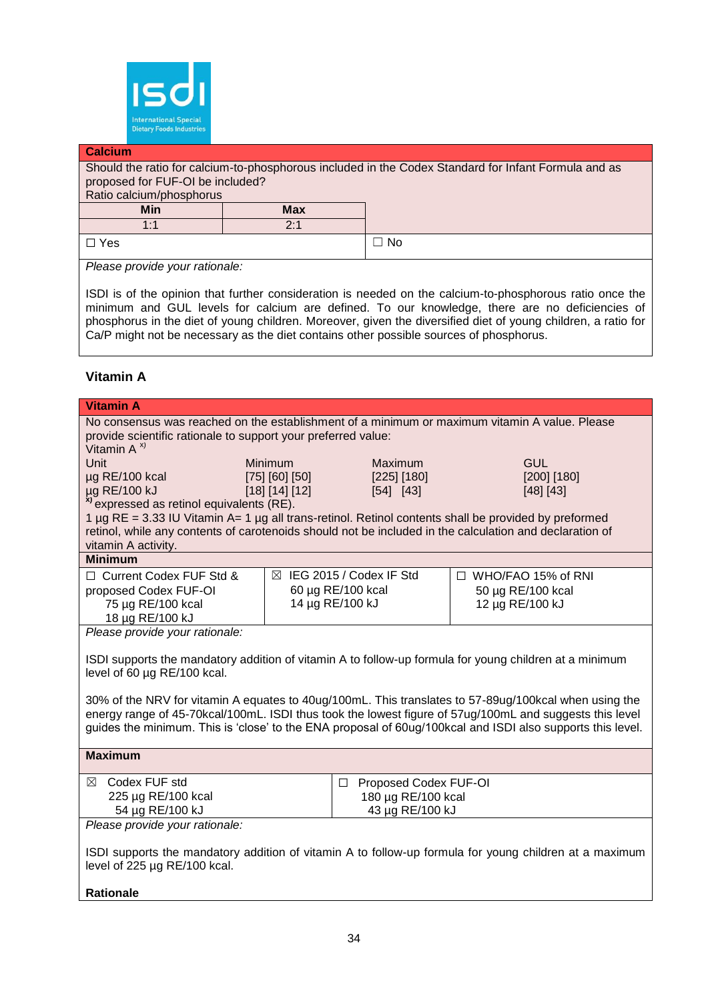

#### **Calcium**

Should the ratio for calcium-to-phosphorous included in the Codex Standard for Infant Formula and as proposed for FUF-OI be included?

| Ratio calcium/phosphorus |                                 |    |
|--------------------------|---------------------------------|----|
| Min                      | <b>Max</b>                      |    |
| 1.1<br>. .               | $\mathsf{\Omega}.4$<br><u>.</u> |    |
| $\Box$ Yes               |                                 | No |

*Please provide your rationale:*

ISDI is of the opinion that further consideration is needed on the calcium-to-phosphorous ratio once the minimum and GUL levels for calcium are defined. To our knowledge, there are no deficiencies of phosphorus in the diet of young children. Moreover, given the diversified diet of young children, a ratio for Ca/P might not be necessary as the diet contains other possible sources of phosphorus.

# **Vitamin A**

| <b>Vitamin A</b>                                                                                                                                                                                                                                                                                                               |                                  |                           |                                                |
|--------------------------------------------------------------------------------------------------------------------------------------------------------------------------------------------------------------------------------------------------------------------------------------------------------------------------------|----------------------------------|---------------------------|------------------------------------------------|
| No consensus was reached on the establishment of a minimum or maximum vitamin A value. Please                                                                                                                                                                                                                                  |                                  |                           |                                                |
| provide scientific rationale to support your preferred value:<br>Vitamin $A^{x}$                                                                                                                                                                                                                                               |                                  |                           |                                                |
| <b>Unit</b>                                                                                                                                                                                                                                                                                                                    | Minimum<br><b>GUL</b><br>Maximum |                           |                                                |
| µg RE/100 kcal                                                                                                                                                                                                                                                                                                                 | [75] [60] [50]                   | [225] [180]               | [200] [180]                                    |
| µg RE/100 kJ                                                                                                                                                                                                                                                                                                                   | [18] [14] [12]                   | [54] [43]                 | [48] [43]                                      |
| <sup>x)</sup> expressed as retinol equivalents (RE).                                                                                                                                                                                                                                                                           |                                  |                           |                                                |
| 1 µg RE = 3.33 IU Vitamin A= 1 µg all trans-retinol. Retinol contents shall be provided by preformed                                                                                                                                                                                                                           |                                  |                           |                                                |
| retinol, while any contents of carotenoids should not be included in the calculation and declaration of                                                                                                                                                                                                                        |                                  |                           |                                                |
| vitamin A activity.<br><b>Minimum</b>                                                                                                                                                                                                                                                                                          |                                  |                           |                                                |
| □ Current Codex FUF Std &                                                                                                                                                                                                                                                                                                      |                                  | ⊠ IEG 2015 / Codex IF Std |                                                |
| proposed Codex FUF-OI                                                                                                                                                                                                                                                                                                          |                                  | 60 µg RE/100 kcal         | $\Box$ WHO/FAO 15% of RNI<br>50 µg RE/100 kcal |
| 75 µg RE/100 kcal                                                                                                                                                                                                                                                                                                              |                                  | 14 µg RE/100 kJ           | 12 µg RE/100 kJ                                |
| 18 µg RE/100 kJ                                                                                                                                                                                                                                                                                                                |                                  |                           |                                                |
| Please provide your rationale:                                                                                                                                                                                                                                                                                                 |                                  |                           |                                                |
| ISDI supports the mandatory addition of vitamin A to follow-up formula for young children at a minimum<br>level of 60 µg RE/100 kcal.                                                                                                                                                                                          |                                  |                           |                                                |
| 30% of the NRV for vitamin A equates to 40ug/100mL. This translates to 57-89ug/100kcal when using the<br>energy range of 45-70kcal/100mL. ISDI thus took the lowest figure of 57ug/100mL and suggests this level<br>guides the minimum. This is 'close' to the ENA proposal of 60ug/100kcal and ISDI also supports this level. |                                  |                           |                                                |
| <b>Maximum</b>                                                                                                                                                                                                                                                                                                                 |                                  |                           |                                                |
| Codex FUF std<br>⊠<br>Proposed Codex FUF-OI<br>□                                                                                                                                                                                                                                                                               |                                  |                           |                                                |
| 225 µg RE/100 kcal<br>180 µg RE/100 kcal                                                                                                                                                                                                                                                                                       |                                  |                           |                                                |
| 54 µg RE/100 kJ                                                                                                                                                                                                                                                                                                                | 43 µg RE/100 kJ                  |                           |                                                |
| Please provide your rationale:                                                                                                                                                                                                                                                                                                 |                                  |                           |                                                |
| ISDI supports the mandatory addition of vitamin A to follow-up formula for young children at a maximum                                                                                                                                                                                                                         |                                  |                           |                                                |
| level of 225 µg RE/100 kcal.                                                                                                                                                                                                                                                                                                   |                                  |                           |                                                |
|                                                                                                                                                                                                                                                                                                                                |                                  |                           |                                                |
| <b>Rationale</b>                                                                                                                                                                                                                                                                                                               |                                  |                           |                                                |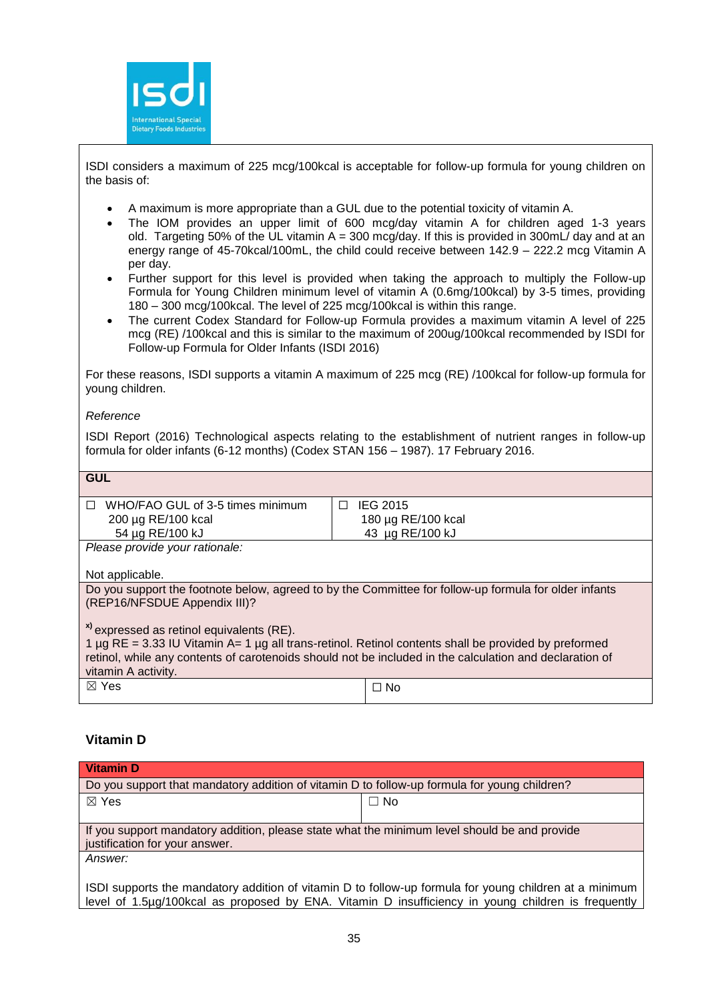

ISDI considers a maximum of 225 mcg/100kcal is acceptable for follow-up formula for young children on the basis of:

- A maximum is more appropriate than a GUL due to the potential toxicity of vitamin A.
- The IOM provides an upper limit of 600 mcg/day vitamin A for children aged 1-3 years old. Targeting 50% of the UL vitamin  $A = 300$  mcg/day. If this is provided in 300mL/ day and at an energy range of 45-70kcal/100mL, the child could receive between 142.9 – 222.2 mcg Vitamin A per day.
- Further support for this level is provided when taking the approach to multiply the Follow-up Formula for Young Children minimum level of vitamin A (0.6mg/100kcal) by 3-5 times, providing 180 – 300 mcg/100kcal. The level of 225 mcg/100kcal is within this range.
- The current Codex Standard for Follow-up Formula provides a maximum vitamin A level of 225 mcg (RE) /100kcal and this is similar to the maximum of 200ug/100kcal recommended by ISDI for Follow-up Formula for Older Infants (ISDI 2016)

For these reasons, ISDI supports a vitamin A maximum of 225 mcg (RE) /100kcal for follow-up formula for young children.

#### *Reference*

ISDI Report (2016) Technological aspects relating to the establishment of nutrient ranges in follow-up formula for older infants (6-12 months) (Codex STAN 156 – 1987). 17 February 2016.

| GUL |                                         |  |
|-----|-----------------------------------------|--|
|     | $\Box$ WHO/FAO GUL of 3-5 times minimum |  |
|     | 200 µg RE/100 kcal                      |  |
|     | 54 µg RE/100 kJ                         |  |

☐ IEG 2015 180 µg RE/100 kcal 43 µg RE/100 kJ

*Please provide your rationale:*

Not applicable.

Do you support the footnote below, agreed to by the Committee for follow-up formula for older infants (REP16/NFSDUE Appendix III)?

**x)** expressed as retinol equivalents (RE).

1  $\mu$ g RE = 3.33 IU Vitamin A= 1  $\mu$ g all trans-retinol. Retinol contents shall be provided by preformed retinol, while any contents of carotenoids should not be included in the calculation and declaration of vitamin A activity.  $\boxtimes$  Yes  $\Box$  No

# **Vitamin D**

| <b>Vitamin D</b>                                                                                       |           |  |
|--------------------------------------------------------------------------------------------------------|-----------|--|
| Do you support that mandatory addition of vitamin D to follow-up formula for young children?           |           |  |
| $\boxtimes$ Yes                                                                                        | $\Box$ No |  |
|                                                                                                        |           |  |
| If you support mandatory addition, please state what the minimum level should be and provide           |           |  |
| justification for your answer.                                                                         |           |  |
| Answer:                                                                                                |           |  |
|                                                                                                        |           |  |
| ISDI supports the mandatory addition of vitamin D to follow-up formula for young children at a minimum |           |  |
| level of 1.5µg/100kcal as proposed by ENA. Vitamin D insufficiency in young children is frequently     |           |  |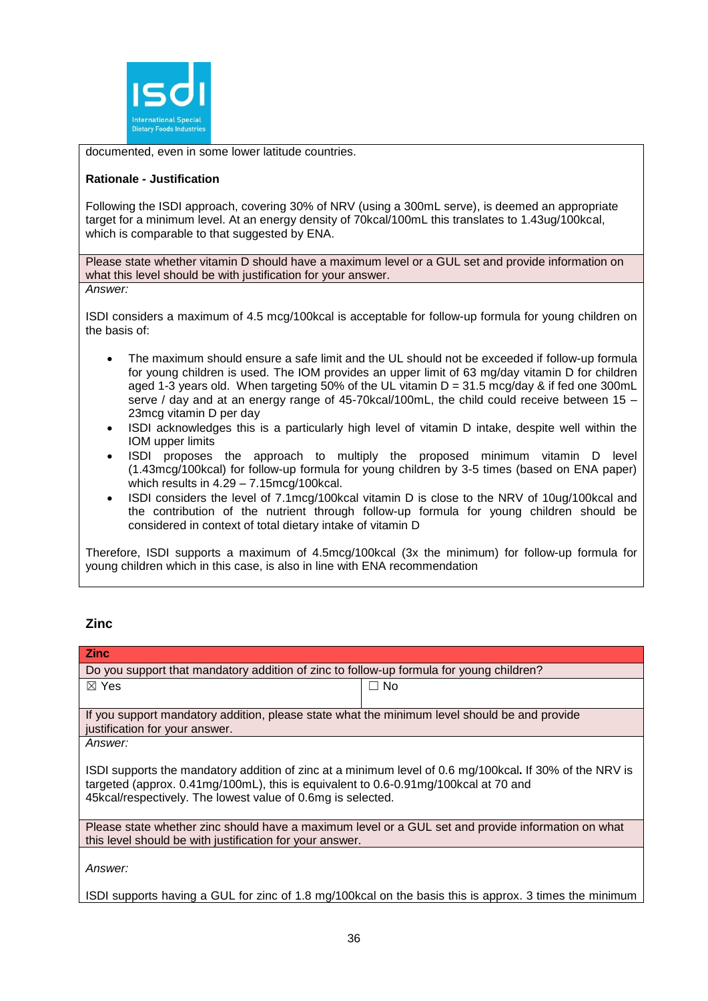

documented, even in some lower latitude countries.

#### **Rationale - Justification**

Following the ISDI approach, covering 30% of NRV (using a 300mL serve), is deemed an appropriate target for a minimum level. At an energy density of 70kcal/100mL this translates to 1.43ug/100kcal, which is comparable to that suggested by ENA.

Please state whether vitamin D should have a maximum level or a GUL set and provide information on what this level should be with justification for your answer.

*Answer:*

ISDI considers a maximum of 4.5 mcg/100kcal is acceptable for follow-up formula for young children on the basis of:

- The maximum should ensure a safe limit and the UL should not be exceeded if follow-up formula for young children is used. The IOM provides an upper limit of 63 mg/day vitamin D for children aged 1-3 years old. When targeting 50% of the UL vitamin  $D = 31.5$  mcg/day & if fed one 300mL serve / day and at an energy range of 45-70kcal/100mL, the child could receive between 15 – 23mcg vitamin D per day
- ISDI acknowledges this is a particularly high level of vitamin D intake, despite well within the IOM upper limits
- ISDI proposes the approach to multiply the proposed minimum vitamin D level (1.43mcg/100kcal) for follow-up formula for young children by 3-5 times (based on ENA paper) which results in 4.29 – 7.15mcg/100kcal.
- ISDI considers the level of 7.1mcg/100kcal vitamin D is close to the NRV of 10ug/100kcal and the contribution of the nutrient through follow-up formula for young children should be considered in context of total dietary intake of vitamin D

Therefore, ISDI supports a maximum of 4.5mcg/100kcal (3x the minimum) for follow-up formula for young children which in this case, is also in line with ENA recommendation

# **Zinc**

| <b>Zinc</b>                                                                                                                                                                                                                                                        |                                                                                                        |  |
|--------------------------------------------------------------------------------------------------------------------------------------------------------------------------------------------------------------------------------------------------------------------|--------------------------------------------------------------------------------------------------------|--|
| Do you support that mandatory addition of zinc to follow-up formula for young children?                                                                                                                                                                            |                                                                                                        |  |
| $\boxtimes$ Yes                                                                                                                                                                                                                                                    | $\Box$ No                                                                                              |  |
| If you support mandatory addition, please state what the minimum level should be and provide<br>justification for your answer.                                                                                                                                     |                                                                                                        |  |
| Answer:                                                                                                                                                                                                                                                            |                                                                                                        |  |
| ISDI supports the mandatory addition of zinc at a minimum level of 0.6 mg/100kcal. If 30% of the NRV is<br>targeted (approx. $0.41mg/100mL$ ), this is equivalent to $0.6-0.91mg/100kcal$ at 70 and<br>45kcal/respectively. The lowest value of 0.6mg is selected. |                                                                                                        |  |
| Please state whether zinc should have a maximum level or a GUL set and provide information on what<br>this level should be with justification for your answer.                                                                                                     |                                                                                                        |  |
| Answer:                                                                                                                                                                                                                                                            | ISDI supports having a GUL for zinc of 1.8 mg/100kcal on the basis this is approx. 3 times the minimum |  |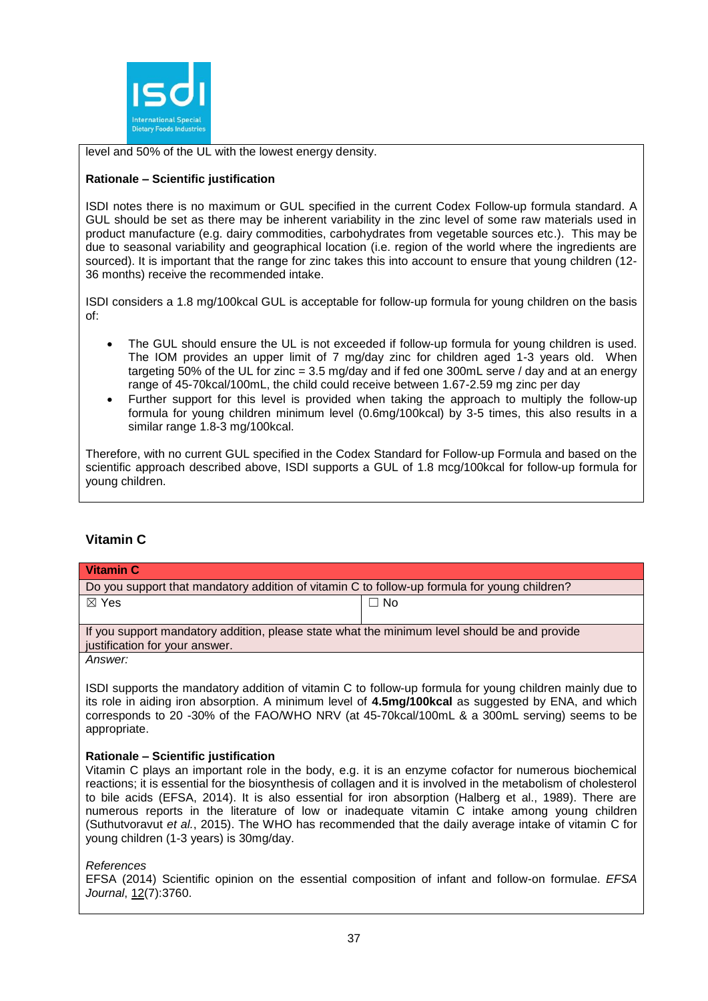

level and 50% of the UL with the lowest energy density.

# **Rationale – Scientific justification**

ISDI notes there is no maximum or GUL specified in the current Codex Follow-up formula standard. A GUL should be set as there may be inherent variability in the zinc level of some raw materials used in product manufacture (e.g. dairy commodities, carbohydrates from vegetable sources etc.). This may be due to seasonal variability and geographical location (i.e. region of the world where the ingredients are sourced). It is important that the range for zinc takes this into account to ensure that young children (12-36 months) receive the recommended intake.

ISDI considers a 1.8 mg/100kcal GUL is acceptable for follow-up formula for young children on the basis of:

- The GUL should ensure the UL is not exceeded if follow-up formula for young children is used. The IOM provides an upper limit of 7 mg/day zinc for children aged 1-3 years old. When targeting 50% of the UL for zinc = 3.5 mg/day and if fed one 300mL serve / day and at an energy range of 45-70kcal/100mL, the child could receive between 1.67-2.59 mg zinc per day
- Further support for this level is provided when taking the approach to multiply the follow-up formula for young children minimum level (0.6mg/100kcal) by 3-5 times, this also results in a similar range 1.8-3 mg/100kcal.

Therefore, with no current GUL specified in the Codex Standard for Follow-up Formula and based on the scientific approach described above, ISDI supports a GUL of 1.8 mcg/100kcal for follow-up formula for young children.

# **Vitamin C**

| <b>Vitamin C</b>                                                                                                                                                                                                                                                                                                               |           |  |
|--------------------------------------------------------------------------------------------------------------------------------------------------------------------------------------------------------------------------------------------------------------------------------------------------------------------------------|-----------|--|
| Do you support that mandatory addition of vitamin C to follow-up formula for young children?                                                                                                                                                                                                                                   |           |  |
| $\boxtimes$ Yes                                                                                                                                                                                                                                                                                                                | $\Box$ No |  |
|                                                                                                                                                                                                                                                                                                                                |           |  |
| If you support mandatory addition, please state what the minimum level should be and provide<br>justification for your answer.                                                                                                                                                                                                 |           |  |
| Answer:                                                                                                                                                                                                                                                                                                                        |           |  |
| ISDI supports the mandatory addition of vitamin C to follow-up formula for young children mainly due to<br>its role in aiding iron absorption. A minimum level of 4.5mg/100kcal as suggested by ENA, and which<br>corresponds to 20 -30% of the FAO/WHO NRV (at 45-70kcal/100mL & a 300mL serving) seems to be<br>appropriate. |           |  |
| Rationale - Scientific justification                                                                                                                                                                                                                                                                                           |           |  |

Vitamin C plays an important role in the body, e.g. it is an enzyme cofactor for numerous biochemical reactions; it is essential for the biosynthesis of collagen and it is involved in the metabolism of cholesterol to bile acids (EFSA, 2014). It is also essential for iron absorption (Halberg et al., 1989). There are numerous reports in the literature of low or inadequate vitamin C intake among young children (Suthutvoravut *et al.*, 2015). The WHO has recommended that the daily average intake of vitamin C for young children (1-3 years) is 30mg/day.

*References*

EFSA (2014) Scientific opinion on the essential composition of infant and follow-on formulae. *EFSA Journal*, 12(7):3760.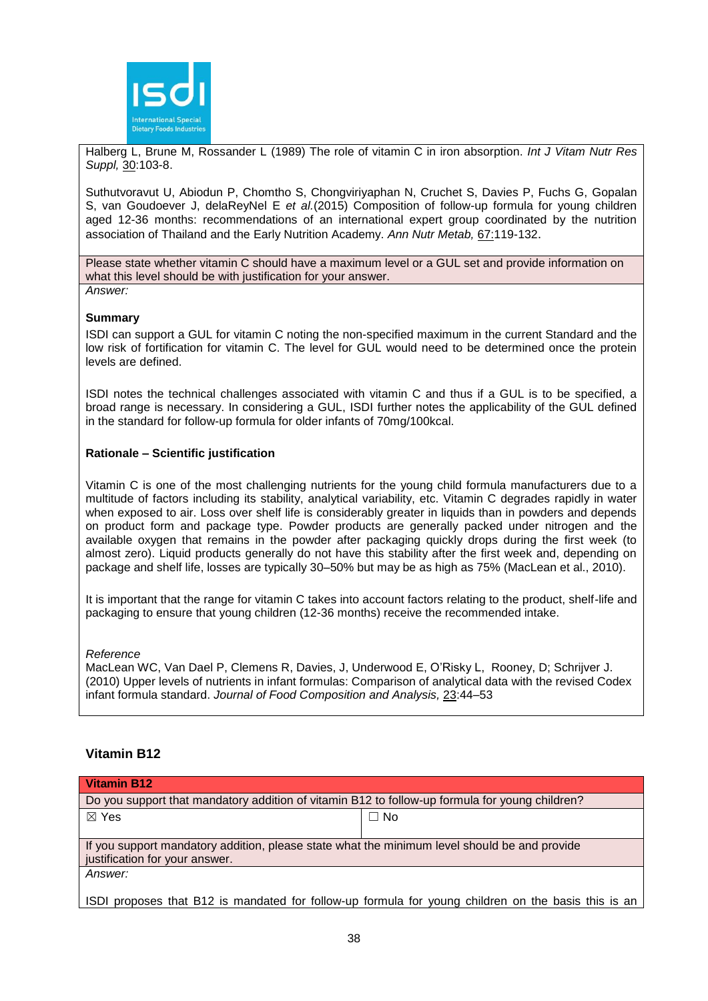

Halberg L, Brune M, Rossander L (1989) The role of vitamin C in iron absorption. *Int J Vitam Nutr Res Suppl,* 30:103-8.

Suthutvoravut U, Abiodun P, Chomtho S, Chongviriyaphan N, Cruchet S, Davies P, Fuchs G, Gopalan S, van Goudoever J, delaReyNel E *et al.*(2015) Composition of follow-up formula for young children aged 12-36 months: recommendations of an international expert group coordinated by the nutrition association of Thailand and the Early Nutrition Academy. *Ann Nutr Metab,* 67:119-132.

Please state whether vitamin C should have a maximum level or a GUL set and provide information on what this level should be with justification for your answer. *Answer:*

#### **Summary**

ISDI can support a GUL for vitamin C noting the non-specified maximum in the current Standard and the low risk of fortification for vitamin C. The level for GUL would need to be determined once the protein levels are defined.

ISDI notes the technical challenges associated with vitamin C and thus if a GUL is to be specified, a broad range is necessary. In considering a GUL, ISDI further notes the applicability of the GUL defined in the standard for follow-up formula for older infants of 70mg/100kcal.

#### **Rationale – Scientific justification**

Vitamin C is one of the most challenging nutrients for the young child formula manufacturers due to a multitude of factors including its stability, analytical variability, etc. Vitamin C degrades rapidly in water when exposed to air. Loss over shelf life is considerably greater in liquids than in powders and depends on product form and package type. Powder products are generally packed under nitrogen and the available oxygen that remains in the powder after packaging quickly drops during the first week (to almost zero). Liquid products generally do not have this stability after the first week and, depending on package and shelf life, losses are typically 30–50% but may be as high as 75% (MacLean et al., 2010).

It is important that the range for vitamin C takes into account factors relating to the product, shelf-life and packaging to ensure that young children (12-36 months) receive the recommended intake.

#### *Reference*

MacLean WC, Van Dael P, Clemens R, Davies, J, Underwood E, O'Risky L, Rooney, D; Schrijver J. (2010) Upper levels of nutrients in infant formulas: Comparison of analytical data with the revised Codex infant formula standard. *Journal of Food Composition and Analysis,* 23:44–53

# **Vitamin B12**

| <b>Vitamin B12</b>                                                                             |                                                                                                                                                                                                                                                                                                          |  |
|------------------------------------------------------------------------------------------------|----------------------------------------------------------------------------------------------------------------------------------------------------------------------------------------------------------------------------------------------------------------------------------------------------------|--|
| Do you support that mandatory addition of vitamin B12 to follow-up formula for young children? |                                                                                                                                                                                                                                                                                                          |  |
| $\boxtimes$ Yes                                                                                | $\Box$ No                                                                                                                                                                                                                                                                                                |  |
|                                                                                                |                                                                                                                                                                                                                                                                                                          |  |
| If you support mandatory addition, please state what the minimum level should be and provide   |                                                                                                                                                                                                                                                                                                          |  |
| justification for your answer.                                                                 |                                                                                                                                                                                                                                                                                                          |  |
| Answer:                                                                                        |                                                                                                                                                                                                                                                                                                          |  |
| $\sim$                                                                                         | $\mathbf{r}$ and $\mathbf{r}$ are all $\mathbf{r}$ and $\mathbf{r}$<br>$\mathbf{r}$ , and a set of the set of the set of the set of the set of the set of the set of the set of the set of the set of the set of the set of the set of the set of the set of the set of the set of the set of the set of |  |

I ISDI proposes that B12 is mandated for follow-up formula for voung children on the basis this is an I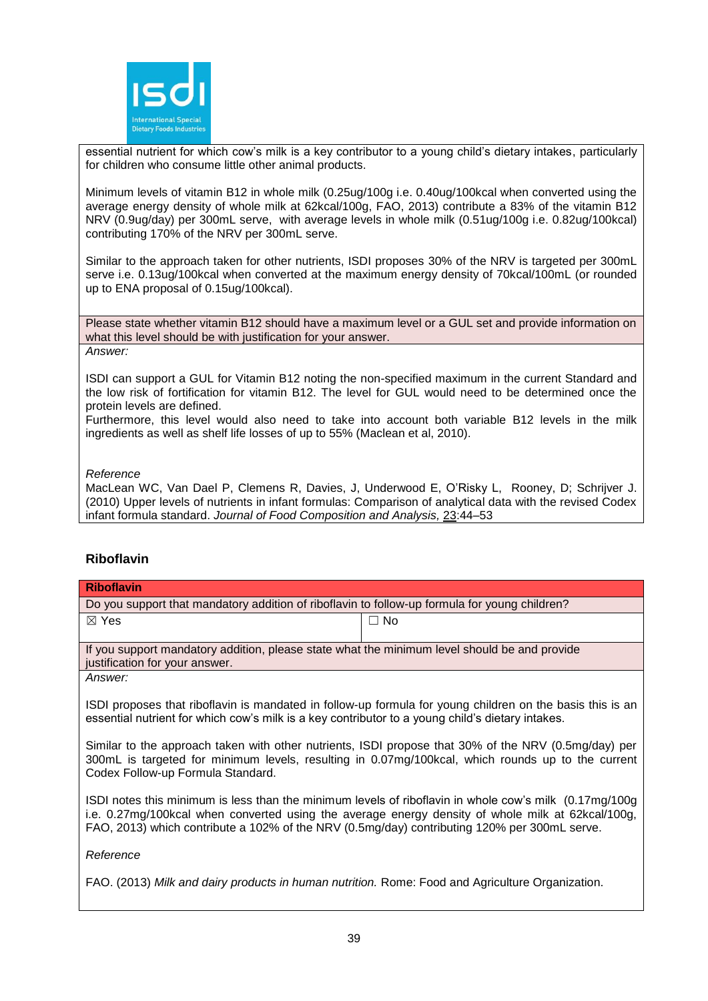

essential nutrient for which cow's milk is a key contributor to a young child's dietary intakes, particularly for children who consume little other animal products.

Minimum levels of vitamin B12 in whole milk (0.25ug/100g i.e. 0.40ug/100kcal when converted using the average energy density of whole milk at 62kcal/100g, FAO, 2013) contribute a 83% of the vitamin B12 NRV (0.9ug/day) per 300mL serve, with average levels in whole milk (0.51ug/100g i.e. 0.82ug/100kcal) contributing 170% of the NRV per 300mL serve.

Similar to the approach taken for other nutrients, ISDI proposes 30% of the NRV is targeted per 300mL serve i.e. 0.13ug/100kcal when converted at the maximum energy density of 70kcal/100mL (or rounded up to ENA proposal of 0.15ug/100kcal).

Please state whether vitamin B12 should have a maximum level or a GUL set and provide information on what this level should be with justification for your answer. *Answer:*

ISDI can support a GUL for Vitamin B12 noting the non-specified maximum in the current Standard and the low risk of fortification for vitamin B12. The level for GUL would need to be determined once the protein levels are defined.

Furthermore, this level would also need to take into account both variable B12 levels in the milk ingredients as well as shelf life losses of up to 55% (Maclean et al, 2010).

# *Reference*

MacLean WC, Van Dael P, Clemens R, Davies, J, Underwood E, O'Risky L, Rooney, D; Schrijver J. (2010) Upper levels of nutrients in infant formulas: Comparison of analytical data with the revised Codex infant formula standard. *Journal of Food Composition and Analysis,* 23:44–53

# **Riboflavin**

| <b>Riboflavin</b>                                                                                                                                                                                                                              |           |  |
|------------------------------------------------------------------------------------------------------------------------------------------------------------------------------------------------------------------------------------------------|-----------|--|
| Do you support that mandatory addition of riboflavin to follow-up formula for young children?                                                                                                                                                  |           |  |
| $\boxtimes$ Yes                                                                                                                                                                                                                                | $\Box$ No |  |
| If you support mandatory addition, please state what the minimum level should be and provide<br>justification for your answer.                                                                                                                 |           |  |
| Answer:                                                                                                                                                                                                                                        |           |  |
| ISDI proposes that riboflavin is mandated in follow-up formula for young children on the basis this is an<br>essential nutrient for which cow's milk is a key contributor to a young child's dietary intakes.                                  |           |  |
| Similar to the approach taken with other nutrients, ISDI propose that 30% of the NRV (0.5mg/day) per<br>300mL is targeted for minimum levels, resulting in 0.07mg/100kcal, which rounds up to the current<br>Codex Follow-up Formula Standard. |           |  |

ISDI notes this minimum is less than the minimum levels of riboflavin in whole cow's milk (0.17mg/100g i.e. 0.27mg/100kcal when converted using the average energy density of whole milk at 62kcal/100g, FAO, 2013) which contribute a 102% of the NRV (0.5mg/day) contributing 120% per 300mL serve.

*Reference*

FAO. (2013) *Milk and dairy products in human nutrition.* Rome: Food and Agriculture Organization.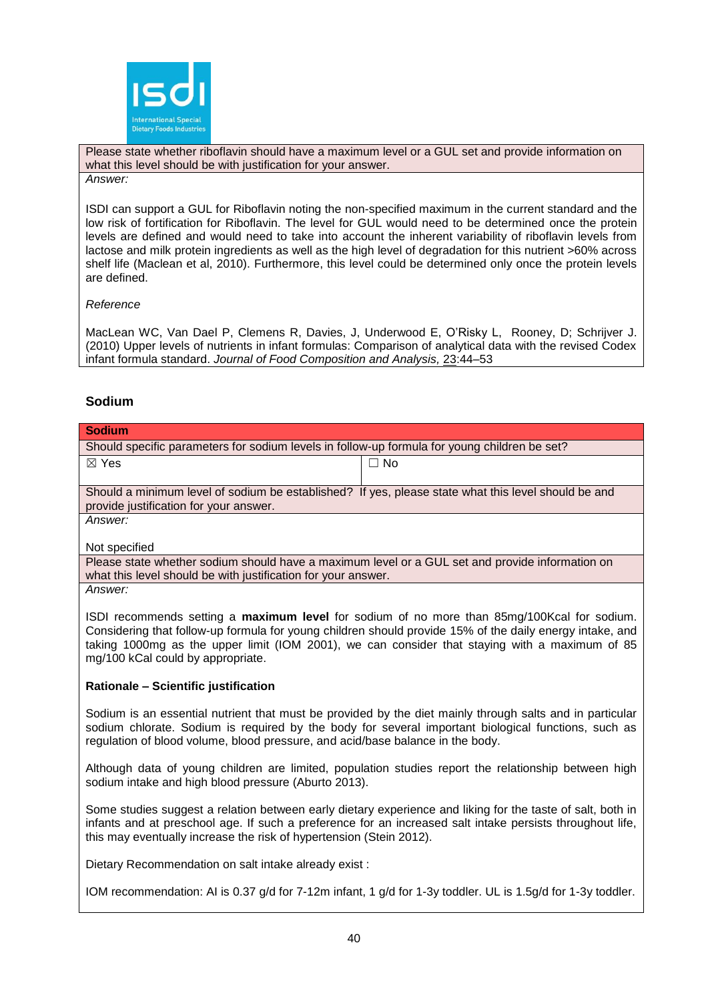

Please state whether riboflavin should have a maximum level or a GUL set and provide information on what this level should be with justification for your answer.

*Answer:*

ISDI can support a GUL for Riboflavin noting the non-specified maximum in the current standard and the low risk of fortification for Riboflavin. The level for GUL would need to be determined once the protein levels are defined and would need to take into account the inherent variability of riboflavin levels from lactose and milk protein ingredients as well as the high level of degradation for this nutrient >60% across shelf life (Maclean et al, 2010). Furthermore, this level could be determined only once the protein levels are defined.

#### *Reference*

MacLean WC, Van Dael P, Clemens R, Davies, J, Underwood E, O'Risky L, Rooney, D; Schrijver J. (2010) Upper levels of nutrients in infant formulas: Comparison of analytical data with the revised Codex infant formula standard. *Journal of Food Composition and Analysis,* 23:44–53

# **Sodium**

| <b>Sodium</b>                                                                                                                                                                                                                                                                                                                                  |                                                                                                                                                                                                                 |  |
|------------------------------------------------------------------------------------------------------------------------------------------------------------------------------------------------------------------------------------------------------------------------------------------------------------------------------------------------|-----------------------------------------------------------------------------------------------------------------------------------------------------------------------------------------------------------------|--|
| Should specific parameters for sodium levels in follow-up formula for young children be set?                                                                                                                                                                                                                                                   |                                                                                                                                                                                                                 |  |
| $\boxtimes$ Yes                                                                                                                                                                                                                                                                                                                                | $\Box$ No                                                                                                                                                                                                       |  |
|                                                                                                                                                                                                                                                                                                                                                |                                                                                                                                                                                                                 |  |
| Should a minimum level of sodium be established? If yes, please state what this level should be and                                                                                                                                                                                                                                            |                                                                                                                                                                                                                 |  |
| provide justification for your answer.                                                                                                                                                                                                                                                                                                         |                                                                                                                                                                                                                 |  |
| Answer:                                                                                                                                                                                                                                                                                                                                        |                                                                                                                                                                                                                 |  |
| Not specified                                                                                                                                                                                                                                                                                                                                  |                                                                                                                                                                                                                 |  |
| Please state whether sodium should have a maximum level or a GUL set and provide information on                                                                                                                                                                                                                                                |                                                                                                                                                                                                                 |  |
| what this level should be with justification for your answer.                                                                                                                                                                                                                                                                                  |                                                                                                                                                                                                                 |  |
| Answer:                                                                                                                                                                                                                                                                                                                                        |                                                                                                                                                                                                                 |  |
| ISDI recommends setting a maximum level for sodium of no more than 85mg/100Kcal for sodium.<br>Considering that follow-up formula for young children should provide 15% of the daily energy intake, and<br>taking 1000mg as the upper limit (IOM 2001), we can consider that staying with a maximum of 85<br>mg/100 kCal could by appropriate. |                                                                                                                                                                                                                 |  |
| Rationale - Scientific justification                                                                                                                                                                                                                                                                                                           |                                                                                                                                                                                                                 |  |
| regulation of blood volume, blood pressure, and acid/base balance in the body.                                                                                                                                                                                                                                                                 | Sodium is an essential nutrient that must be provided by the diet mainly through salts and in particular<br>sodium chlorate. Sodium is required by the body for several important biological functions, such as |  |
| sodium intake and high blood pressure (Aburto 2013).                                                                                                                                                                                                                                                                                           | Although data of young children are limited, population studies report the relationship between high                                                                                                            |  |
|                                                                                                                                                                                                                                                                                                                                                | Come studies quasest a relation between early distance synoriance and liking for the toote of solt, beth in                                                                                                     |  |

Some studies suggest a relation between early dietary experience and liking for the taste of salt, both in infants and at preschool age. If such a preference for an increased salt intake persists throughout life, this may eventually increase the risk of hypertension (Stein 2012).

Dietary Recommendation on salt intake already exist :

IOM recommendation: AI is 0.37 g/d for 7-12m infant, 1 g/d for 1-3y toddler. UL is 1.5g/d for 1-3y toddler.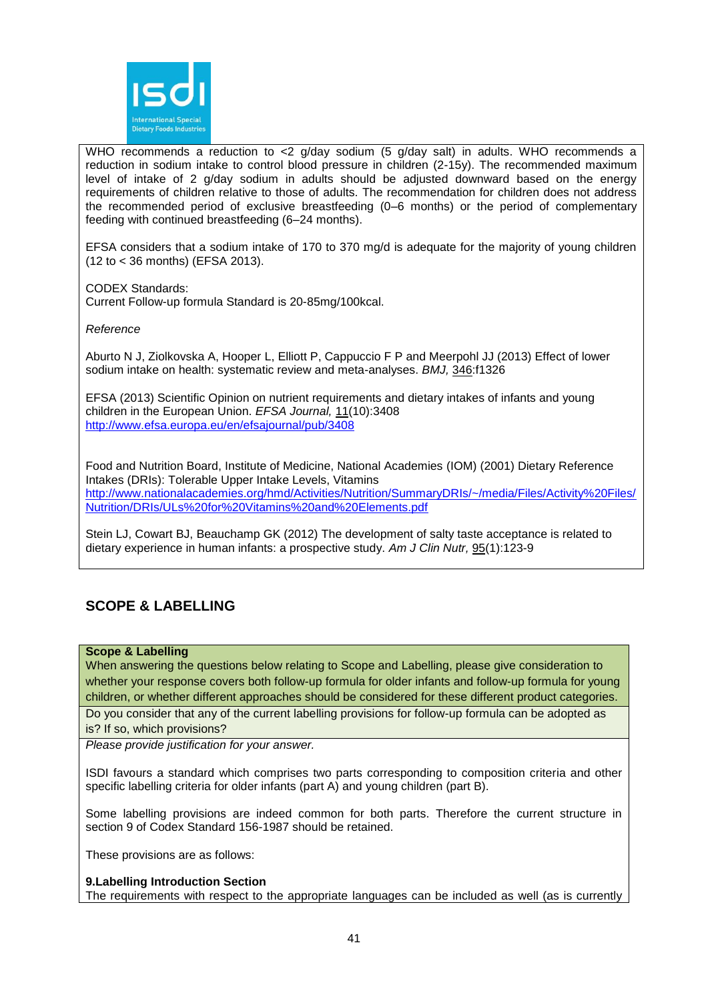

WHO recommends a reduction to <2 g/day sodium (5 g/day salt) in adults. WHO recommends a reduction in sodium intake to control blood pressure in children (2-15y). The recommended maximum level of intake of 2 g/day sodium in adults should be adjusted downward based on the energy requirements of children relative to those of adults. The recommendation for children does not address the recommended period of exclusive breastfeeding (0–6 months) or the period of complementary feeding with continued breastfeeding (6–24 months).

EFSA considers that a sodium intake of 170 to 370 mg/d is adequate for the majority of young children (12 to < 36 months) (EFSA 2013).

CODEX Standards:

Current Follow-up formula Standard is 20-85mg/100kcal.

### *Reference*

Aburto N J, Ziolkovska A, Hooper L, Elliott P, Cappuccio F P and Meerpohl JJ (2013) Effect of lower sodium intake on health: systematic review and meta-analyses. *BMJ,* 346:f1326

EFSA (2013) Scientific Opinion on nutrient requirements and dietary intakes of infants and young children in the European Union. *EFSA Journal,* 11(10):3408 <http://www.efsa.europa.eu/en/efsajournal/pub/3408>

Food and Nutrition Board, Institute of Medicine, National Academies (IOM) (2001) Dietary Reference Intakes (DRIs): Tolerable Upper Intake Levels, Vitamins [http://www.nationalacademies.org/hmd/Activities/Nutrition/SummaryDRIs/~/media/Files/Activity%20Files/](http://www.nationalacademies.org/hmd/Activities/Nutrition/SummaryDRIs/~/media/Files/Activity%20Files/Nutrition/DRIs/ULs%20for%20Vitamins%20and%20Elements.pdf) [Nutrition/DRIs/ULs%20for%20Vitamins%20and%20Elements.pdf](http://www.nationalacademies.org/hmd/Activities/Nutrition/SummaryDRIs/~/media/Files/Activity%20Files/Nutrition/DRIs/ULs%20for%20Vitamins%20and%20Elements.pdf)

Stein LJ, Cowart BJ, Beauchamp GK (2012) The development of salty taste acceptance is related to dietary experience in human infants: a prospective study. *Am J Clin Nutr,* 95(1):123-9

# **SCOPE & LABELLING**

#### **Scope & Labelling**

When answering the questions below relating to Scope and Labelling, please give consideration to whether your response covers both follow-up formula for older infants and follow-up formula for young children, or whether different approaches should be considered for these different product categories.

Do you consider that any of the current labelling provisions for follow-up formula can be adopted as is? If so, which provisions?

*Please provide justification for your answer.*

ISDI favours a standard which comprises two parts corresponding to composition criteria and other specific labelling criteria for older infants (part A) and young children (part B).

Some labelling provisions are indeed common for both parts. Therefore the current structure in section 9 of Codex Standard 156-1987 should be retained.

These provisions are as follows:

# **9.Labelling Introduction Section**

The requirements with respect to the appropriate languages can be included as well (as is currently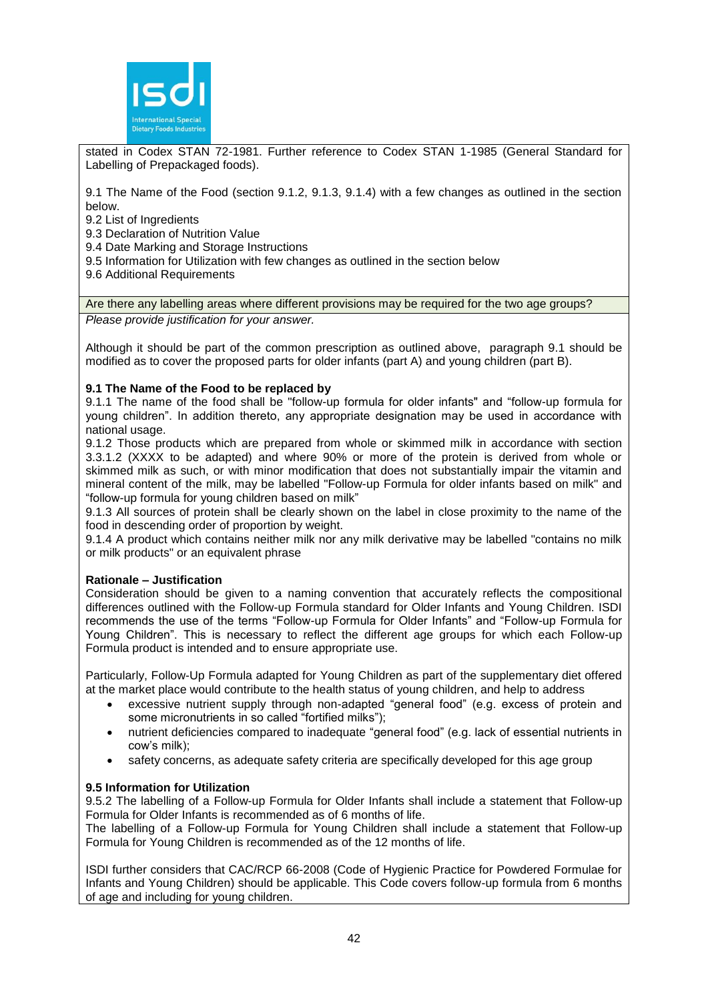

stated in Codex STAN 72-1981. Further reference to Codex STAN 1-1985 (General Standard for Labelling of Prepackaged foods).

9.1 The Name of the Food (section 9.1.2, 9.1.3, 9.1.4) with a few changes as outlined in the section below.

9.2 List of Ingredients

9.3 Declaration of Nutrition Value

9.4 Date Marking and Storage Instructions

9.5 Information for Utilization with few changes as outlined in the section below

9.6 Additional Requirements

Are there any labelling areas where different provisions may be required for the two age groups?

*Please provide justification for your answer.*

Although it should be part of the common prescription as outlined above, paragraph 9.1 should be modified as to cover the proposed parts for older infants (part A) and young children (part B).

#### **9.1 The Name of the Food to be replaced by**

9.1.1 The name of the food shall be "follow-up formula for older infants" and "follow-up formula for young children". In addition thereto, any appropriate designation may be used in accordance with national usage.

9.1.2 Those products which are prepared from whole or skimmed milk in accordance with section 3.3.1.2 (XXXX to be adapted) and where 90% or more of the protein is derived from whole or skimmed milk as such, or with minor modification that does not substantially impair the vitamin and mineral content of the milk, may be labelled "Follow-up Formula for older infants based on milk" and "follow-up formula for young children based on milk"

9.1.3 All sources of protein shall be clearly shown on the label in close proximity to the name of the food in descending order of proportion by weight.

9.1.4 A product which contains neither milk nor any milk derivative may be labelled "contains no milk or milk products" or an equivalent phrase

#### **Rationale – Justification**

Consideration should be given to a naming convention that accurately reflects the compositional differences outlined with the Follow-up Formula standard for Older Infants and Young Children. ISDI recommends the use of the terms "Follow-up Formula for Older Infants" and "Follow-up Formula for Young Children". This is necessary to reflect the different age groups for which each Follow-up Formula product is intended and to ensure appropriate use.

Particularly, Follow-Up Formula adapted for Young Children as part of the supplementary diet offered at the market place would contribute to the health status of young children, and help to address

- excessive nutrient supply through non-adapted "general food" (e.g. excess of protein and some micronutrients in so called "fortified milks");
- nutrient deficiencies compared to inadequate "general food" (e.g. lack of essential nutrients in cow's milk);
- safety concerns, as adequate safety criteria are specifically developed for this age group

# **9.5 Information for Utilization**

9.5.2 The labelling of a Follow-up Formula for Older Infants shall include a statement that Follow-up Formula for Older Infants is recommended as of 6 months of life.

The labelling of a Follow-up Formula for Young Children shall include a statement that Follow-up Formula for Young Children is recommended as of the 12 months of life.

ISDI further considers that CAC/RCP 66-2008 (Code of Hygienic Practice for Powdered Formulae for Infants and Young Children) should be applicable. This Code covers follow-up formula from 6 months of age and including for young children.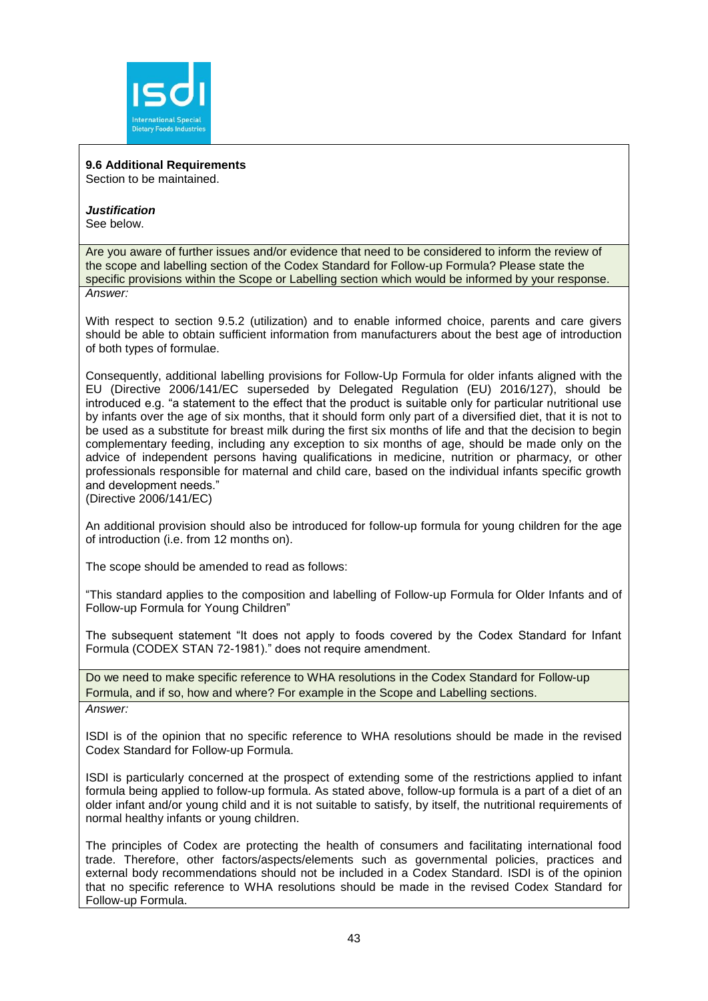

**9.6 Additional Requirements** Section to be maintained.

*Justification* See below.

Are you aware of further issues and/or evidence that need to be considered to inform the review of the scope and labelling section of the Codex Standard for Follow-up Formula? Please state the specific provisions within the Scope or Labelling section which would be informed by your response. *Answer:*

With respect to section 9.5.2 (utilization) and to enable informed choice, parents and care givers should be able to obtain sufficient information from manufacturers about the best age of introduction of both types of formulae.

Consequently, additional labelling provisions for Follow-Up Formula for older infants aligned with the EU (Directive 2006/141/EC superseded by Delegated Regulation (EU) 2016/127), should be introduced e.g. "a statement to the effect that the product is suitable only for particular nutritional use by infants over the age of six months, that it should form only part of a diversified diet, that it is not to be used as a substitute for breast milk during the first six months of life and that the decision to begin complementary feeding, including any exception to six months of age, should be made only on the advice of independent persons having qualifications in medicine, nutrition or pharmacy, or other professionals responsible for maternal and child care, based on the individual infants specific growth and development needs."

(Directive 2006/141/EC)

An additional provision should also be introduced for follow-up formula for young children for the age of introduction (i.e. from 12 months on).

The scope should be amended to read as follows:

"This standard applies to the composition and labelling of Follow-up Formula for Older Infants and of Follow-up Formula for Young Children"

The subsequent statement "It does not apply to foods covered by the Codex Standard for Infant Formula (CODEX STAN 72-1981)." does not require amendment.

Do we need to make specific reference to WHA resolutions in the Codex Standard for Follow-up Formula, and if so, how and where? For example in the Scope and Labelling sections. *Answer:*

ISDI is of the opinion that no specific reference to WHA resolutions should be made in the revised Codex Standard for Follow-up Formula.

ISDI is particularly concerned at the prospect of extending some of the restrictions applied to infant formula being applied to follow-up formula. As stated above, follow-up formula is a part of a diet of an older infant and/or young child and it is not suitable to satisfy, by itself, the nutritional requirements of normal healthy infants or young children.

The principles of Codex are protecting the health of consumers and facilitating international food trade. Therefore, other factors/aspects/elements such as governmental policies, practices and external body recommendations should not be included in a Codex Standard. ISDI is of the opinion that no specific reference to WHA resolutions should be made in the revised Codex Standard for Follow-up Formula.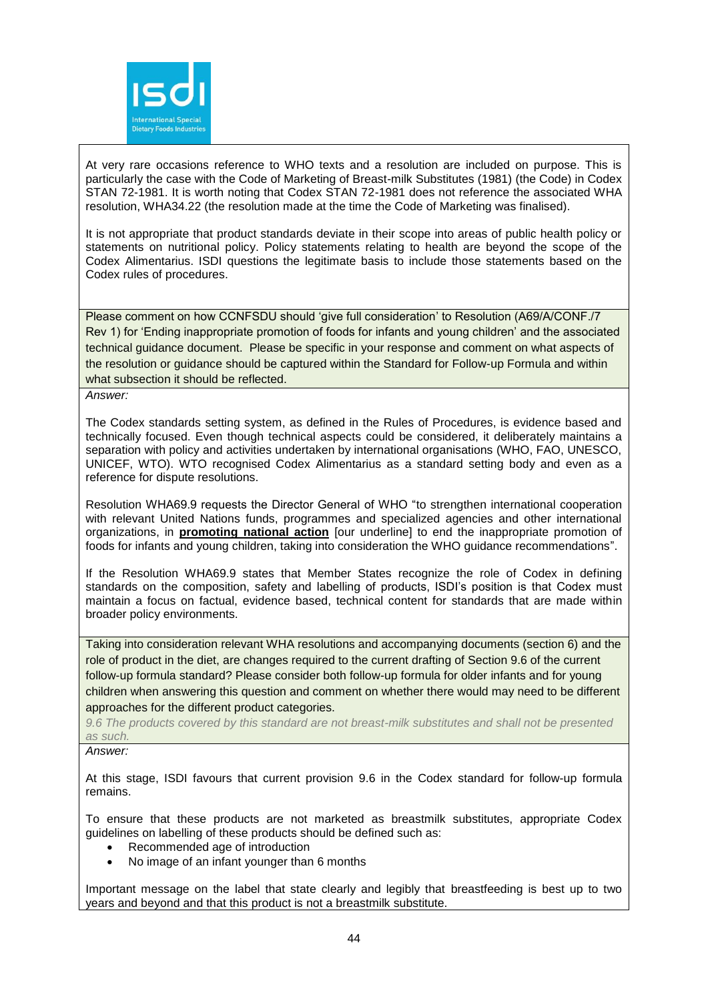

At very rare occasions reference to WHO texts and a resolution are included on purpose. This is particularly the case with the Code of Marketing of Breast-milk Substitutes (1981) (the Code) in Codex STAN 72-1981. It is worth noting that Codex STAN 72-1981 does not reference the associated WHA resolution, WHA34.22 (the resolution made at the time the Code of Marketing was finalised).

It is not appropriate that product standards deviate in their scope into areas of public health policy or statements on nutritional policy. Policy statements relating to health are beyond the scope of the Codex Alimentarius. ISDI questions the legitimate basis to include those statements based on the Codex rules of procedures.

Please comment on how CCNFSDU should 'give full consideration' to Resolution (A69/A/CONF./7 Rev 1) for 'Ending inappropriate promotion of foods for infants and young children' and the associated technical guidance document. Please be specific in your response and comment on what aspects of the resolution or guidance should be captured within the Standard for Follow-up Formula and within what subsection it should be reflected.

*Answer:*

The Codex standards setting system, as defined in the Rules of Procedures, is evidence based and technically focused. Even though technical aspects could be considered, it deliberately maintains a separation with policy and activities undertaken by international organisations (WHO, FAO, UNESCO, UNICEF, WTO). WTO recognised Codex Alimentarius as a standard setting body and even as a reference for dispute resolutions.

Resolution WHA69.9 requests the Director General of WHO "to strengthen international cooperation with relevant United Nations funds, programmes and specialized agencies and other international organizations, in **promoting national action** [our underline] to end the inappropriate promotion of foods for infants and young children, taking into consideration the WHO guidance recommendations".

If the Resolution WHA69.9 states that Member States recognize the role of Codex in defining standards on the composition, safety and labelling of products, ISDI's position is that Codex must maintain a focus on factual, evidence based, technical content for standards that are made within broader policy environments.

Taking into consideration relevant WHA resolutions and accompanying documents (section 6) and the role of product in the diet, are changes required to the current drafting of Section 9.6 of the current follow-up formula standard? Please consider both follow-up formula for older infants and for young children when answering this question and comment on whether there would may need to be different approaches for the different product categories.

*9.6 The products covered by this standard are not breast-milk substitutes and shall not be presented as such.*

*Answer:*

At this stage, ISDI favours that current provision 9.6 in the Codex standard for follow-up formula remains.

To ensure that these products are not marketed as breastmilk substitutes, appropriate Codex guidelines on labelling of these products should be defined such as:

- Recommended age of introduction
- No image of an infant younger than 6 months

Important message on the label that state clearly and legibly that breastfeeding is best up to two years and beyond and that this product is not a breastmilk substitute.